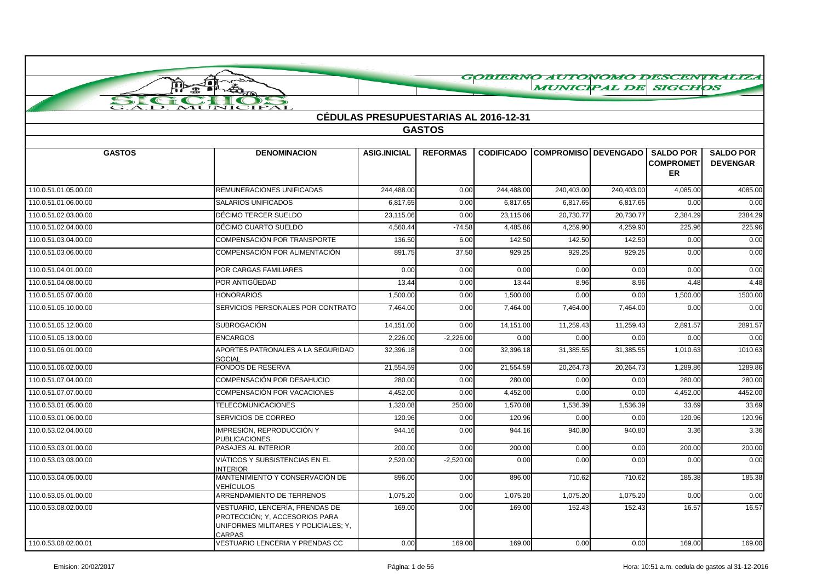|                            | GOBIERNO AUTONOMO DESCENTRALIZA                                                                                     |                                              |                 |            |                                        |            |                                            |                                     |  |  |
|----------------------------|---------------------------------------------------------------------------------------------------------------------|----------------------------------------------|-----------------|------------|----------------------------------------|------------|--------------------------------------------|-------------------------------------|--|--|
|                            | न∎<br>₩                                                                                                             |                                              |                 |            | <b>MUNICIPAL DE</b>                    |            | <b>SIGCHOS</b>                             |                                     |  |  |
| $\mathbf{S}$<br>$\epsilon$ | $\rightarrow$                                                                                                       |                                              |                 |            |                                        |            |                                            |                                     |  |  |
|                            | <b>JICIPAL</b><br>MUI                                                                                               | <b>CÉDULAS PRESUPUESTARIAS AL 2016-12-31</b> |                 |            |                                        |            |                                            |                                     |  |  |
|                            |                                                                                                                     |                                              | <b>GASTOS</b>   |            |                                        |            |                                            |                                     |  |  |
|                            |                                                                                                                     |                                              |                 |            |                                        |            |                                            |                                     |  |  |
| <b>GASTOS</b>              | <b>DENOMINACION</b>                                                                                                 | <b>ASIG.INICIAL</b>                          | <b>REFORMAS</b> |            | <b>CODIFICADO COMPROMISO DEVENGADO</b> |            | <b>SALDO POR</b><br><b>COMPROMET</b><br>ER | <b>SALDO POR</b><br><b>DEVENGAR</b> |  |  |
| 110.0.51.01.05.00.00       | REMUNERACIONES UNIFICADAS                                                                                           | 244,488.00                                   | 0.00            | 244,488.00 | 240,403.00                             | 240,403.00 | 4,085.00                                   | 4085.00                             |  |  |
| 110.0.51.01.06.00.00       | <b>SALARIOS UNIFICADOS</b>                                                                                          | 6,817.65                                     | 0.00            | 6,817.65   | 6,817.65                               | 6,817.65   | 0.00                                       | 0.00                                |  |  |
| 110.0.51.02.03.00.00       | DÉCIMO TERCER SUELDO                                                                                                | 23,115.06                                    | 0.00            | 23,115.06  | 20,730.77                              | 20,730.77  | 2,384.29                                   | 2384.29                             |  |  |
| 110.0.51.02.04.00.00       | DÉCIMO CUARTO SUELDO                                                                                                | 4,560.44                                     | $-74.58$        | 4,485.86   | 4,259.90                               | 4,259.90   | 225.96                                     | 225.96                              |  |  |
| 110.0.51.03.04.00.00       | COMPENSACIÓN POR TRANSPORTE                                                                                         | 136.50                                       | 6.00            | 142.50     | 142.50                                 | 142.50     | 0.00                                       | 0.00                                |  |  |
| 110.0.51.03.06.00.00       | COMPENSACIÓN POR ALIMENTACIÓN                                                                                       | 891.75                                       | 37.50           | 929.25     | 929.25                                 | 929.25     | 0.00                                       | 0.00                                |  |  |
| 110.0.51.04.01.00.00       | POR CARGAS FAMILIARES                                                                                               | 0.00                                         | 0.00            | 0.00       | 0.00                                   | 0.00       | 0.00                                       | 0.00                                |  |  |
| 110.0.51.04.08.00.00       | POR ANTIGÜEDAD                                                                                                      | 13.44                                        | 0.00            | 13.44      | 8.96                                   | 8.96       | 4.48                                       | 4.48                                |  |  |
| 110.0.51.05.07.00.00       | <b>HONORARIOS</b>                                                                                                   | 1,500.00                                     | 0.00            | 1,500.00   | 0.00                                   | 0.00       | 1,500.00                                   | 1500.00                             |  |  |
| 110.0.51.05.10.00.00       | SERVICIOS PERSONALES POR CONTRATO                                                                                   | 7,464.00                                     | 0.00            | 7,464.00   | 7,464.00                               | 7,464.00   | 0.00                                       | 0.00                                |  |  |
| 110.0.51.05.12.00.00       | <b>SUBROGACIÓN</b>                                                                                                  | 14,151.00                                    | 0.00            | 14,151.00  | 11,259.43                              | 11,259.43  | 2,891.57                                   | 2891.57                             |  |  |
| 110.0.51.05.13.00.00       | <b>ENCARGOS</b>                                                                                                     | 2,226.00                                     | $-2,226.00$     | 0.00       | 0.00                                   | 0.00       | 0.00                                       | 0.00                                |  |  |
| 110.0.51.06.01.00.00       | APORTES PATRONALES A LA SEGURIDAD<br>SOCIAL                                                                         | 32,396.18                                    | 0.00            | 32,396.18  | 31,385.55                              | 31,385.55  | 1,010.63                                   | 1010.63                             |  |  |
| 110.0.51.06.02.00.00       | FONDOS DE RESERVA                                                                                                   | 21,554.59                                    | 0.00            | 21,554.59  | 20,264.73                              | 20,264.73  | 1,289.86                                   | 1289.86                             |  |  |
| 110.0.51.07.04.00.00       | COMPENSACIÓN POR DESAHUCIO                                                                                          | 280.00                                       | 0.00            | 280.00     | 0.00                                   | 0.00       | 280.00                                     | 280.00                              |  |  |
| 110.0.51.07.07.00.00       | COMPENSACIÓN POR VACACIONES                                                                                         | 4,452.00                                     | 0.00            | 4,452.00   | 0.00                                   | 0.00       | 4,452.00                                   | 4452.00                             |  |  |
| 110.0.53.01.05.00.00       | <b>TELECOMUNICACIONES</b>                                                                                           | 1,320.08                                     | 250.00          | 1,570.08   | 1,536.39                               | 1,536.39   | 33.69                                      | 33.69                               |  |  |
| 110.0.53.01.06.00.00       | SERVICIOS DE CORREO                                                                                                 | 120.96                                       | 0.00            | 120.96     | 0.00                                   | 0.00       | 120.96                                     | 120.96                              |  |  |
| 110.0.53.02.04.00.00       | IMPRESIÓN, REPRODUCCIÓN Y<br><b>PUBLICACIONES</b>                                                                   | 944.16                                       | 0.00            | 944.16     | 940.80                                 | 940.80     | 3.36                                       | 3.36                                |  |  |
| 110.0.53.03.01.00.00       | PASAJES AL INTERIOR                                                                                                 | 200.00                                       | 0.00            | 200.00     | 0.00                                   | 0.00       | 200.00                                     | 200.00                              |  |  |
| 110.0.53.03.03.00.00       | VIÁTICOS Y SUBSISTENCIAS EN EL<br><b>INTERIOR</b>                                                                   | 2,520.00                                     | $-2,520.00$     | 0.00       | 0.00                                   | 0.00       | 0.00                                       | 0.00                                |  |  |
| 110.0.53.04.05.00.00       | MANTENIMIENTO Y CONSERVACIÓN DE<br>VEHÍCULOS                                                                        | 896.00                                       | 0.00            | 896.00     | 710.62                                 | 710.62     | 185.38                                     | 185.38                              |  |  |
| 110.0.53.05.01.00.00       | ARRENDAMIENTO DE TERRENOS                                                                                           | 1,075.20                                     | 0.00            | 1,075.20   | 1,075.20                               | 1,075.20   | 0.00                                       | 0.00                                |  |  |
| 110.0.53.08.02.00.00       | VESTUARIO, LENCERÍA, PRENDAS DE<br>PROTECCIÓN; Y, ACCESORIOS PARA<br>UNIFORMES MILITARES Y POLICIALES: Y,<br>CARPAS | 169.00                                       | 0.00            | 169.00     | 152.43                                 | 152.43     | 16.57                                      | 16.57                               |  |  |
| 110.0.53.08.02.00.01       | VESTUARIO LENCERIA Y PRENDAS CC                                                                                     | 0.00                                         | 169.00          | 169.00     | 0.00                                   | 0.00       | 169.00                                     | 169.00                              |  |  |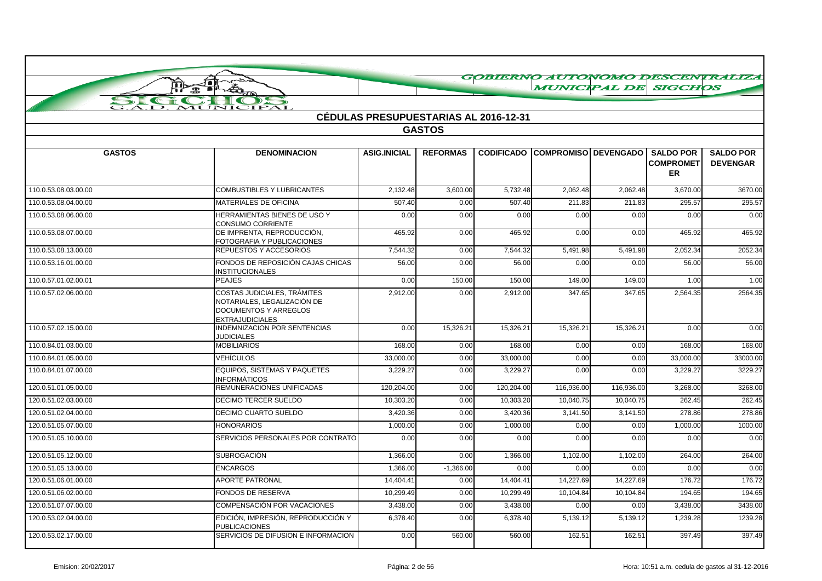|                      | J • 1                                                                                                                       |                                              |                 |                   | <b>MUNICIPAL DE SIGCHOS</b> |            |                                                   | GOBIERNO AUTONOMO DESCENTRALIZA     |
|----------------------|-----------------------------------------------------------------------------------------------------------------------------|----------------------------------------------|-----------------|-------------------|-----------------------------|------------|---------------------------------------------------|-------------------------------------|
| SIG                  | A                                                                                                                           |                                              |                 |                   |                             |            |                                                   |                                     |
|                      | <b>IPAL</b><br>JIC                                                                                                          |                                              |                 |                   |                             |            |                                                   |                                     |
|                      |                                                                                                                             | <b>CÉDULAS PRESUPUESTARIAS AL 2016-12-31</b> |                 |                   |                             |            |                                                   |                                     |
|                      |                                                                                                                             |                                              | <b>GASTOS</b>   |                   |                             |            |                                                   |                                     |
|                      |                                                                                                                             |                                              |                 |                   |                             |            |                                                   |                                     |
| <b>GASTOS</b>        | <b>DENOMINACION</b>                                                                                                         | <b>ASIG.INICIAL</b>                          | <b>REFORMAS</b> | <b>CODIFICADO</b> | COMPROMISO   DEVENGADO      |            | <b>SALDO POR</b><br><b>COMPROMET</b><br><b>ER</b> | <b>SALDO POR</b><br><b>DEVENGAR</b> |
| 110.0.53.08.03.00.00 | <b>COMBUSTIBLES Y LUBRICANTES</b>                                                                                           | 2,132.48                                     | 3,600.00        | 5,732.48          | 2,062.48                    | 2,062.48   | 3,670.00                                          | 3670.00                             |
| 110.0.53.08.04.00.00 | MATERIALES DE OFICINA                                                                                                       | 507.40                                       | 0.00            | 507.40            | 211.83                      | 211.83     | 295.57                                            | 295.57                              |
| 110.0.53.08.06.00.00 | HERRAMIENTAS BIENES DE USO Y<br>CONSUMO CORRIENTE                                                                           | 0.00                                         | 0.00            | 0.00              | 0.00                        | 0.00       | 0.00                                              | 0.00                                |
| 110.0.53.08.07.00.00 | DE IMPRENTA, REPRODUCCIÓN,<br>FOTOGRAFIA Y PUBLICACIONES                                                                    | 465.92                                       | 0.00            | 465.92            | 0.00                        | 0.00       | 465.92                                            | 465.92                              |
| 110.0.53.08.13.00.00 | REPUESTOS Y ACCESORIOS                                                                                                      | 7,544.32                                     | 0.00            | 7,544.32          | 5,491.98                    | 5,491.98   | 2,052.34                                          | 2052.34                             |
| 110.0.53.16.01.00.00 | FONDOS DE REPOSICIÓN CAJAS CHICAS<br><b>INSTITUCIONALES</b>                                                                 | 56.00                                        | 0.00            | 56.00             | 0.00                        | 0.00       | 56.00                                             | 56.00                               |
| 110.0.57.01.02.00.01 | <b>PEAJES</b>                                                                                                               | 0.00                                         | 150.00          | 150.00            | 149.00                      | 149.00     | 1.00                                              | 1.00                                |
| 110.0.57.02.06.00.00 | <b>COSTAS JUDICIALES, TRÁMITES</b><br>NOTARIALES. LEGALIZACIÓN DE<br><b>DOCUMENTOS Y ARREGLOS</b><br><b>EXTRAJUDICIALES</b> | 2,912.00                                     | 0.00            | 2,912.00          | 347.65                      | 347.65     | 2,564.35                                          | 2564.35                             |
| 110.0.57.02.15.00.00 | <b>INDEMNIZACION POR SENTENCIAS</b><br><b>JUDICIALES</b>                                                                    | 0.00                                         | 15,326.21       | 15,326.21         | 15,326.21                   | 15,326.21  | 0.00                                              | 0.00                                |
| 110.0.84.01.03.00.00 | <b>MOBILIARIOS</b>                                                                                                          | 168.00                                       | 0.00            | 168.00            | 0.00                        | 0.00       | 168.00                                            | 168.00                              |
| 110.0.84.01.05.00.00 | VEHÍCULOS                                                                                                                   | 33,000.00                                    | 0.00            | 33,000.00         | 0.00                        | 0.00       | 33,000.00                                         | 33000.00                            |
| 110.0.84.01.07.00.00 | EQUIPOS, SISTEMAS Y PAQUETES<br><b>INFORMÁTICOS</b>                                                                         | 3,229.27                                     | 0.00            | 3,229.27          | 0.00                        | 0.00       | 3,229.27                                          | 3229.27                             |
| 120.0.51.01.05.00.00 | REMUNERACIONES UNIFICADAS                                                                                                   | 120,204.00                                   | 0.00            | 120,204.00        | 116,936.00                  | 116,936.00 | 3,268.00                                          | 3268.00                             |
| 120.0.51.02.03.00.00 | DECIMO TERCER SUELDO                                                                                                        | 10,303.20                                    | 0.00            | 10,303.20         | 10,040.75                   | 10,040.75  | 262.45                                            | 262.45                              |
| 120.0.51.02.04.00.00 | DECIMO CUARTO SUELDO                                                                                                        | 3,420.36                                     | 0.00            | 3,420.36          | 3,141.50                    | 3,141.50   | 278.86                                            | 278.86                              |
| 120.0.51.05.07.00.00 | <b>HONORARIOS</b>                                                                                                           | 1,000.00                                     | 0.00            | 1,000.00          | 0.00                        | 0.00       | 1,000.00                                          | 1000.00                             |
| 120.0.51.05.10.00.00 | SERVICIOS PERSONALES POR CONTRATO                                                                                           | 0.00                                         | 0.00            | 0.00              | 0.00                        | 0.00       | 0.00                                              | 0.00                                |
| 120.0.51.05.12.00.00 | <b>SUBROGACIÓN</b>                                                                                                          | 1,366.00                                     | 0.00            | 1,366.00          | 1,102.00                    | 1,102.00   | 264.00                                            | 264.00                              |
| 120.0.51.05.13.00.00 | <b>ENCARGOS</b>                                                                                                             | 1,366.00                                     | $-1,366.00$     | 0.00              | 0.00                        | 0.00       | 0.00                                              | 0.00                                |
| 120.0.51.06.01.00.00 | <b>APORTE PATRONAL</b>                                                                                                      | 14,404.41                                    | 0.00            | 14,404.41         | 14,227.69                   | 14,227.69  | 176.72                                            | 176.72                              |
| 120.0.51.06.02.00.00 | <b>FONDOS DE RESERVA</b>                                                                                                    | 10,299.49                                    | 0.00            | 10,299.49         | 10,104.84                   | 10,104.84  | 194.65                                            | 194.65                              |
| 120.0.51.07.07.00.00 | COMPENSACIÓN POR VACACIONES                                                                                                 | 3,438.00                                     | 0.00            | 3,438.00          | 0.00                        | 0.00       | 3,438.00                                          | 3438.00                             |
| 120.0.53.02.04.00.00 | EDICIÓN, IMPRESIÓN, REPRODUCCIÓN Y<br><b>PUBLICACIONES</b>                                                                  | 6,378.40                                     | 0.00            | 6,378.40          | 5,139.12                    | 5,139.12   | 1,239.28                                          | 1239.28                             |
| 120.0.53.02.17.00.00 | SERVICIOS DE DIFUSION E INFORMACION                                                                                         | 0.00                                         | 560.00          | 560.00            | 162.51                      | 162.51     | 397.49                                            | 397.49                              |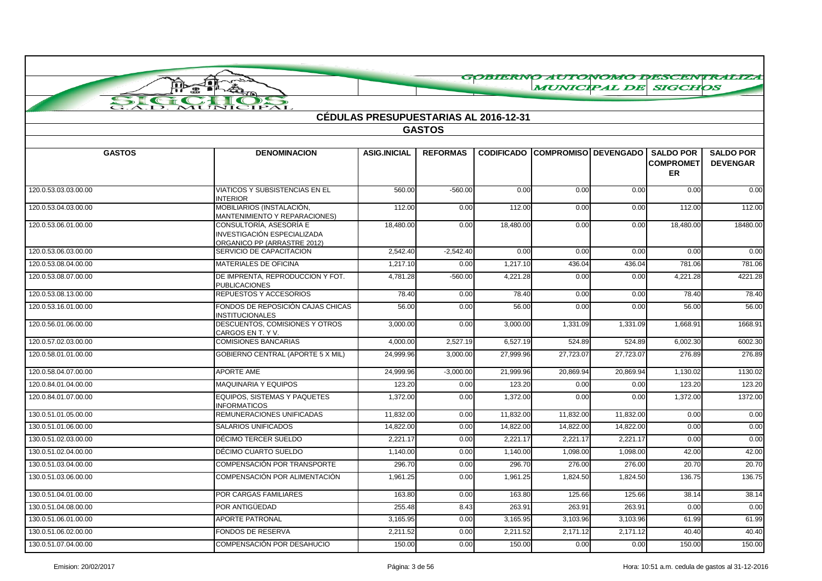|                                    |                                                                                       |                                       |                        |                   |                        |           |                                                   | GOBIERNO AUTONOMO DESCENTRALIZA     |
|------------------------------------|---------------------------------------------------------------------------------------|---------------------------------------|------------------------|-------------------|------------------------|-----------|---------------------------------------------------|-------------------------------------|
|                                    | Joi<br>å<br>$\bullet$ $\bullet$                                                       |                                       |                        |                   | <b>MUNICIPAL DE</b>    |           | <b>SIGCHOS</b>                                    |                                     |
| $\sum$<br>$\epsilon$ if $\epsilon$ | MUNICIPAL                                                                             |                                       |                        |                   |                        |           |                                                   |                                     |
|                                    |                                                                                       | CÉDULAS PRESUPUESTARIAS AL 2016-12-31 |                        |                   |                        |           |                                                   |                                     |
|                                    |                                                                                       |                                       | <b>GASTOS</b>          |                   |                        |           |                                                   |                                     |
|                                    |                                                                                       |                                       |                        |                   |                        |           |                                                   |                                     |
| <b>GASTOS</b>                      | <b>DENOMINACION</b>                                                                   | <b>ASIG.INICIAL</b>                   | <b>REFORMAS</b>        | <b>CODIFICADO</b> | COMPROMISO   DEVENGADO |           | <b>SALDO POR</b><br><b>COMPROMET</b><br><b>ER</b> | <b>SALDO POR</b><br><b>DEVENGAR</b> |
| 120.0.53.03.03.00.00               | <b>VIATICOS Y SUBSISTENCIAS EN EL</b><br><b>INTERIOR</b>                              | 560.00                                | $-560.00$              | 0.00              | 0.00                   | 0.00      | 0.00                                              | 0.00                                |
| 120.0.53.04.03.00.00               | MOBILIARIOS (INSTALACIÓN,<br>MANTENIMIENTO Y REPARACIONES)                            | 112.00                                | 0.00                   | 112.00            | 0.00                   | 0.00      | 112.00                                            | 112.00                              |
| 120.0.53.06.01.00.00               | CONSULTORÍA, ASESORÍA E<br>INVESTIGACIÓN ESPECIALIZADA<br>ORGANICO PP (ARRASTRE 2012) | 18,480.00                             | 0.00                   | 18,480.00         | 0.00                   | 0.00      | 18,480.00                                         | 18480.00                            |
| 120.0.53.06.03.00.00               | SERVICIO DE CAPACITACION                                                              | 2,542.40                              | $-2,542.40$            | 0.00              | 0.00                   | 0.00      | 0.00                                              | 0.00                                |
| 120.0.53.08.04.00.00               | MATERIALES DE OFICINA                                                                 | 1,217.10                              | 0.00                   | 1,217.10          | 436.04                 | 436.04    | 781.06                                            | 781.06                              |
| 120.0.53.08.07.00.00               | DE IMPRENTA, REPRODUCCION Y FOT.<br><b>PUBLICACIONES</b>                              | 4,781.28                              | $-560.00$              | 4,221.28          | 0.00                   | 0.00      | 4,221.28                                          | 4221.28                             |
| 120.0.53.08.13.00.00               | REPUESTOS Y ACCESORIOS                                                                | 78.40                                 | 0.00                   | 78.40             | 0.00                   | 0.00      | 78.40                                             | 78.40                               |
| 120.0.53.16.01.00.00               | FONDOS DE REPOSICIÓN CAJAS CHICAS<br><b>INSTITUCIONALES</b>                           | 56.00                                 | 0.00                   | 56.00             | 0.00                   | 0.00      | 56.00                                             | 56.00                               |
| 120.0.56.01.06.00.00               | DESCUENTOS, COMISIONES Y OTROS<br>CARGOS EN T. Y V.                                   | 3,000.00                              | 0.00                   | 3,000.00          | 1,331.09               | 1,331.09  | 1,668.91                                          | 1668.91                             |
| 120.0.57.02.03.00.00               | <b>COMISIONES BANCARIAS</b>                                                           | 4,000.00                              | 2,527.19               | 6,527.19          | 524.89                 | 524.89    | 6,002.30                                          | 6002.30                             |
| 120.0.58.01.01.00.00               | <b>GOBIERNO CENTRAL (APORTE 5 X MIL)</b>                                              | 24,999.96                             | 3,000.00               | 27,999.96         | 27,723.07              | 27,723.07 | 276.89                                            | 276.89                              |
| 120.0.58.04.07.00.00               | APORTE AME                                                                            | 24,999.96                             | $\overline{-3,000.00}$ | 21,999.96         | 20,869.94              | 20,869.94 | 1,130.02                                          | 1130.02                             |
| 120.0.84.01.04.00.00               | <b>MAQUINARIA Y EQUIPOS</b>                                                           | 123.20                                | 0.00                   | 123.20            | 0.00                   | 0.00      | 123.20                                            | 123.20                              |
| 120.0.84.01.07.00.00               | EQUIPOS, SISTEMAS Y PAQUETES<br><b>INFORMATICOS</b>                                   | 1,372.00                              | 0.00                   | 1,372.00          | 0.00                   | 0.00      | 1,372.00                                          | 1372.00                             |
| 130.0.51.01.05.00.00               | REMUNERACIONES UNIFICADAS                                                             | 11,832.00                             | 0.00                   | 11,832.00         | 11,832.00              | 11,832.00 | 0.00                                              | 0.00                                |
| 130.0.51.01.06.00.00               | SALARIOS UNIFICADOS                                                                   | 14,822.00                             | 0.00                   | 14,822.00         | 14,822.00              | 14,822.00 | 0.00                                              | 0.00                                |
| 130.0.51.02.03.00.00               | DÉCIMO TERCER SUELDO                                                                  | 2,221.17                              | 0.00                   | 2,221.17          | 2,221.17               | 2,221.17  | 0.00                                              | 0.00                                |
| 130.0.51.02.04.00.00               | DÉCIMO CUARTO SUELDO                                                                  | 1,140.00                              | 0.00                   | 1,140.00          | 1,098.00               | 1,098.00  | 42.00                                             | 42.00                               |
| 130.0.51.03.04.00.00               | COMPENSACIÓN POR TRANSPORTE                                                           | 296.70                                | 0.00                   | 296.70            | 276.00                 | 276.00    | 20.70                                             | 20.70                               |
| 130.0.51.03.06.00.00               | COMPENSACIÓN POR ALIMENTACIÓN                                                         | 1,961.25                              | 0.00                   | 1,961.25          | 1,824.50               | 1,824.50  | 136.75                                            | 136.75                              |
| 130.0.51.04.01.00.00               | POR CARGAS FAMILIARES                                                                 | 163.80                                | 0.00                   | 163.80            | 125.66                 | 125.66    | 38.14                                             | 38.14                               |
| 130.0.51.04.08.00.00               | POR ANTIGÜEDAD                                                                        | 255.48                                | 8.43                   | 263.9'            | 263.9'                 | 263.91    | 0.00                                              | 0.00                                |
| 130.0.51.06.01.00.00               | <b>APORTE PATRONAL</b>                                                                | 3.165.95                              | 0.00                   | 3.165.95          | 3.103.96               | 3,103.96  | 61.99                                             | 61.99                               |
| 130.0.51.06.02.00.00               | FONDOS DE RESERVA                                                                     | 2,211.52                              | 0.00                   | 2,211.52          | 2,171.12               | 2,171.12  | 40.40                                             | 40.40                               |
| 130.0.51.07.04.00.00               | COMPENSACIÓN POR DESAHUCIO                                                            | 150.00                                | 0.00                   | 150.00            | 0.00                   | 0.00      | 150.00                                            | 150.00                              |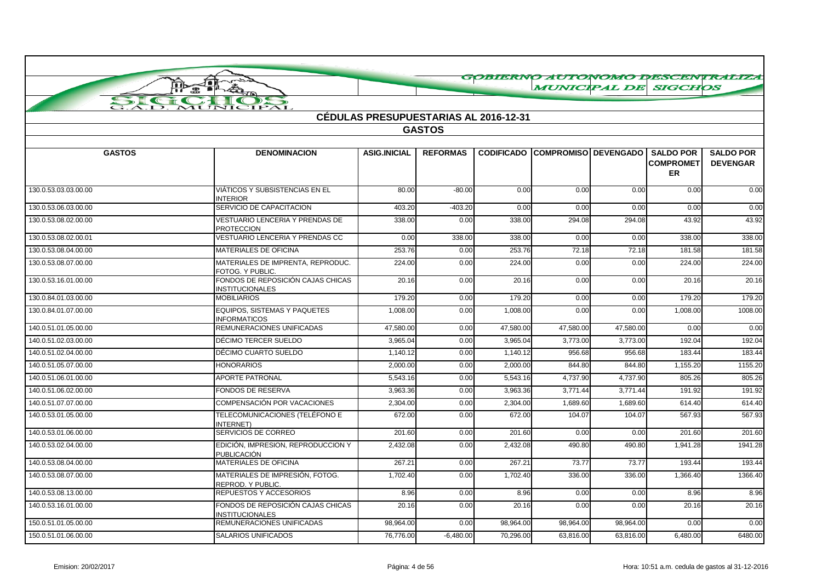|                      |                                                             |                                              |                 |           | GOBIERNO AUTONOMO DESCENTRALIZA        |           |                                            |                                     |
|----------------------|-------------------------------------------------------------|----------------------------------------------|-----------------|-----------|----------------------------------------|-----------|--------------------------------------------|-------------------------------------|
|                      | Joi<br><b>ID</b><br>æ.<br>$\mathbf{B}$ $\mathbf{B}$         |                                              |                 |           |                                        |           | <b>MUNICIPAL DE SIGCHOS</b>                |                                     |
| SI<br>$\epsilon$     | $\rightarrow$                                               |                                              |                 |           |                                        |           |                                            |                                     |
|                      | MUNICIPAL                                                   | <b>CÉDULAS PRESUPUESTARIAS AL 2016-12-31</b> |                 |           |                                        |           |                                            |                                     |
|                      |                                                             |                                              | <b>GASTOS</b>   |           |                                        |           |                                            |                                     |
|                      |                                                             |                                              |                 |           |                                        |           |                                            |                                     |
| <b>GASTOS</b>        | <b>DENOMINACION</b>                                         | <b>ASIG.INICIAL</b>                          | <b>REFORMAS</b> |           | <b>CODIFICADO COMPROMISO DEVENGADO</b> |           | <b>SALDO POR</b><br><b>COMPROMET</b><br>ER | <b>SALDO POR</b><br><b>DEVENGAR</b> |
| 130.0.53.03.03.00.00 | VIÁTICOS Y SUBSISTENCIAS EN EL<br><b>INTERIOR</b>           | 80.00                                        | $-80.00$        | 0.00      | 0.00                                   | 0.00      | 0.00                                       | 0.00                                |
| 130.0.53.06.03.00.00 | SERVICIO DE CAPACITACION                                    | 403.20                                       | $-403.20$       | 0.00      | 0.00                                   | 0.00      | 0.00                                       | 0.00                                |
| 130.0.53.08.02.00.00 | VESTUARIO LENCERIA Y PRENDAS DE<br><b>PROTECCION</b>        | 338.00                                       | 0.00            | 338.00    | 294.08                                 | 294.08    | 43.92                                      | 43.92                               |
| 130.0.53.08.02.00.01 | VESTUARIO LENCERIA Y PRENDAS CC                             | 0.00                                         | 338.00          | 338.00    | 0.00                                   | 0.00      | 338.00                                     | 338.00                              |
| 130.0.53.08.04.00.00 | <b>MATERIALES DE OFICINA</b>                                | 253.76                                       | 0.00            | 253.76    | 72.18                                  | 72.18     | 181.58                                     | 181.58                              |
| 130.0.53.08.07.00.00 | MATERIALES DE IMPRENTA, REPRODUC.<br>FOTOG. Y PUBLIC.       | 224.00                                       | 0.00            | 224.00    | 0.00                                   | 0.00      | 224.00                                     | 224.00                              |
| 130.0.53.16.01.00.00 | FONDOS DE REPOSICIÓN CAJAS CHICAS<br><b>INSTITUCIONALES</b> | 20.16                                        | 0.00            | 20.16     | 0.00                                   | 0.00      | 20.16                                      | 20.16                               |
| 130.0.84.01.03.00.00 | <b>MOBILIARIOS</b>                                          | 179.20                                       | 0.00            | 179.20    | 0.00                                   | 0.00      | 179.20                                     | 179.20                              |
| 130.0.84.01.07.00.00 | EQUIPOS, SISTEMAS Y PAQUETES<br><b>INFORMATICOS</b>         | 1,008.00                                     | 0.00            | 1,008.00  | 0.00                                   | 0.00      | 1,008.00                                   | 1008.00                             |
| 140.0.51.01.05.00.00 | REMUNERACIONES UNIFICADAS                                   | 47.580.00                                    | 0.00            | 47,580.00 | 47,580.00                              | 47,580.00 | 0.00                                       | 0.00                                |
| 140.0.51.02.03.00.00 | DÉCIMO TERCER SUELDO                                        | 3,965.04                                     | 0.00            | 3,965.04  | 3,773.00                               | 3,773.00  | 192.04                                     | 192.04                              |
| 140.0.51.02.04.00.00 | DÉCIMO CUARTO SUELDO                                        | 1.140.12                                     | 0.00            | 1,140.12  | 956.68                                 | 956.68    | 183.44                                     | 183.44                              |
| 140.0.51.05.07.00.00 | <b>HONORARIOS</b>                                           | 2,000.00                                     | 0.00            | 2,000.00  | 844.80                                 | 844.80    | 1,155.20                                   | 1155.20                             |
| 140.0.51.06.01.00.00 | <b>APORTE PATRONAL</b>                                      | 5,543.16                                     | 0.00            | 5,543.16  | 4,737.90                               | 4,737.90  | 805.26                                     | 805.26                              |
| 140.0.51.06.02.00.00 | FONDOS DE RESERVA                                           | 3,963.36                                     | 0.00            | 3,963.36  | 3,771.44                               | 3,771.44  | 191.92                                     | 191.92                              |
| 140.0.51.07.07.00.00 | COMPENSACIÓN POR VACACIONES                                 | 2,304.00                                     | 0.00            | 2,304.00  | 1,689.60                               | 1,689.60  | 614.40                                     | 614.40                              |
| 140.0.53.01.05.00.00 | TELECOMUNICACIONES (TELÉFONO E<br><b>INTERNET</b>           | 672.00                                       | 0.00            | 672.00    | 104.07                                 | 104.07    | 567.93                                     | 567.93                              |
| 140.0.53.01.06.00.00 | SERVICIOS DE CORREO                                         | 201.60                                       | 0.00            | 201.60    | 0.00                                   | 0.00      | 201.60                                     | 201.60                              |
| 140.0.53.02.04.00.00 | EDICIÓN, IMPRESION, REPRODUCCION Y<br><b>PUBLICACIÓN</b>    | 2,432.08                                     | 0.00            | 2,432.08  | 490.80                                 | 490.80    | 1,941.28                                   | 1941.28                             |
| 140.0.53.08.04.00.00 | <b>MATERIALES DE OFICINA</b>                                | 267.21                                       | 0.00            | 267.21    | 73.77                                  | 73.77     | 193.44                                     | 193.44                              |
| 140.0.53.08.07.00.00 | MATERIALES DE IMPRESIÓN, FOTOG.<br>REPROD. Y PUBLIC.        | 1,702.40                                     | 0.00            | 1,702.40  | 336.00                                 | 336.00    | 1,366.40                                   | 1366.40                             |
| 140.0.53.08.13.00.00 | REPUESTOS Y ACCESORIOS                                      | 8.96                                         | 0.00            | 8.96      | 0.00                                   | 0.00      | 8.96                                       | 8.96                                |
| 140.0.53.16.01.00.00 | FONDOS DE REPOSICIÓN CAJAS CHICAS<br><b>INSTITUCIONALES</b> | 20.16                                        | 0.00            | 20.16     | 0.00                                   | 0.00      | 20.16                                      | 20.16                               |
| 150.0.51.01.05.00.00 | REMUNERACIONES UNIFICADAS                                   | 98,964.00                                    | 0.00            | 98,964.00 | 98,964.00                              | 98,964.00 | 0.00                                       | 0.00                                |
| 150.0.51.01.06.00.00 | <b>SALARIOS UNIFICADOS</b>                                  | 76,776.00                                    | $-6.480.00$     | 70.296.00 | 63.816.00                              | 63.816.00 | 6.480.00                                   | 6480.00                             |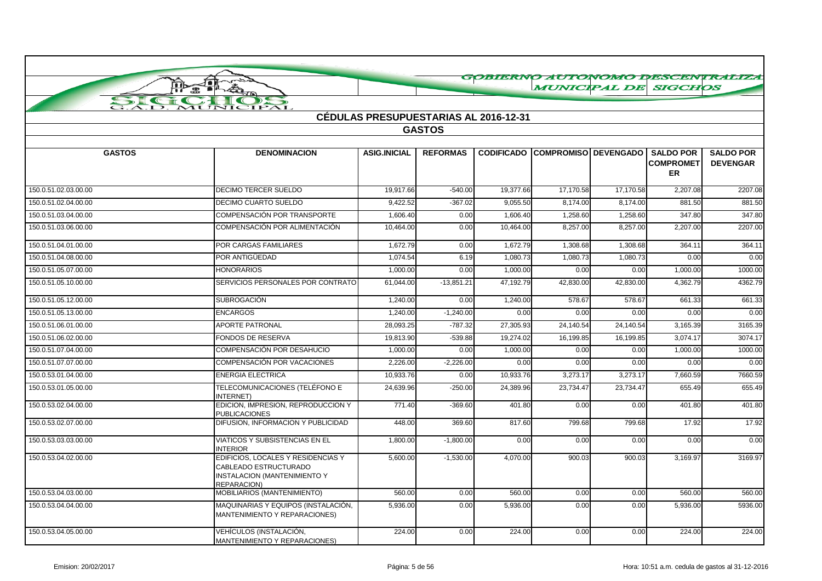|                      |                                                                                                                   |                                              |                 |                   |                             | <b>MUNICIPAL DE</b> | <b>SIGCHOS</b>                       | GOBIERNO AUTONOMO DESCENTRALIZA     |
|----------------------|-------------------------------------------------------------------------------------------------------------------|----------------------------------------------|-----------------|-------------------|-----------------------------|---------------------|--------------------------------------|-------------------------------------|
|                      | $\rightarrow$                                                                                                     |                                              |                 |                   |                             |                     |                                      |                                     |
|                      | <b>HPAL</b>                                                                                                       |                                              |                 |                   |                             |                     |                                      |                                     |
|                      |                                                                                                                   | <b>CÉDULAS PRESUPUESTARIAS AL 2016-12-31</b> |                 |                   |                             |                     |                                      |                                     |
|                      |                                                                                                                   |                                              | <b>GASTOS</b>   |                   |                             |                     |                                      |                                     |
| <b>GASTOS</b>        | <b>DENOMINACION</b>                                                                                               | <b>ASIG.INICIAL</b>                          | <b>REFORMAS</b> | <b>CODIFICADO</b> | <b>COMPROMISO DEVENGADO</b> |                     | <b>SALDO POR</b><br><b>COMPROMET</b> | <b>SALDO POR</b><br><b>DEVENGAR</b> |
|                      |                                                                                                                   |                                              |                 |                   |                             |                     | <b>ER</b>                            |                                     |
| 150.0.51.02.03.00.00 | <b>DECIMO TERCER SUELDO</b>                                                                                       | 19,917.66                                    | $-540.00$       | 19,377.66         | 17,170.58                   | 17,170.58           | 2,207.08                             | 2207.08                             |
| 150.0.51.02.04.00.00 | <b>DECIMO CUARTO SUELDO</b>                                                                                       | 9,422.52                                     | $-367.02$       | 9,055.50          | 8,174.00                    | 8,174.00            | 881.50                               | 881.50                              |
| 150.0.51.03.04.00.00 | COMPENSACIÓN POR TRANSPORTE                                                                                       | 1,606.40                                     | 0.00            | 1,606.40          | 1,258.60                    | 1,258.60            | 347.80                               | 347.80                              |
| 150.0.51.03.06.00.00 | COMPENSACIÓN POR ALIMENTACIÓN                                                                                     | 10.464.00                                    | 0.00            | 10.464.00         | 8.257.00                    | 8.257.00            | 2.207.00                             | 2207.00                             |
| 150.0.51.04.01.00.00 | POR CARGAS FAMILIARES                                                                                             | 1,672.79                                     | 0.00            | 1,672.79          | 1,308.68                    | 1,308.68            | 364.1'                               | 364.11                              |
| 150.0.51.04.08.00.00 | POR ANTIGÜEDAD                                                                                                    | 1,074.54                                     | 6.19            | 1,080.73          | 1,080.73                    | 1,080.73            | 0.00                                 | 0.00                                |
| 150.0.51.05.07.00.00 | <b>HONORARIOS</b>                                                                                                 | 1,000.00                                     | 0.00            | 1,000.00          | 0.00                        | 0.00                | 1,000.00                             | 1000.00                             |
| 150.0.51.05.10.00.00 | SERVICIOS PERSONALES POR CONTRATO                                                                                 | 61,044.00                                    | $-13,851.21$    | 47,192.79         | 42,830.00                   | 42,830.00           | 4,362.79                             | 4362.79                             |
| 150.0.51.05.12.00.00 | <b>SUBROGACIÓN</b>                                                                                                | 1,240.00                                     | 0.00            | 1,240.00          | 578.67                      | 578.67              | 661.33                               | 661.33                              |
| 150.0.51.05.13.00.00 | <b>ENCARGOS</b>                                                                                                   | 1,240.00                                     | $-1,240.00$     | 0.00              | 0.00                        | 0.00                | 0.00                                 | 0.00                                |
| 150.0.51.06.01.00.00 | <b>APORTE PATRONAL</b>                                                                                            | 28,093.25                                    | $-787.32$       | 27,305.93         | 24,140.54                   | 24,140.54           | 3,165.39                             | 3165.39                             |
| 150.0.51.06.02.00.00 | <b>FONDOS DE RESERVA</b>                                                                                          | 19,813.90                                    | $-539.88$       | 19,274.02         | 16,199.85                   | 16.199.85           | 3.074.17                             | 3074.17                             |
| 150.0.51.07.04.00.00 | COMPENSACIÓN POR DESAHUCIO                                                                                        | 1,000.00                                     | 0.00            | 1,000.00          | 0.00                        | 0.00                | 1,000.00                             | 1000.00                             |
| 150.0.51.07.07.00.00 | COMPENSACIÓN POR VACACIONES                                                                                       | 2,226.00                                     | $-2,226.00$     | 0.00              | 0.00                        | 0.00                | 0.00                                 | 0.00                                |
| 150.0.53.01.04.00.00 | <b>ENERGIA ELECTRICA</b>                                                                                          | 10,933.76                                    | 0.00            | 10,933.76         | 3,273.17                    | 3,273.17            | 7,660.59                             | 7660.59                             |
| 150.0.53.01.05.00.00 | TELECOMUNICACIONES (TELÉFONO E<br><b>INTERNET</b>                                                                 | 24,639.96                                    | $-250.00$       | 24,389.96         | 23,734.47                   | 23,734.47           | 655.49                               | 655.49                              |
| 150.0.53.02.04.00.00 | EDICION, IMPRESION, REPRODUCCION Y<br><b>PUBLICACIONES</b>                                                        | 771.40                                       | $-369.60$       | 401.80            | 0.00                        | 0.00                | 401.80                               | 401.80                              |
| 150.0.53.02.07.00.00 | DIFUSION, INFORMACION Y PUBLICIDAD                                                                                | 448.00                                       | 369.60          | 817.60            | 799.68                      | 799.68              | 17.92                                | 17.92                               |
| 150.0.53.03.03.00.00 | VIATICOS Y SUBSISTENCIAS EN EL<br><b>INTERIOR</b>                                                                 | 1,800.00                                     | $-1,800.00$     | 0.00              | 0.00                        | 0.00                | 0.00                                 | 0.00                                |
| 150.0.53.04.02.00.00 | EDIFICIOS, LOCALES Y RESIDENCIAS Y<br>CABLEADO ESTRUCTURADO<br><b>INSTALACION (MANTENIMIENTO Y</b><br>REPARACION) | 5,600.00                                     | $-1,530.00$     | 4,070.00          | 900.03                      | 900.03              | 3,169.97                             | 3169.97                             |
| 150.0.53.04.03.00.00 | MOBILIARIOS (MANTENIMIENTO)                                                                                       | 560.00                                       | 0.00            | 560.00            | 0.00                        | 0.00                | 560.00                               | 560.00                              |
| 150.0.53.04.04.00.00 | MAQUINARIAS Y EQUIPOS (INSTALACIÓN,<br><b>MANTENIMIENTO Y REPARACIONES)</b>                                       | 5,936.00                                     | 0.00            | 5,936.00          | 0.00                        | 0.00                | 5,936.00                             | 5936.00                             |
| 150.0.53.04.05.00.00 | VEHÍCULOS (INSTALACIÓN,<br>MANTENIMIENTO Y REPARACIONES)                                                          | 224.00                                       | 0.00            | 224.00            | 0.00                        | 0.00                | 224.00                               | 224.00                              |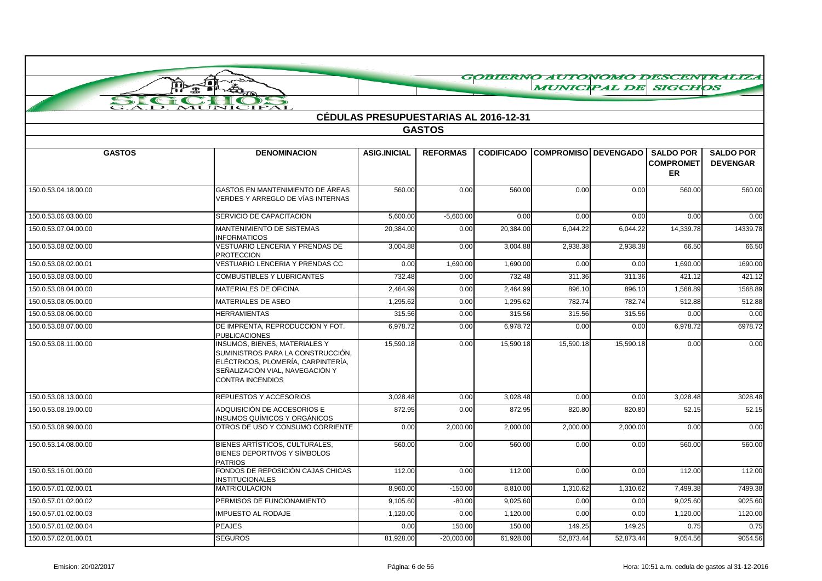|                      | J∎i<br>ŢÞ                                                                                                                                                                     |                                              |                 |           |                                             |           |                               | GOBIERNO AUTONOMO DESCENTRALIZA     |
|----------------------|-------------------------------------------------------------------------------------------------------------------------------------------------------------------------------|----------------------------------------------|-----------------|-----------|---------------------------------------------|-----------|-------------------------------|-------------------------------------|
|                      |                                                                                                                                                                               |                                              |                 |           | <b>MUNICIPAL DE SIGCHOS</b>                 |           |                               |                                     |
|                      | MUNICIPAL                                                                                                                                                                     |                                              |                 |           |                                             |           |                               |                                     |
|                      |                                                                                                                                                                               | <b>CÉDULAS PRESUPUESTARIAS AL 2016-12-31</b> |                 |           |                                             |           |                               |                                     |
|                      |                                                                                                                                                                               |                                              | <b>GASTOS</b>   |           |                                             |           |                               |                                     |
|                      |                                                                                                                                                                               |                                              |                 |           |                                             |           |                               |                                     |
| <b>GASTOS</b>        | <b>DENOMINACION</b>                                                                                                                                                           | <b>ASIG.INICIAL</b>                          | <b>REFORMAS</b> |           | CODIFICADO COMPROMISO DEVENGADO I SALDO POR |           | <b>COMPROMET</b><br><b>ER</b> | <b>SALDO POR</b><br><b>DEVENGAR</b> |
| 150.0.53.04.18.00.00 | GASTOS EN MANTENIMIENTO DE ÁREAS<br>VERDES Y ARREGLO DE VÍAS INTERNAS                                                                                                         | 560.00                                       | 0.00            | 560.00    | 0.00                                        | 0.00      | 560.00                        | 560.00                              |
| 150.0.53.06.03.00.00 | SERVICIO DE CAPACITACION                                                                                                                                                      | 5,600.00                                     | $-5,600.00$     | 0.00      | 0.00                                        | 0.00      | 0.00                          | 0.00                                |
| 150.0.53.07.04.00.00 | <b>MANTENIMIENTO DE SISTEMAS</b><br><b>INFORMATICOS</b>                                                                                                                       | 20,384.00                                    | 0.00            | 20,384.00 | 6,044.22                                    | 6,044.22  | 14,339.78                     | 14339.78                            |
| 150.0.53.08.02.00.00 | VESTUARIO LENCERIA Y PRENDAS DE<br><b>PROTECCION</b>                                                                                                                          | 3,004.88                                     | 0.00            | 3,004.88  | 2,938.38                                    | 2,938.38  | 66.50                         | 66.50                               |
| 150.0.53.08.02.00.01 | VESTUARIO LENCERIA Y PRENDAS CC                                                                                                                                               | 0.00                                         | 1,690.00        | 1,690.00  | 0.00                                        | 0.00      | 1,690.00                      | 1690.00                             |
| 150.0.53.08.03.00.00 | <b>COMBUSTIBLES Y LUBRICANTES</b>                                                                                                                                             | 732.48                                       | 0.00            | 732.48    | 311.36                                      | 311.36    | 421.12                        | 421.12                              |
| 150.0.53.08.04.00.00 | <b>MATERIALES DE OFICINA</b>                                                                                                                                                  | 2,464.99                                     | 0.00            | 2,464.99  | 896.10                                      | 896.10    | 1,568.89                      | 1568.89                             |
| 150.0.53.08.05.00.00 | MATERIALES DE ASEO                                                                                                                                                            | 1,295.62                                     | 0.00            | 1,295.62  | 782.74                                      | 782.74    | 512.88                        | 512.88                              |
| 150.0.53.08.06.00.00 | <b>HERRAMIENTAS</b>                                                                                                                                                           | 315.56                                       | 0.00            | 315.56    | 315.56                                      | 315.56    | 0.00                          | 0.00                                |
| 150.0.53.08.07.00.00 | DE IMPRENTA, REPRODUCCION Y FOT.<br><b>PUBLICACIONES</b>                                                                                                                      | 6,978.72                                     | 0.00            | 6,978.72  | 0.00                                        | 0.00      | 6,978.72                      | 6978.72                             |
| 150.0.53.08.11.00.00 | <b>INSUMOS, BIENES, MATERIALES Y</b><br>SUMINISTROS PARA LA CONSTRUCCIÓN,<br>ELÉCTRICOS. PLOMERÍA. CARPINTERÍA.<br>SEÑALIZACIÓN VIAL, NAVEGACIÓN Y<br><b>CONTRA INCENDIOS</b> | 15,590.18                                    | 0.00            | 15,590.18 | 15,590.18                                   | 15,590.18 | 0.00                          | 0.00                                |
| 150.0.53.08.13.00.00 | REPUESTOS Y ACCESORIOS                                                                                                                                                        | 3,028.48                                     | 0.00            | 3,028.48  | 0.00                                        | 0.00      | 3,028.48                      | 3028.48                             |
| 150.0.53.08.19.00.00 | ADQUISICIÓN DE ACCESORIOS E<br>INSUMOS QUÍMICOS Y ORGÁNICOS                                                                                                                   | 872.95                                       | 0.00            | 872.95    | 820.80                                      | 820.80    | 52.15                         | 52.15                               |
| 150.0.53.08.99.00.00 | OTROS DE USO Y CONSUMO CORRIENTE                                                                                                                                              | 0.00                                         | 2,000.00        | 2,000.00  | 2,000.00                                    | 2,000.00  | 0.00                          | 0.00                                |
| 150.0.53.14.08.00.00 | BIENES ARTÍSTICOS, CULTURALES.<br>BIENES DEPORTIVOS Y SÍMBOLOS<br><b>PATRIOS</b>                                                                                              | 560.00                                       | 0.00            | 560.00    | 0.00                                        | 0.00      | 560.00                        | 560.00                              |
| 150.0.53.16.01.00.00 | FONDOS DE REPOSICIÓN CAJAS CHICAS<br><b>INSTITUCIONALES</b>                                                                                                                   | 112.00                                       | 0.00            | 112.00    | 0.00                                        | 0.00      | 112.00                        | 112.00                              |
| 150.0.57.01.02.00.01 | <b>MATRICULACION</b>                                                                                                                                                          | 8.960.00                                     | $-150.00$       | 8,810.00  | 1,310.62                                    | 1,310.62  | 7,499.38                      | 7499.38                             |
| 150.0.57.01.02.00.02 | PERMISOS DE FUNCIONAMIENTO                                                                                                                                                    | 9,105.60                                     | $-80.00$        | 9.025.60  | 0.00                                        | 0.00      | 9,025.60                      | 9025.60                             |
| 150.0.57.01.02.00.03 | <b>IMPUESTO AL RODAJE</b>                                                                                                                                                     | 1,120.00                                     | 0.00            | 1,120.00  | 0.00                                        | 0.00      | 1,120.00                      | 1120.00                             |
| 150.0.57.01.02.00.04 | <b>PEAJES</b>                                                                                                                                                                 | 0.00                                         | 150.00          | 150.00    | 149.25                                      | 149.25    | 0.75                          | 0.75                                |
| 150.0.57.02.01.00.01 | <b>SEGUROS</b>                                                                                                                                                                | 81,928.00                                    | $-20,000.00$    | 61.928.00 | 52.873.44                                   | 52.873.44 | 9,054.56                      | 9054.56                             |

 $\curvearrowright$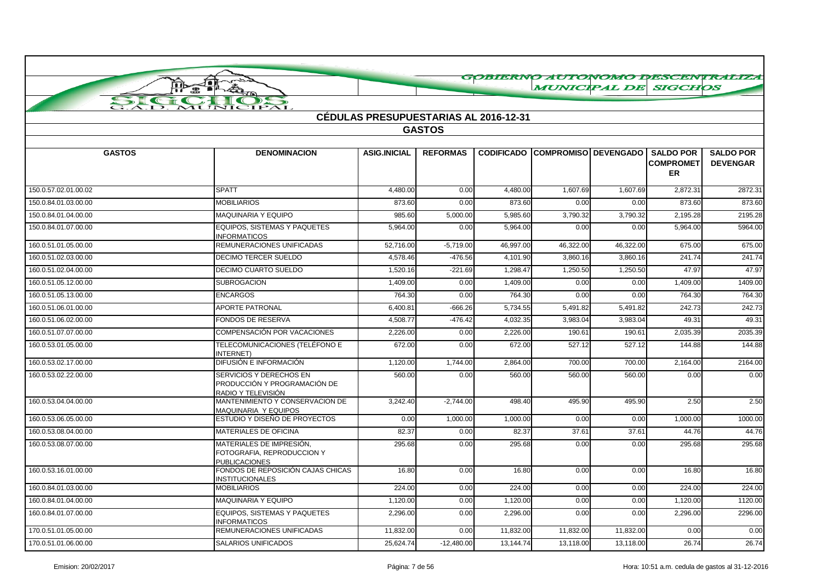|                      |                                                                                |                                              |                 |                       |                        |           |                                                   | GOBIERNO AUTONOMO DESCENTRALIZA     |
|----------------------|--------------------------------------------------------------------------------|----------------------------------------------|-----------------|-----------------------|------------------------|-----------|---------------------------------------------------|-------------------------------------|
|                      | Joi<br>$\mathbf{B}$                                                            |                                              |                 |                       | <b>MUNICIPAL DE</b>    |           | <b>SIGCHOS</b>                                    |                                     |
| $\sum$<br><b>TT</b>  | ⊃                                                                              |                                              |                 |                       |                        |           |                                                   |                                     |
|                      | ZIPAI                                                                          | <b>CÉDULAS PRESUPUESTARIAS AL 2016-12-31</b> |                 |                       |                        |           |                                                   |                                     |
|                      |                                                                                |                                              | <b>GASTOS</b>   |                       |                        |           |                                                   |                                     |
|                      |                                                                                |                                              |                 |                       |                        |           |                                                   |                                     |
| <b>GASTOS</b>        | <b>DENOMINACION</b>                                                            | <b>ASIG.INICIAL</b>                          | <b>REFORMAS</b> | <b>CODIFICADO</b>     | COMPROMISO   DEVENGADO |           | <b>SALDO POR</b><br><b>COMPROMET</b><br><b>ER</b> | <b>SALDO POR</b><br><b>DEVENGAR</b> |
| 150.0.57.02.01.00.02 | <b>SPATT</b>                                                                   | 4,480.00                                     | 0.00            | 4,480.00              | 1,607.69               | 1,607.69  | 2,872.31                                          | 2872.31                             |
| 150.0.84.01.03.00.00 | <b>MOBILIARIOS</b>                                                             | 873.60                                       | 0.00            | 873.60                | 0.00                   | 0.00      | 873.60                                            | 873.60                              |
| 150.0.84.01.04.00.00 | MAQUINARIA Y EQUIPO                                                            | 985.60                                       | 5,000.00        | 5,985.60              | 3,790.32               | 3,790.32  | 2,195.28                                          | 2195.28                             |
| 150.0.84.01.07.00.00 | <b>EQUIPOS, SISTEMAS Y PAQUETES</b><br><b>INFORMATICOS</b>                     | 5,964.00                                     | 0.00            | $\overline{5,964.00}$ | 0.00                   | 0.00      | 5,964.00                                          | 5964.00                             |
| 160.0.51.01.05.00.00 | REMUNERACIONES UNIFICADAS                                                      | 52.716.00                                    | $-5.719.00$     | 46.997.00             | 46,322.00              | 46.322.00 | 675.00                                            | 675.00                              |
| 160.0.51.02.03.00.00 | <b>DECIMO TERCER SUELDO</b>                                                    | 4,578.46                                     | $-476.56$       | 4,101.90              | 3,860.16               | 3,860.16  | 241.74                                            | 241.74                              |
| 160.0.51.02.04.00.00 | <b>DECIMO CUARTO SUELDO</b>                                                    | 1,520.16                                     | $-221.69$       | 1,298.4               | 1,250.50               | 1,250.50  | 47.97                                             | 47.97                               |
| 160.0.51.05.12.00.00 | <b>SUBROGACION</b>                                                             | 1,409.00                                     | 0.00            | 1,409.00              | 0.00                   | 0.00      | 1,409.00                                          | 1409.00                             |
| 160.0.51.05.13.00.00 | <b>ENCARGOS</b>                                                                | 764.30                                       | 0.00            | 764.30                | 0.00                   | 0.00      | 764.30                                            | 764.30                              |
| 160.0.51.06.01.00.00 | <b>APORTE PATRONAL</b>                                                         | 6,400.81                                     | $-666.26$       | 5,734.55              | 5,491.82               | 5,491.82  | 242.73                                            | 242.73                              |
| 160.0.51.06.02.00.00 | FONDOS DE RESERVA                                                              | 4,508.77                                     | $-476.42$       | 4,032.35              | 3,983.04               | 3,983.04  | 49.31                                             | 49.31                               |
| 160.0.51.07.07.00.00 | COMPENSACIÓN POR VACACIONES                                                    | 2,226.00                                     | 0.00            | 2,226.00              | 190.61                 | 190.61    | 2,035.39                                          | 2035.39                             |
| 160.0.53.01.05.00.00 | TELECOMUNICACIONES (TELÉFONO E<br><b>INTERNET</b>                              | 672.00                                       | 0.00            | 672.00                | 527.12                 | 527.12    | 144.88                                            | 144.88                              |
| 160.0.53.02.17.00.00 | DIFUSIÓN E INFORMACIÓN                                                         | 1,120.00                                     | 1,744.00        | 2,864.00              | 700.00                 | 700.00    | $\overline{2,}164.00$                             | 2164.00                             |
| 160.0.53.02.22.00.00 | SERVICIOS Y DERECHOS EN<br>PRODUCCIÓN Y PROGRAMACIÓN DE<br>RADIO Y TELEVISIÓN  | 560.00                                       | 0.00            | 560.00                | 560.00                 | 560.00    | 0.00                                              | 0.00                                |
| 160.0.53.04.04.00.00 | MANTENIMIENTO Y CONSERVACION DE<br>MAQUINARIA Y EQUIPOS                        | 3,242.40                                     | $-2,744.00$     | 498.40                | 495.90                 | 495.90    | 2.50                                              | 2.50                                |
| 160.0.53.06.05.00.00 | ESTUDIO Y DISEÑO DE PROYECTOS                                                  | 0.00                                         | 1,000.00        | 1,000.00              | 0.00                   | 0.00      | 1,000.00                                          | 1000.00                             |
| 160.0.53.08.04.00.00 | MATERIALES DE OFICINA                                                          | 82.37                                        | 0.00            | 82.37                 | 37.61                  | 37.61     | 44.76                                             | 44.76                               |
| 160.0.53.08.07.00.00 | MATERIALES DE IMPRESIÓN.<br>FOTOGRAFIA, REPRODUCCION Y<br><b>PUBLICACIONES</b> | 295.68                                       | 0.00            | 295.68                | 0.00                   | 0.00      | 295.68                                            | 295.68                              |
| 160.0.53.16.01.00.00 | FONDOS DE REPOSICIÓN CAJAS CHICAS<br><b>INSTITUCIONALES</b>                    | 16.80                                        | 0.00            | 16.80                 | 0.00                   | 0.00      | 16.80                                             | 16.80                               |
| 160.0.84.01.03.00.00 | <b>MOBILIARIOS</b>                                                             | 224.00                                       | 0.00            | 224.00                | 0.00                   | 0.00      | 224.00                                            | 224.00                              |
| 160.0.84.01.04.00.00 | MAQUINARIA Y EQUIPO                                                            | 1,120.00                                     | 0.00            | 1,120.00              | 0.00                   | 0.00      | 1,120.00                                          | 1120.00                             |
| 160.0.84.01.07.00.00 | EQUIPOS, SISTEMAS Y PAQUETES<br><b>INFORMATICOS</b>                            | 2,296.00                                     | 0.00            | 2,296.00              | 0.00                   | 0.00      | 2,296.00                                          | 2296.00                             |
| 170.0.51.01.05.00.00 | REMUNERACIONES UNIFICADAS                                                      | 11,832.00                                    | 0.00            | 11,832.00             | 11,832.00              | 11,832.00 | 0.00                                              | 0.00                                |
| 170.0.51.01.06.00.00 | <b>SALARIOS UNIFICADOS</b>                                                     | 25,624.74                                    | $-12,480.00$    | 13,144.74             | 13,118.00              | 13,118.00 | 26.74                                             | 26.74                               |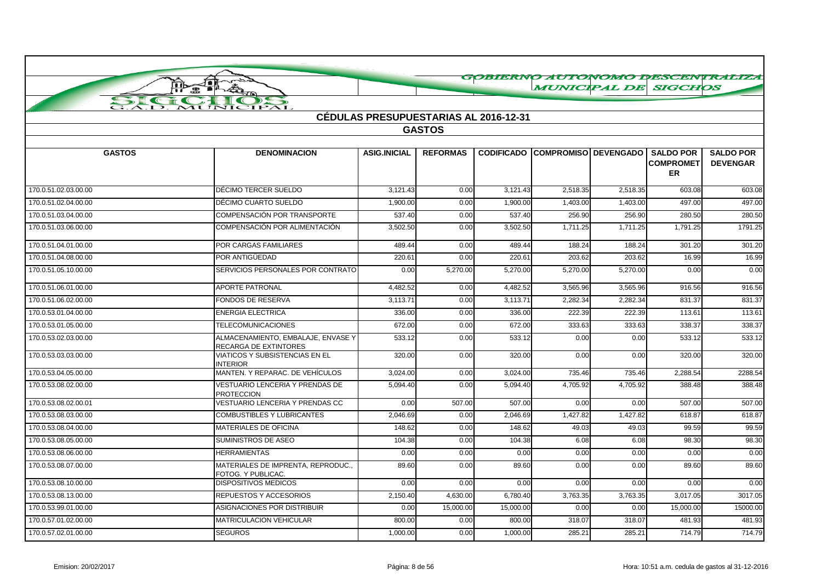|                      |                                                                    |                                              |                 |           |                                                    |          |                        | GOBIERNO AUTONOMO DESCENTRALIZA     |
|----------------------|--------------------------------------------------------------------|----------------------------------------------|-----------------|-----------|----------------------------------------------------|----------|------------------------|-------------------------------------|
|                      | STATISTICS<br>ļф                                                   |                                              |                 |           | <b>MUNICIPAL DE SIGCHOS</b>                        |          |                        |                                     |
| SIGN                 | MUNICIPAL                                                          |                                              |                 |           |                                                    |          |                        |                                     |
|                      |                                                                    | <b>CÉDULAS PRESUPUESTARIAS AL 2016-12-31</b> |                 |           |                                                    |          |                        |                                     |
|                      |                                                                    |                                              | <b>GASTOS</b>   |           |                                                    |          |                        |                                     |
|                      |                                                                    |                                              |                 |           |                                                    |          |                        |                                     |
| <b>GASTOS</b>        | <b>DENOMINACION</b>                                                | <b>ASIG.INICIAL</b>                          | <b>REFORMAS</b> |           | <b>CODIFICADO COMPROMISO DEVENGADO I SALDO POR</b> |          | <b>COMPROMET</b><br>ER | <b>SALDO POR</b><br><b>DEVENGAR</b> |
| 170.0.51.02.03.00.00 | DÉCIMO TERCER SUELDO                                               | 3.121.43                                     | 0.00            | 3.121.43  | 2,518.35                                           | 2,518.35 | 603.08                 | 603.08                              |
| 170.0.51.02.04.00.00 | DÉCIMO CUARTO SUELDO                                               | 1,900.00                                     | 0.00            | 1,900.00  | 1,403.00                                           | 1,403.00 | 497.00                 | 497.00                              |
| 170.0.51.03.04.00.00 | COMPENSACIÓN POR TRANSPORTE                                        | 537.40                                       | 0.00            | 537.40    | 256.90                                             | 256.90   | 280.50                 | 280.50                              |
| 170.0.51.03.06.00.00 | COMPENSACIÓN POR ALIMENTACIÓN                                      | 3,502.50                                     | 0.00            | 3,502.50  | 1,711.25                                           | 1,711.25 | 1,791.25               | 1791.25                             |
| 170.0.51.04.01.00.00 | <b>POR CARGAS FAMILIARES</b>                                       | 489.44                                       | 0.00            | 489.44    | 188.24                                             | 188.24   | 301.20                 | 301.20                              |
| 170.0.51.04.08.00.00 | POR ANTIGÜEDAD                                                     | 220.61                                       | 0.00            | 220.61    | 203.62                                             | 203.62   | 16.99                  | 16.99                               |
| 170.0.51.05.10.00.00 | SERVICIOS PERSONALES POR CONTRATO                                  | 0.00                                         | 5,270.00        | 5,270.00  | 5,270.00                                           | 5,270.00 | 0.00                   | 0.00                                |
| 170.0.51.06.01.00.00 | <b>APORTE PATRONAL</b>                                             | 4,482.52                                     | 0.00            | 4,482.52  | 3,565.96                                           | 3,565.96 | 916.56                 | 916.56                              |
| 170.0.51.06.02.00.00 | FONDOS DE RESERVA                                                  | 3,113.71                                     | 0.00            | 3,113.71  | 2,282.34                                           | 2,282.34 | 831.37                 | 831.37                              |
| 170.0.53.01.04.00.00 | <b>ENERGIA ELECTRICA</b>                                           | 336.00                                       | 0.00            | 336.00    | 222.39                                             | 222.39   | 113.61                 | 113.61                              |
| 170.0.53.01.05.00.00 | <b>TELECOMUNICACIONES</b>                                          | 672.00                                       | 0.00            | 672.00    | 333.63                                             | 333.63   | 338.37                 | 338.37                              |
| 170.0.53.02.03.00.00 | ALMACENAMIENTO, EMBALAJE, ENVASE Y<br><b>RECARGA DE EXTINTORES</b> | 533.12                                       | 0.00            | 533.12    | 0.00                                               | 0.00     | 533.12                 | 533.12                              |
| 170.0.53.03.03.00.00 | VIATICOS Y SUBSISTENCIAS EN EL<br><b>INTERIOR</b>                  | 320.00                                       | 0.00            | 320.00    | 0.00                                               | 0.00     | 320.00                 | 320.00                              |
| 170.0.53.04.05.00.00 | MANTEN. Y REPARAC. DE VEHÍCULOS                                    | 3,024.00                                     | 0.00            | 3,024.00  | 735.46                                             | 735.46   | 2,288.54               | 2288.54                             |
| 170.0.53.08.02.00.00 | VESTUARIO LENCERIA Y PRENDAS DE<br><b>PROTECCION</b>               | 5,094.40                                     | 0.00            | 5.094.40  | 4.705.92                                           | 4,705.92 | 388.48                 | 388.48                              |
| 170.0.53.08.02.00.01 | VESTUARIO LENCERIA Y PRENDAS CC                                    | 0.00                                         | 507.00          | 507.00    | 0.00                                               | 0.00     | 507.00                 | 507.00                              |
| 170.0.53.08.03.00.00 | <b>COMBUSTIBLES Y LUBRICANTES</b>                                  | 2.046.69                                     | 0.00            | 2.046.69  | 1.427.82                                           | 1,427.82 | 618.87                 | 618.87                              |
| 170.0.53.08.04.00.00 | MATERIALES DE OFICINA                                              | 148.62                                       | 0.00            | 148.62    | 49.03                                              | 49.03    | 99.59                  | 99.59                               |
| 170.0.53.08.05.00.00 | SUMINISTROS DE ASEO                                                | 104.38                                       | 0.00            | 104.38    | 6.08                                               | 6.08     | 98.30                  | 98.30                               |
| 170.0.53.08.06.00.00 | <b>HERRAMIENTAS</b>                                                | 0.00                                         | 0.00            | 0.00      | 0.00                                               | 0.00     | 0.00                   | 0.00                                |
| 170.0.53.08.07.00.00 | MATERIALES DE IMPRENTA, REPRODUC.,<br>FOTOG. Y PUBLICAC.           | 89.60                                        | 0.00            | 89.60     | 0.00                                               | 0.00     | 89.60                  | 89.60                               |
| 170.0.53.08.10.00.00 | <b>DISPOSITIVOS MEDICOS</b>                                        | 0.00                                         | 0.00            | 0.00      | 0.00                                               | 0.00     | 0.00                   | 0.00                                |
| 170.0.53.08.13.00.00 | REPUESTOS Y ACCESORIOS                                             | 2,150.40                                     | 4,630.00        | 6,780.40  | 3,763.35                                           | 3,763.35 | 3,017.05               | 3017.05                             |
| 170.0.53.99.01.00.00 | ASIGNACIONES POR DISTRIBUIR                                        | 0.00                                         | 15,000.00       | 15,000.00 | 0.00                                               | 0.00     | 15,000.00              | 15000.00                            |
| 170.0.57.01.02.00.00 | <b>MATRICULACION VEHICULAR</b>                                     | 800.00                                       | 0.00            | 800.00    | 318.07                                             | 318.07   | 481.93                 | 481.93                              |
| 170.0.57.02.01.00.00 | <b>SEGUROS</b>                                                     | 1,000.00                                     | 0.00            | 1,000.00  | 285.21                                             | 285.21   | 714.79                 | 714.79                              |

# Emision: 20/02/2017 Página: 8 de 56 Hora: 10:51 a.m. cedula de gastos al 31-12-2016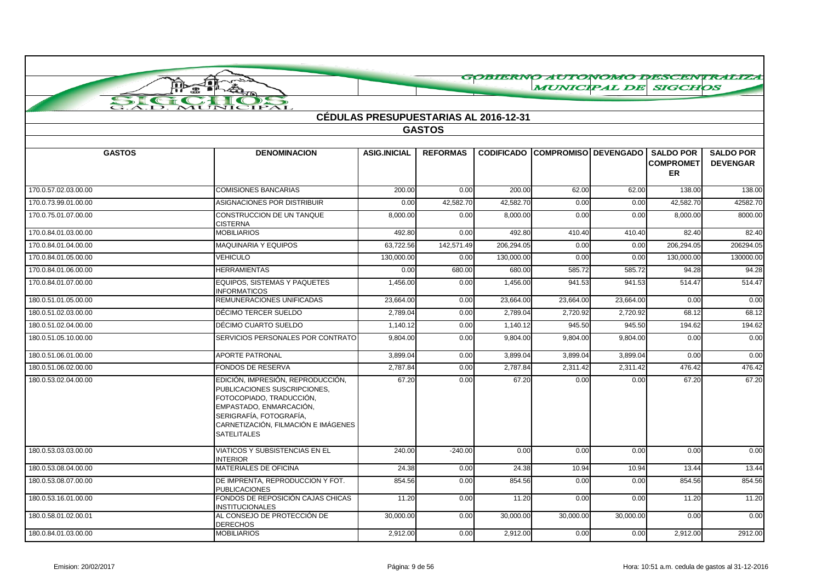|                      | 不合<br>ļф                                                                                                                                                                                                         |                     |                                       |                   | <b>MUNICIPAL DE SIGCHOS</b> |           |                                                   | GOBIERNO AUTONOMO DESCENTRALIZA     |
|----------------------|------------------------------------------------------------------------------------------------------------------------------------------------------------------------------------------------------------------|---------------------|---------------------------------------|-------------------|-----------------------------|-----------|---------------------------------------------------|-------------------------------------|
|                      | A<br>∰                                                                                                                                                                                                           |                     |                                       |                   |                             |           |                                                   |                                     |
|                      | <b>IPAL</b><br>JIC                                                                                                                                                                                               |                     |                                       |                   |                             |           |                                                   |                                     |
|                      |                                                                                                                                                                                                                  |                     | CÉDULAS PRESUPUESTARIAS AL 2016-12-31 |                   |                             |           |                                                   |                                     |
|                      |                                                                                                                                                                                                                  |                     | <b>GASTOS</b>                         |                   |                             |           |                                                   |                                     |
|                      |                                                                                                                                                                                                                  |                     |                                       |                   |                             |           |                                                   |                                     |
| <b>GASTOS</b>        | <b>DENOMINACION</b>                                                                                                                                                                                              | <b>ASIG.INICIAL</b> | <b>REFORMAS</b>                       | <b>CODIFICADO</b> | <b>COMPROMISO DEVENGADO</b> |           | <b>SALDO POR</b><br><b>COMPROMET</b><br><b>ER</b> | <b>SALDO POR</b><br><b>DEVENGAR</b> |
| 170.0.57.02.03.00.00 | <b>COMISIONES BANCARIAS</b>                                                                                                                                                                                      | 200.00              | 0.00                                  | 200.00            | 62.00                       | 62.00     | 138.00                                            | 138.00                              |
| 170.0.73.99.01.00.00 | ASIGNACIONES POR DISTRIBUIR                                                                                                                                                                                      | 0.00                | 42,582.70                             | 42,582.70         | 0.00                        | 0.00      | 42,582.70                                         | 42582.70                            |
| 170.0.75.01.07.00.00 | CONSTRUCCION DE UN TANQUE<br><b>CISTERNA</b>                                                                                                                                                                     | 8,000.00            | 0.00                                  | 8,000.00          | 0.00                        | 0.00      | 8,000.00                                          | 8000.00                             |
| 170.0.84.01.03.00.00 | <b>MOBILIARIOS</b>                                                                                                                                                                                               | 492.80              | 0.00                                  | 492.80            | 410.40                      | 410.40    | 82.40                                             | 82.40                               |
| 170.0.84.01.04.00.00 | MAQUINARIA Y EQUIPOS                                                                                                                                                                                             | 63,722.56           | 142,571.49                            | 206,294.05        | 0.00                        | 0.00      | 206,294.05                                        | 206294.05                           |
| 170.0.84.01.05.00.00 | <b>VEHICULO</b>                                                                                                                                                                                                  | 130,000.00          | 0.00                                  | 130,000.00        | 0.00                        | 0.00      | 130,000.00                                        | 130000.00                           |
| 170.0.84.01.06.00.00 | <b>HERRAMIENTAS</b>                                                                                                                                                                                              | 0.00                | 680.00                                | 680.00            | 585.72                      | 585.72    | 94.28                                             | 94.28                               |
| 170.0.84.01.07.00.00 | EQUIPOS, SISTEMAS Y PAQUETES<br><b>INFORMATICOS</b>                                                                                                                                                              | 1,456.00            | 0.00                                  | 1,456.00          | 941.53                      | 941.53    | 514.47                                            | 514.47                              |
| 180.0.51.01.05.00.00 | REMUNERACIONES UNIFICADAS                                                                                                                                                                                        | 23,664.00           | 0.00                                  | 23,664.00         | 23,664.00                   | 23,664.00 | 0.00                                              | 0.00                                |
| 180.0.51.02.03.00.00 | DÉCIMO TERCER SUELDO                                                                                                                                                                                             | 2,789.04            | 0.00                                  | 2,789.04          | 2,720.92                    | 2,720.92  | 68.12                                             | 68.12                               |
| 180.0.51.02.04.00.00 | DÉCIMO CUARTO SUELDO                                                                                                                                                                                             | 1,140.12            | 0.00                                  | 1,140.12          | 945.50                      | 945.50    | 194.62                                            | 194.62                              |
| 180.0.51.05.10.00.00 | SERVICIOS PERSONALES POR CONTRATO                                                                                                                                                                                | 9,804.00            | 0.00                                  | 9,804.00          | 9,804.00                    | 9,804.00  | 0.00                                              | 0.00                                |
| 180.0.51.06.01.00.00 | <b>APORTE PATRONAL</b>                                                                                                                                                                                           | 3.899.04            | 0.00                                  | 3.899.04          | 3.899.04                    | 3,899.04  | 0.00                                              | 0.00                                |
| 180.0.51.06.02.00.00 | <b>FONDOS DE RESERVA</b>                                                                                                                                                                                         | 2.787.84            | 0.00                                  | 2.787.84          | 2,311.42                    | 2,311.42  | 476.42                                            | 476.42                              |
| 180.0.53.02.04.00.00 | EDICIÓN, IMPRESIÓN, REPRODUCCIÓN,<br>PUBLICACIONES SUSCRIPCIONES,<br>FOTOCOPIADO, TRADUCCIÓN,<br>EMPASTADO, ENMARCACIÓN,<br>SERIGRAFÍA, FOTOGRAFÍA,<br>CARNETIZACIÓN, FILMACIÓN E IMÁGENES<br><b>SATELITALES</b> | 67.20               | 0.00                                  | 67.20             | 0.00                        | 0.00      | 67.20                                             | 67.20                               |
| 180.0.53.03.03.00.00 | <b>VIATICOS Y SUBSISTENCIAS EN EL</b><br><b>INTERIOR</b>                                                                                                                                                         | 240.00              | $-240.00$                             | 0.00              | 0.00                        | 0.00      | 0.00                                              | 0.00                                |
| 180.0.53.08.04.00.00 | <b>MATERIALES DE OFICINA</b>                                                                                                                                                                                     | 24.38               | 0.00                                  | 24.38             | 10.94                       | 10.94     | 13.44                                             | 13.44                               |
| 180.0.53.08.07.00.00 | DE IMPRENTA, REPRODUCCION Y FOT.<br><b>PUBLICACIONES</b>                                                                                                                                                         | 854.56              | 0.00                                  | 854.56            | 0.00                        | 0.00      | 854.56                                            | 854.56                              |
| 180.0.53.16.01.00.00 | FONDOS DE REPOSICIÓN CAJAS CHICAS<br><b>INSTITUCIONALES</b>                                                                                                                                                      | 11.20               | 0.00                                  | 11.20             | 0.00                        | 0.00      | 11.20                                             | 11.20                               |
| 180.0.58.01.02.00.01 | AL CONSEJO DE PROTECCIÓN DE<br><b>DERECHOS</b>                                                                                                                                                                   | 30,000.00           | 0.00                                  | 30,000.00         | 30,000.00                   | 30,000.00 | 0.00                                              | 0.00                                |
| 180.0.84.01.03.00.00 | <b>MOBILIARIOS</b>                                                                                                                                                                                               | 2.912.00            | 0.00                                  | 2,912.00          | 0.00                        | 0.00      | 2,912.00                                          | 2912.00                             |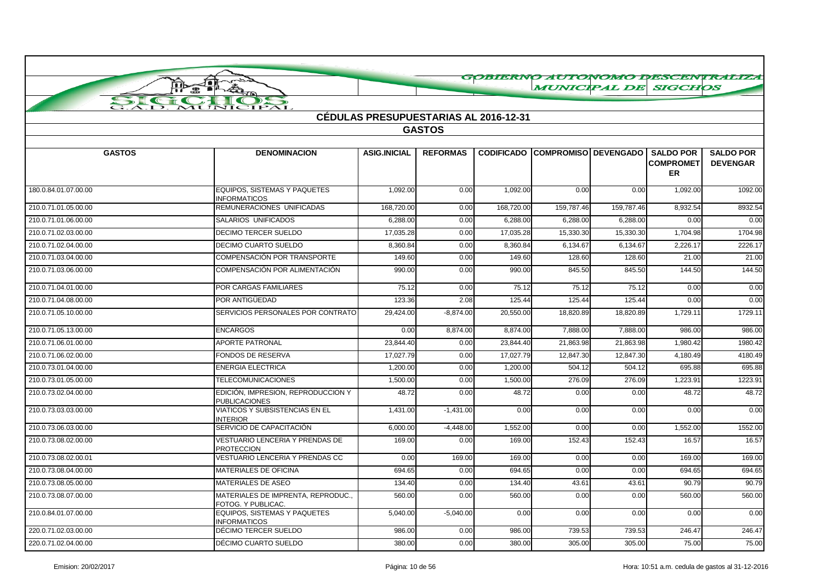|                      |                                                             |                     |                                              |                   |                             |            |                                            | GOBIERNO AUTONOMO I PESCENTRALIZA   |
|----------------------|-------------------------------------------------------------|---------------------|----------------------------------------------|-------------------|-----------------------------|------------|--------------------------------------------|-------------------------------------|
|                      | THE PLA                                                     |                     |                                              |                   | <b>MUNICIPAL DE SIGCHOS</b> |            |                                            |                                     |
| SI<br>$\epsilon$     | <b>IPAL</b><br>JNIC                                         |                     |                                              |                   |                             |            |                                            |                                     |
|                      |                                                             |                     | <b>CÉDULAS PRESUPUESTARIAS AL 2016-12-31</b> |                   |                             |            |                                            |                                     |
|                      |                                                             |                     | <b>GASTOS</b>                                |                   |                             |            |                                            |                                     |
|                      |                                                             |                     |                                              |                   |                             |            |                                            |                                     |
| <b>GASTOS</b>        | <b>DENOMINACION</b>                                         | <b>ASIG.INICIAL</b> | <b>REFORMAS</b>                              | <b>CODIFICADO</b> | COMPROMISO DEVENGADO I      |            | <b>SALDO POR</b><br><b>COMPROMET</b><br>ER | <b>SALDO POR</b><br><b>DEVENGAR</b> |
| 180.0.84.01.07.00.00 | <b>EQUIPOS, SISTEMAS Y PAQUETES</b><br><b>INFORMATICOS</b>  | 1,092.00            | 0.00                                         | 1,092.00          | 0.00                        | 0.00       | 1,092.00                                   | 1092.00                             |
| 210.0.71.01.05.00.00 | REMUNERACIONES UNIFICADAS                                   | 168,720.00          | 0.00                                         | 168,720.00        | 159,787.46                  | 159,787.46 | 8.932.54                                   | 8932.54                             |
| 210.0.71.01.06.00.00 | SALARIOS UNIFICADOS                                         | 6,288.00            | 0.00                                         | 6,288.00          | 6,288.00                    | 6,288.00   | 0.00                                       | 0.00                                |
| 210.0.71.02.03.00.00 | <b>DECIMO TERCER SUELDO</b>                                 | 17,035.28           | 0.00                                         | 17,035.28         | 15,330.30                   | 15,330.30  | 1,704.98                                   | 1704.98                             |
| 210.0.71.02.04.00.00 | DECIMO CUARTO SUELDO                                        | 8,360.84            | 0.00                                         | 8,360.84          | 6,134.67                    | 6,134.67   | 2,226.17                                   | 2226.17                             |
| 210.0.71.03.04.00.00 | COMPENSACIÓN POR TRANSPORTE                                 | 149.60              | 0.00                                         | 149.60            | 128.60                      | 128.60     | 21.00                                      | 21.00                               |
| 210.0.71.03.06.00.00 | COMPENSACIÓN POR ALIMENTACIÓN                               | 990.00              | 0.00                                         | 990.00            | 845.50                      | 845.50     | 144.50                                     | 144.50                              |
| 210.0.71.04.01.00.00 | <b>POR CARGAS FAMILIARES</b>                                | 75.12               | 0.00                                         | 75.12             | 75.12                       | 75.12      | 0.00                                       | 0.00                                |
| 210.0.71.04.08.00.00 | POR ANTIGÜEDAD                                              | 123.36              | 2.08                                         | 125.44            | 125.44                      | 125.44     | 0.00                                       | 0.00                                |
| 210.0.71.05.10.00.00 | SERVICIOS PERSONALES POR CONTRATO                           | 29,424.00           | $-8,874.00$                                  | 20,550.00         | 18,820.89                   | 18,820.89  | 1,729.11                                   | 1729.11                             |
| 210.0.71.05.13.00.00 | <b>ENCARGOS</b>                                             | 0.00                | 8,874.00                                     | 8,874.00          | 7,888.00                    | 7,888.00   | 986.00                                     | 986.00                              |
| 210.0.71.06.01.00.00 | APORTE PATRONAL                                             | 23,844.40           | 0.00                                         | 23,844.40         | 21,863.98                   | 21,863.98  | 1,980.42                                   | 1980.42                             |
| 210.0.71.06.02.00.00 | FONDOS DE RESERVA                                           | 17,027.79           | 0.00                                         | 17,027.79         | 12,847.30                   | 12,847.30  | 4,180.49                                   | 4180.49                             |
| 210.0.73.01.04.00.00 | <b>ENERGIA ELECTRICA</b>                                    | 1,200.00            | 0.00                                         | 1,200.00          | 504.12                      | 504.12     | 695.88                                     | 695.88                              |
| 210.0.73.01.05.00.00 | <b>TELECOMUNICACIONES</b>                                   | 1,500.00            | 0.00                                         | 1,500.00          | 276.09                      | 276.09     | 1,223.91                                   | 1223.91                             |
| 210.0.73.02.04.00.00 | EDICIÓN, IMPRESION, REPRODUCCION Y<br><b>PUBLICACIONES</b>  | 48.72               | 0.00                                         | 48.72             | 0.00                        | 0.00       | 48.72                                      | 48.72                               |
| 210.0.73.03.03.00.00 | VIATICOS Y SUBSISTENCIAS EN EL<br><b>INTERIOR</b>           | 1,431.00            | $-1,431.00$                                  | 0.00              | 0.00                        | 0.00       | 0.00                                       | 0.00                                |
| 210.0.73.06.03.00.00 | SERVICIO DE CAPACITACIÓN                                    | 6,000.00            | $-4,448.00$                                  | 1,552.00          | 0.00                        | 0.00       | 1,552.00                                   | 1552.00                             |
| 210.0.73.08.02.00.00 | <b>VESTUARIO LENCERIA Y PRENDAS DE</b><br><b>PROTECCION</b> | 169.00              | 0.00                                         | 169.00            | 152.43                      | 152.43     | 16.57                                      | 16.57                               |
| 210.0.73.08.02.00.01 | VESTUARIO LENCERIA Y PRENDAS CC                             | 0.00                | 169.00                                       | 169.00            | 0.00                        | 0.00       | 169.00                                     | 169.00                              |
| 210.0.73.08.04.00.00 | <b>MATERIALES DE OFICINA</b>                                | 694.65              | 0.00                                         | 694.65            | 0.00                        | 0.00       | 694.65                                     | 694.65                              |
| 210.0.73.08.05.00.00 | MATERIALES DE ASEO                                          | 134.40              | 0.00                                         | 134.40            | 43.61                       | 43.61      | 90.79                                      | 90.79                               |
| 210.0.73.08.07.00.00 | MATERIALES DE IMPRENTA, REPRODUC.,<br>FOTOG. Y PUBLICAC.    | 560.00              | 0.00                                         | 560.00            | 0.00                        | 0.00       | 560.00                                     | 560.00                              |
| 210.0.84.01.07.00.00 | EQUIPOS, SISTEMAS Y PAQUETES<br><b>INFORMATICOS</b>         | 5,040.00            | $-5,040.00$                                  | 0.00              | 0.00                        | 0.00       | 0.00                                       | 0.00                                |
| 220.0.71.02.03.00.00 | DÉCIMO TERCER SUELDO                                        | 986.00              | 0.00                                         | 986.00            | 739.53                      | 739.53     | 246.47                                     | 246.47                              |
| 220.0.71.02.04.00.00 | DÉCIMO CUARTO SUELDO                                        | 380.00              | 0.00                                         | 380.00            | 305.00                      | 305.00     | 75.00                                      | 75.00                               |

 $\curvearrowright$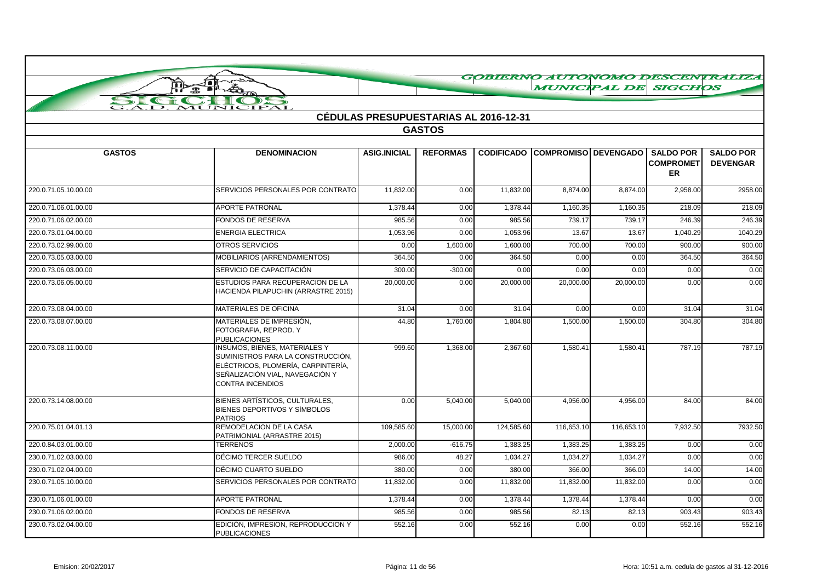|                      | 抓<br>ПÞ                                                                                                                                                                       |                     |                                              |            | <b>MUNICIPAL DE SIGCHOS</b>            |            |                                            | GOBIERNO AUTONOMO DESCENTRALIZA     |
|----------------------|-------------------------------------------------------------------------------------------------------------------------------------------------------------------------------|---------------------|----------------------------------------------|------------|----------------------------------------|------------|--------------------------------------------|-------------------------------------|
| SIGN                 | $\frac{1}{2}$<br>霊                                                                                                                                                            |                     |                                              |            |                                        |            |                                            |                                     |
|                      | MUNICIPAL                                                                                                                                                                     |                     |                                              |            |                                        |            |                                            |                                     |
|                      |                                                                                                                                                                               |                     | <b>CÉDULAS PRESUPUESTARIAS AL 2016-12-31</b> |            |                                        |            |                                            |                                     |
|                      |                                                                                                                                                                               |                     | <b>GASTOS</b>                                |            |                                        |            |                                            |                                     |
|                      |                                                                                                                                                                               |                     |                                              |            |                                        |            |                                            |                                     |
| <b>GASTOS</b>        | <b>DENOMINACION</b>                                                                                                                                                           | <b>ASIG.INICIAL</b> | <b>REFORMAS</b>                              |            | <b>CODIFICADO COMPROMISO DEVENGADO</b> |            | <b>SALDO POR</b><br><b>COMPROMET</b><br>ER | <b>SALDO POR</b><br><b>DEVENGAR</b> |
| 220.0.71.05.10.00.00 | SERVICIOS PERSONALES POR CONTRATO                                                                                                                                             | 11,832.00           | 0.00                                         | 11,832.00  | 8,874.00                               | 8,874.00   | 2,958.00                                   | 2958.00                             |
| 220.0.71.06.01.00.00 | <b>APORTE PATRONAL</b>                                                                                                                                                        | 1.378.44            | 0.00                                         | 1,378.44   | 1,160.35                               | 1,160.35   | 218.09                                     | 218.09                              |
| 220.0.71.06.02.00.00 | FONDOS DE RESERVA                                                                                                                                                             | 985.56              | 0.00                                         | 985.56     | 739.17                                 | 739.17     | 246.39                                     | 246.39                              |
| 220.0.73.01.04.00.00 | <b>ENERGIA ELECTRICA</b>                                                                                                                                                      | 1,053.96            | 0.00                                         | 1,053.96   | 13.67                                  | 13.67      | 1,040.29                                   | 1040.29                             |
| 220.0.73.02.99.00.00 | <b>OTROS SERVICIOS</b>                                                                                                                                                        | 0.00                | 1,600.00                                     | 1,600.00   | 700.00                                 | 700.00     | 900.00                                     | 900.00                              |
| 220.0.73.05.03.00.00 | MOBILIARIOS (ARRENDAMIENTOS)                                                                                                                                                  | 364.50              | 0.00                                         | 364.50     | 0.00                                   | 0.00       | 364.50                                     | 364.50                              |
| 220.0.73.06.03.00.00 | SERVICIO DE CAPACITACIÓN                                                                                                                                                      | 300.00              | $-300.00$                                    | 0.00       | 0.00                                   | 0.00       | 0.00                                       | 0.00                                |
| 220.0.73.06.05.00.00 | ESTUDIOS PARA RECUPERACION DE LA<br>HACIENDA PILAPUCHIN (ARRASTRE 2015)                                                                                                       | 20,000.00           | 0.00                                         | 20,000.00  | 20,000.00                              | 20,000.00  | 0.00                                       | 0.00                                |
| 220.0.73.08.04.00.00 | MATERIALES DE OFICINA                                                                                                                                                         | 31.04               | 0.00                                         | 31.04      | 0.00                                   | 0.00       | 31.04                                      | 31.04                               |
| 220.0.73.08.07.00.00 | MATERIALES DE IMPRESIÓN.<br>FOTOGRAFIA, REPROD. Y<br><b>PUBLICACIONES</b>                                                                                                     | 44.80               | 1,760.00                                     | 1,804.80   | 1,500.00                               | 1,500.00   | 304.80                                     | 304.80                              |
| 220.0.73.08.11.00.00 | <b>INSUMOS, BIENES, MATERIALES Y</b><br>SUMINISTROS PARA LA CONSTRUCCIÓN,<br>ELÉCTRICOS, PLOMERÍA, CARPINTERÍA,<br>SEÑALIZACIÓN VIAL. NAVEGACIÓN Y<br><b>CONTRA INCENDIOS</b> | 999.60              | 1,368.00                                     | 2,367.60   | 1,580.41                               | 1,580.41   | 787.19                                     | 787.19                              |
| 220.0.73.14.08.00.00 | BIENES ARTÍSTICOS, CULTURALES,<br>BIENES DEPORTIVOS Y SÍMBOLOS<br><b>PATRIOS</b>                                                                                              | 0.00                | 5,040.00                                     | 5,040.00   | 4,956.00                               | 4,956.00   | 84.00                                      | 84.00                               |
| 220.0.75.01.04.01.13 | REMODELACION DE LA CASA<br>PATRIMONIAL (ARRASTRE 2015)                                                                                                                        | 109,585.60          | 15,000.00                                    | 124,585.60 | 116,653.10                             | 116,653.10 | 7,932.50                                   | 7932.50                             |
| 220.0.84.03.01.00.00 | <b>TERRENOS</b>                                                                                                                                                               | 2,000.00            | $-616.75$                                    | 1,383.25   | 1,383.25                               | 1,383.25   | 0.00                                       | 0.00                                |
| 230.0.71.02.03.00.00 | DÉCIMO TERCER SUELDO                                                                                                                                                          | 986.00              | 48.27                                        | 1,034.27   | 1,034.27                               | 1,034.27   | 0.00                                       | 0.00                                |
| 230.0.71.02.04.00.00 | DÉCIMO CUARTO SUELDO                                                                                                                                                          | 380.00              | 0.00                                         | 380.00     | 366.00                                 | 366.00     | 14.00                                      | 14.00                               |
| 230.0.71.05.10.00.00 | SERVICIOS PERSONALES POR CONTRATO                                                                                                                                             | 11,832.00           | 0.00                                         | 11,832.00  | 11,832.00                              | 11,832.00  | 0.00                                       | 0.00                                |
| 230.0.71.06.01.00.00 | <b>APORTE PATRONAL</b>                                                                                                                                                        | 1,378.44            | 0.00                                         | 1,378.44   | 1,378.44                               | 1,378.44   | 0.00                                       | 0.00                                |
| 230.0.71.06.02.00.00 | FONDOS DE RESERVA                                                                                                                                                             | 985.56              | 0.00                                         | 985.56     | 82.13                                  | 82.13      | 903.43                                     | 903.43                              |
| 230.0.73.02.04.00.00 | EDICIÓN, IMPRESION, REPRODUCCION Y<br><b>PUBLICACIONES</b>                                                                                                                    | 552.16              | 0.00                                         | 552.16     | 0.00                                   | 0.00       | 552.16                                     | 552.16                              |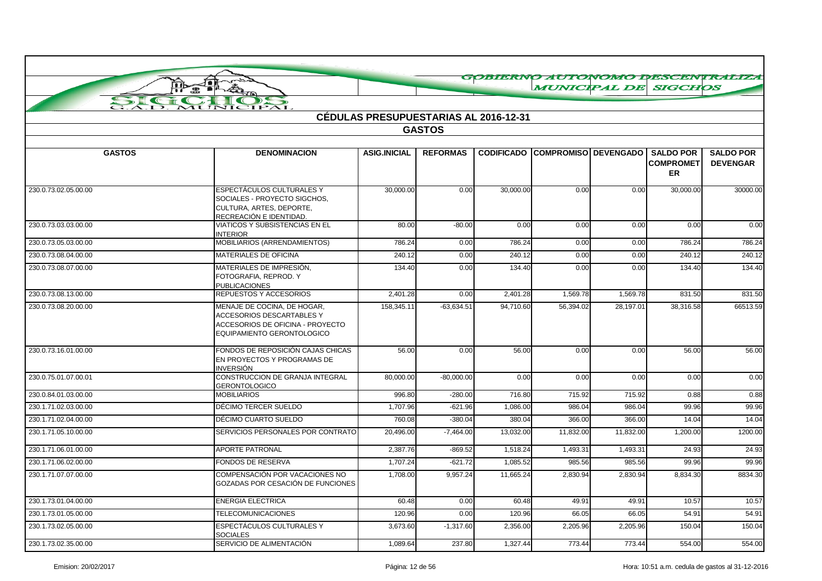| GOBIERNO AUTONOMO DESCENTRALIZA |                                                                                                                            |                                              |                 |                   |                             |           |                                            |                                     |
|---------------------------------|----------------------------------------------------------------------------------------------------------------------------|----------------------------------------------|-----------------|-------------------|-----------------------------|-----------|--------------------------------------------|-------------------------------------|
|                                 | 疉                                                                                                                          |                                              |                 |                   | <b>MUNICIPAL DE SIGCHOS</b> |           |                                            |                                     |
|                                 |                                                                                                                            |                                              |                 |                   |                             |           |                                            |                                     |
| $\overline{D}$ .                | <b>IPAL</b><br>MUP                                                                                                         | <b>CÉDULAS PRESUPUESTARIAS AL 2016-12-31</b> |                 |                   |                             |           |                                            |                                     |
|                                 |                                                                                                                            |                                              | <b>GASTOS</b>   |                   |                             |           |                                            |                                     |
|                                 |                                                                                                                            |                                              |                 |                   |                             |           |                                            |                                     |
| <b>GASTOS</b>                   | <b>DENOMINACION</b>                                                                                                        | <b>ASIG.INICIAL</b>                          | <b>REFORMAS</b> | <b>CODIFICADO</b> | <b>COMPROMISO DEVENGADO</b> |           | SALDO POR<br><b>COMPROMET</b><br><b>ER</b> | <b>SALDO POR</b><br><b>DEVENGAR</b> |
| 230.0.73.02.05.00.00            | ESPECTÁCULOS CULTURALES Y<br>SOCIALES - PROYECTO SIGCHOS,<br>CULTURA, ARTES, DEPORTE,<br>RECREACIÓN E IDENTIDAD.           | 30,000.00                                    | 0.00            | 30,000.00         | 0.00                        | 0.00      | 30,000.00                                  | 30000.00                            |
| 230.0.73.03.03.00.00            | VIATICOS Y SUBSISTENCIAS EN EL<br><b>INTERIOR</b>                                                                          | 80.00                                        | $-80.00$        | 0.00              | 0.00                        | 0.00      | 0.00                                       | 0.00                                |
| 230.0.73.05.03.00.00            | MOBILIARIOS (ARRENDAMIENTOS)                                                                                               | 786.24                                       | 0.00            | 786.24            | 0.00                        | 0.00      | 786.24                                     | 786.24                              |
| 230.0.73.08.04.00.00            | MATERIALES DE OFICINA                                                                                                      | 240.12                                       | 0.00            | 240.12            | 0.00                        | 0.00      | 240.12                                     | 240.12                              |
| 230.0.73.08.07.00.00            | MATERIALES DE IMPRESIÓN,<br>FOTOGRAFIA, REPROD. Y<br><b>PUBLICACIONES</b>                                                  | 134.40                                       | 0.00            | 134.40            | 0.00                        | 0.00      | 134.40                                     | 134.40                              |
| 230.0.73.08.13.00.00            | REPUESTOS Y ACCESORIOS                                                                                                     | 2.401.28                                     | 0.00            | 2,401.28          | 1,569.78                    | 1,569.78  | 831.50                                     | 831.50                              |
| 230.0.73.08.20.00.00            | MENAJE DE COCINA. DE HOGAR.<br>ACCESORIOS DESCARTABLES Y<br>ACCESORIOS DE OFICINA - PROYECTO<br>EQUIPAMIENTO GERONTOLOGICO | 158,345.11                                   | $-63,634.51$    | 94.710.60         | 56,394.02                   | 28,197.01 | 38,316.58                                  | 66513.59                            |
| 230.0.73.16.01.00.00            | FONDOS DE REPOSICIÓN CAJAS CHICAS<br>EN PROYECTOS Y PROGRAMAS DE<br>INVERSIÓN                                              | 56.00                                        | 0.00            | 56.00             | 0.00                        | 0.00      | 56.00                                      | 56.00                               |
| 230.0.75.01.07.00.01            | CONSTRUCCION DE GRANJA INTEGRAL<br><b>GERONTOLOGICO</b>                                                                    | 80,000.00                                    | $-80,000.00$    | 0.00              | 0.00                        | 0.00      | 0.00                                       | 0.00                                |
| 230.0.84.01.03.00.00            | <b>MOBILIARIOS</b>                                                                                                         | 996.80                                       | $-280.00$       | 716.80            | 715.92                      | 715.92    | 0.88                                       | 0.88                                |
| 230.1.71.02.03.00.00            | DÉCIMO TERCER SUELDO                                                                                                       | 1,707.96                                     | $-621.96$       | 1,086.00          | 986.04                      | 986.04    | 99.96                                      | 99.96                               |
| 230.1.71.02.04.00.00            | DÉCIMO CUARTO SUELDO                                                                                                       | 760.08                                       | $-380.04$       | 380.04            | 366.00                      | 366.00    | 14.04                                      | 14.04                               |
| 230.1.71.05.10.00.00            | SERVICIOS PERSONALES POR CONTRATO                                                                                          | 20,496.00                                    | $-7,464.00$     | 13,032.00         | 11,832.00                   | 11,832.00 | 1,200.00                                   | 1200.00                             |
| 230.1.71.06.01.00.00            | <b>APORTE PATRONAL</b>                                                                                                     | 2,387.76                                     | $-869.52$       | 1,518.24          | 1,493.31                    | 1,493.31  | 24.93                                      | 24.93                               |
| 230.1.71.06.02.00.00            | FONDOS DE RESERVA                                                                                                          | 1,707.24                                     | $-621.72$       | 1,085.52          | 985.56                      | 985.56    | 99.96                                      | 99.96                               |
| 230.1.71.07.07.00.00            | COMPENSACIÓN POR VACACIONES NO<br>GOZADAS POR CESACIÓN DE FUNCIONES                                                        | 1,708.00                                     | 9,957.24        | 11,665.24         | 2,830.94                    | 2,830.94  | 8,834.30                                   | 8834.30                             |
| 230.1.73.01.04.00.00            | <b>ENERGIA ELECTRICA</b>                                                                                                   | 60.48                                        | 0.00            | 60.48             | 49.91                       | 49.91     | 10.57                                      | 10.57                               |
| 230.1.73.01.05.00.00            | <b>TELECOMUNICACIONES</b>                                                                                                  | 120.96                                       | 0.00            | 120.96            | 66.05                       | 66.05     | 54.91                                      | 54.91                               |
| 230.1.73.02.05.00.00            | <b>ESPECTÁCULOS CULTURALES Y</b><br><b>SOCIALES</b>                                                                        | 3,673.60                                     | $-1,317.60$     | 2,356.00          | 2,205.96                    | 2,205.96  | 150.04                                     | 150.04                              |
| 230.1.73.02.35.00.00            | SERVICIO DE ALIMENTACIÓN                                                                                                   | 1,089.64                                     | 237.80          | 1,327.44          | 773.44                      | 773.44    | 554.00                                     | 554.00                              |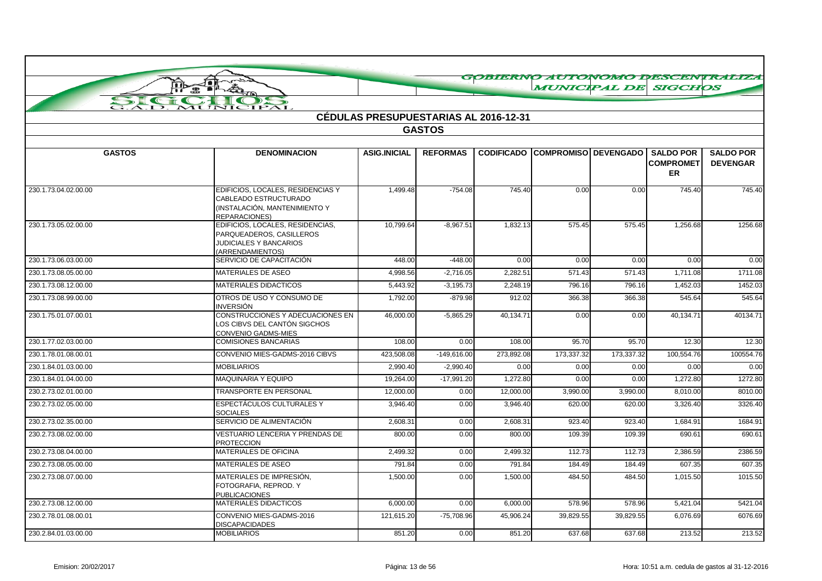|                                 | 霊                                                                                                                   |                                              |                 |                   |                             |            | <b>MUNICIPAL DE SIGCHOS</b>                | GOBIERNO AUTONOMO DESCENTRALIZA     |
|---------------------------------|---------------------------------------------------------------------------------------------------------------------|----------------------------------------------|-----------------|-------------------|-----------------------------|------------|--------------------------------------------|-------------------------------------|
| SI<br>$\epsilon$ and $\epsilon$ | $\rightarrow$                                                                                                       |                                              |                 |                   |                             |            |                                            |                                     |
| $\overline{AD}$ .               | MUNICIPAL                                                                                                           | <b>CÉDULAS PRESUPUESTARIAS AL 2016-12-31</b> |                 |                   |                             |            |                                            |                                     |
|                                 |                                                                                                                     |                                              | <b>GASTOS</b>   |                   |                             |            |                                            |                                     |
|                                 |                                                                                                                     |                                              |                 |                   |                             |            |                                            |                                     |
| <b>GASTOS</b>                   | <b>DENOMINACION</b>                                                                                                 | <b>ASIG.INICIAL</b>                          | <b>REFORMAS</b> | <b>CODIFICADO</b> | <b>COMPROMISO DEVENGADO</b> |            | <b>SALDO POR</b><br><b>COMPROMET</b><br>ER | <b>SALDO POR</b><br><b>DEVENGAR</b> |
| 230.1.73.04.02.00.00            | EDIFICIOS, LOCALES, RESIDENCIAS Y<br>CABLEADO ESTRUCTURADO<br>(INSTALACIÓN, MANTENIMIENTO Y<br><b>REPARACIONES)</b> | 1,499.48                                     | $-754.08$       | 745.40            | 0.00                        | 0.00       | 745.40                                     | 745.40                              |
| 230.1.73.05.02.00.00            | EDIFICIOS, LOCALES, RESIDENCIAS,<br>PARQUEADEROS, CASILLEROS<br><b>JUDICIALES Y BANCARIOS</b><br>(ARRENDAMIENTOS)   | 10,799.64                                    | $-8,967.51$     | 1,832.13          | 575.45                      | 575.45     | 1,256.68                                   | 1256.68                             |
| 230.1.73.06.03.00.00            | SERVICIO DE CAPACITACIÓN                                                                                            | 448.00                                       | $-448.00$       | 0.00              | 0.00                        | 0.00       | 0.00                                       | 0.00                                |
| 230.1.73.08.05.00.00            | MATERIALES DE ASEO                                                                                                  | 4,998.56                                     | $-2,716.05$     | 2,282.51          | 571.43                      | 571.43     | 1,711.08                                   | 1711.08                             |
| 230.1.73.08.12.00.00            | MATERIALES DIDACTICOS                                                                                               | 5,443.92                                     | $-3,195.73$     | 2,248.19          | 796.16                      | 796.16     | 1,452.03                                   | 1452.03                             |
| 230.1.73.08.99.00.00            | OTROS DE USO Y CONSUMO DE<br>INVERSIÓN                                                                              | 1,792.00                                     | $-879.98$       | 912.02            | 366.38                      | 366.38     | 545.64                                     | 545.64                              |
| 230.1.75.01.07.00.01            | CONSTRUCCIONES Y ADECUACIONES EN<br>LOS CIBVS DEL CANTÓN SIGCHOS<br>CONVENIO GADMS-MIES                             | 46,000.00                                    | $-5,865.29$     | 40,134.71         | 0.00                        | 0.00       | 40,134.71                                  | 40134.71                            |
| 230.1.77.02.03.00.00            | <b>COMISIONES BANCARIAS</b>                                                                                         | 108.00                                       | 0.00            | 108.00            | 95.70                       | 95.70      | 12.30                                      | 12.30                               |
| 230.1.78.01.08.00.01            | CONVENIO MIES-GADMS-2016 CIBVS                                                                                      | 423.508.08                                   | $-149.616.00$   | 273.892.08        | 173.337.32                  | 173.337.32 | 100.554.76                                 | 100554.76                           |
| 230.1.84.01.03.00.00            | <b>MOBILIARIOS</b>                                                                                                  | 2,990.40                                     | $-2,990.40$     | 0.00              | 0.00                        | 0.00       | 0.00                                       | 0.00                                |
| 230.1.84.01.04.00.00            | <b>MAQUINARIA Y EQUIPO</b>                                                                                          | 19.264.00                                    | $-17.991.20$    | 1.272.80          | 0.00                        | 0.00       | 1,272.80                                   | 1272.80                             |
| 230.2.73.02.01.00.00            | TRANSPORTE EN PERSONAL                                                                                              | 12,000.00                                    | 0.00            | 12,000.00         | 3,990.00                    | 3,990.00   | 8,010.00                                   | 8010.00                             |
| 230.2.73.02.05.00.00            | <b>ESPECTÁCULOS CULTURALES Y</b><br><b>SOCIALES</b>                                                                 | 3.946.40                                     | 0.00            | 3.946.40          | 620.00                      | 620.00     | 3,326.40                                   | 3326.40                             |
| 230.2.73.02.35.00.00            | SERVICIO DE ALIMENTACIÓN                                                                                            | 2,608.31                                     | 0.00            | 2,608.31          | 923.40                      | 923.40     | 1,684.91                                   | 1684.91                             |
| 230.2.73.08.02.00.00            | VESTUARIO LENCERIA Y PRENDAS DE<br><b>PROTECCION</b>                                                                | 800.00                                       | 0.00            | 800.00            | 109.39                      | 109.39     | 690.61                                     | 690.61                              |
| 230.2.73.08.04.00.00            | MATERIALES DE OFICINA                                                                                               | 2,499.32                                     | 0.00            | 2,499.32          | 112.73                      | 112.73     | 2,386.59                                   | 2386.59                             |
| 230.2.73.08.05.00.00            | MATERIALES DE ASEO                                                                                                  | 791.84                                       | 0.00            | 791.84            | 184.49                      | 184.49     | 607.35                                     | 607.35                              |
| 230.2.73.08.07.00.00            | MATERIALES DE IMPRESIÓN,<br>FOTOGRAFIA, REPROD, Y<br><b>PUBLICACIONES</b>                                           | 1,500.00                                     | 0.00            | 1,500.00          | 484.50                      | 484.50     | 1,015.50                                   | 1015.50                             |
| 230.2.73.08.12.00.00            | <b>MATERIALES DIDACTICOS</b>                                                                                        | 6,000.00                                     | 0.00            | 6,000.00          | 578.96                      | 578.96     | 5,421.04                                   | 5421.04                             |
| 230.2.78.01.08.00.01            | CONVENIO MIES-GADMS-2016<br><b>DISCAPACIDADES</b>                                                                   | 121,615.20                                   | $-75,708.96$    | 45,906.24         | 39,829.55                   | 39.829.55  | 6,076.69                                   | 6076.69                             |
| 230.2.84.01.03.00.00            | <b>MOBILIARIOS</b>                                                                                                  | 851.20                                       | 0.00            | 851.20            | 637.68                      | 637.68     | 213.52                                     | 213.52                              |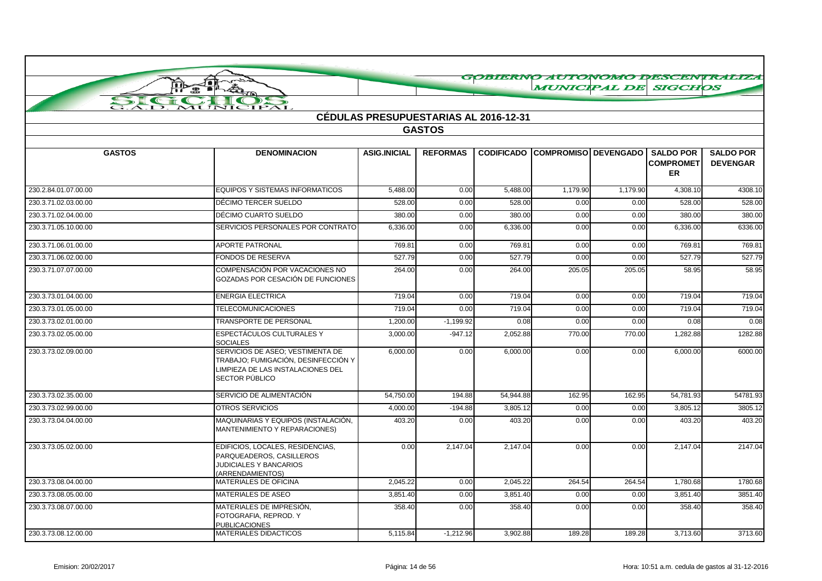|                      | 非常美<br>ПÞ                                                                                                                      |                                       |                 |           | <b>MUNICIPAL DE SIGCHOS</b>            |          |                                            | GOBIERNO AUTONOMO DESCENTRALIZA     |
|----------------------|--------------------------------------------------------------------------------------------------------------------------------|---------------------------------------|-----------------|-----------|----------------------------------------|----------|--------------------------------------------|-------------------------------------|
|                      | 僵                                                                                                                              |                                       |                 |           |                                        |          |                                            |                                     |
| SIGN                 | MUNICIPAL                                                                                                                      |                                       |                 |           |                                        |          |                                            |                                     |
|                      |                                                                                                                                | CÉDULAS PRESUPUESTARIAS AL 2016-12-31 |                 |           |                                        |          |                                            |                                     |
|                      |                                                                                                                                |                                       | <b>GASTOS</b>   |           |                                        |          |                                            |                                     |
|                      |                                                                                                                                |                                       |                 |           |                                        |          |                                            |                                     |
| <b>GASTOS</b>        | <b>DENOMINACION</b>                                                                                                            | <b>ASIG.INICIAL</b>                   | <b>REFORMAS</b> |           | <b>CODIFICADO COMPROMISO DEVENGADO</b> |          | <b>SALDO POR</b><br><b>COMPROMET</b><br>ER | <b>SALDO POR</b><br><b>DEVENGAR</b> |
| 230.2.84.01.07.00.00 | <b>EQUIPOS Y SISTEMAS INFORMATICOS</b>                                                                                         | 5,488.00                              | 0.00            | 5,488.00  | 1,179.90                               | 1,179.90 | 4,308.10                                   | 4308.10                             |
| 230.3.71.02.03.00.00 | DÉCIMO TERCER SUELDO                                                                                                           | 528.00                                | 0.00            | 528.00    | 0.00                                   | 0.00     | 528.00                                     | 528.00                              |
| 230.3.71.02.04.00.00 | DÉCIMO CUARTO SUELDO                                                                                                           | 380.00                                | 0.00            | 380.00    | 0.00                                   | 0.00     | 380.00                                     | 380.00                              |
| 230.3.71.05.10.00.00 | SERVICIOS PERSONALES POR CONTRATO                                                                                              | 6,336.00                              | 0.00            | 6,336.00  | 0.00                                   | 0.00     | 6,336.00                                   | 6336.00                             |
| 230.3.71.06.01.00.00 | <b>APORTE PATRONAL</b>                                                                                                         | 769.81                                | 0.00            | 769.81    | 0.00                                   | 0.00     | 769.8                                      | 769.81                              |
| 230.3.71.06.02.00.00 | FONDOS DE RESERVA                                                                                                              | 527.79                                | 0.00            | 527.79    | 0.00                                   | 0.00     | 527.79                                     | 527.79                              |
| 230.3.71.07.07.00.00 | COMPENSACIÓN POR VACACIONES NO<br>GOZADAS POR CESACIÓN DE FUNCIONES                                                            | 264.00                                | 0.00            | 264.00    | 205.05                                 | 205.05   | 58.95                                      | 58.95                               |
| 230.3.73.01.04.00.00 | <b>ENERGIA ELECTRICA</b>                                                                                                       | 719.04                                | 0.00            | 719.04    | 0.00                                   | 0.00     | 719.04                                     | 719.04                              |
| 230.3.73.01.05.00.00 | <b>TELECOMUNICACIONES</b>                                                                                                      | 719.04                                | 0.00            | 719.04    | 0.00                                   | 0.00     | 719.04                                     | 719.04                              |
| 230.3.73.02.01.00.00 | TRANSPORTE DE PERSONAL                                                                                                         | 1,200.00                              | $-1,199.92$     | 0.08      | 0.00                                   | 0.00     | 0.08                                       | 0.08                                |
| 230.3.73.02.05.00.00 | <b>ESPECTÁCULOS CULTURALES Y</b><br><b>SOCIALES</b>                                                                            | 3,000.00                              | $-947.12$       | 2,052.88  | 770.00                                 | 770.00   | 1,282.88                                   | 1282.88                             |
| 230.3.73.02.09.00.00 | SERVICIOS DE ASEO; VESTIMENTA DE<br>TRABAJO; FUMIGACIÓN, DESINFECCIÓN Y<br>LIMPIEZA DE LAS INSTALACIONES DEL<br>SECTOR PÚBLICO | 6,000.00                              | 0.00            | 6,000.00  | 0.00                                   | 0.00     | 6,000.00                                   | 6000.00                             |
| 230.3.73.02.35.00.00 | SERVICIO DE ALIMENTACIÓN                                                                                                       | 54,750.00                             | 194.88          | 54,944.88 | 162.95                                 | 162.95   | 54,781.93                                  | 54781.93                            |
| 230.3.73.02.99.00.00 | <b>OTROS SERVICIOS</b>                                                                                                         | 4,000.00                              | $-194.88$       | 3,805.12  | 0.00                                   | 0.00     | 3,805.12                                   | 3805.12                             |
| 230.3.73.04.04.00.00 | MAQUINARIAS Y EQUIPOS (INSTALACIÓN,<br>MANTENIMIENTO Y REPARACIONES)                                                           | 403.20                                | 0.00            | 403.20    | 0.00                                   | 0.00     | 403.20                                     | 403.20                              |
| 230.3.73.05.02.00.00 | EDIFICIOS, LOCALES, RESIDENCIAS,<br>PARQUEADEROS, CASILLEROS<br><b>JUDICIALES Y BANCARIOS</b><br>(ARRENDAMIENTOS)              | 0.00                                  | 2,147.04        | 2,147.04  | 0.00                                   | 0.00     | 2,147.04                                   | 2147.04                             |
| 230.3.73.08.04.00.00 | MATERIALES DE OFICINA                                                                                                          | 2,045.22                              | 0.00            | 2,045.22  | 264.54                                 | 264.54   | 1,780.68                                   | 1780.68                             |
| 230.3.73.08.05.00.00 | MATERIALES DE ASEO                                                                                                             | 3,851.40                              | 0.00            | 3,851.40  | 0.00                                   | 0.00     | 3,851.40                                   | 3851.40                             |
| 230.3.73.08.07.00.00 | MATERIALES DE IMPRESIÓN,<br>FOTOGRAFIA, REPROD. Y<br><b>PUBLICACIONES</b>                                                      | 358.40                                | 0.00            | 358.40    | 0.00                                   | 0.00     | 358.40                                     | 358.40                              |
| 230.3.73.08.12.00.00 | <b>MATERIALES DIDACTICOS</b>                                                                                                   | 5,115.84                              | $-1,212.96$     | 3,902.88  | 189.28                                 | 189.28   | 3,713.60                                   | 3713.60                             |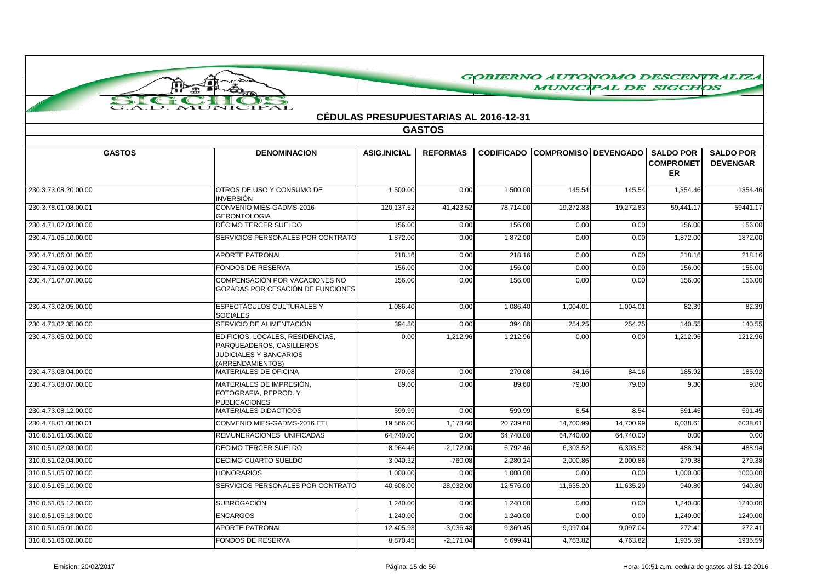|                      | 一直人為<br>ŢÞ                                                                                                 |                                              |                 |                   | <b>MUNICIPAL DE SIGCHOS</b> |           |                                                   | GOBIERNO AUTONOMO DESCENTRALIZA     |
|----------------------|------------------------------------------------------------------------------------------------------------|----------------------------------------------|-----------------|-------------------|-----------------------------|-----------|---------------------------------------------------|-------------------------------------|
|                      | A<br>金                                                                                                     |                                              |                 |                   |                             |           |                                                   |                                     |
| SIC                  | $\rightarrow$<br>MUNICIPAL                                                                                 |                                              |                 |                   |                             |           |                                                   |                                     |
|                      |                                                                                                            | <b>CÉDULAS PRESUPUESTARIAS AL 2016-12-31</b> |                 |                   |                             |           |                                                   |                                     |
|                      |                                                                                                            |                                              | <b>GASTOS</b>   |                   |                             |           |                                                   |                                     |
|                      |                                                                                                            |                                              |                 |                   |                             |           |                                                   |                                     |
| <b>GASTOS</b>        | <b>DENOMINACION</b>                                                                                        | <b>ASIG.INICIAL</b>                          | <b>REFORMAS</b> | <b>CODIFICADO</b> | <b>COMPROMISO DEVENGADO</b> |           | <b>SALDO POR</b><br><b>COMPROMET</b><br><b>ER</b> | <b>SALDO POR</b><br><b>DEVENGAR</b> |
| 230.3.73.08.20.00.00 | OTROS DE USO Y CONSUMO DE<br><b>INVERSIÓN</b>                                                              | 1,500.00                                     | 0.00            | 1,500.00          | 145.54                      | 145.54    | 1,354.46                                          | 1354.46                             |
| 230.3.78.01.08.00.01 | CONVENIO MIES-GADMS-2016<br><b>GERONTOLOGIA</b>                                                            | 120, 137.52                                  | $-41,423.52$    | 78,714.00         | 19,272.83                   | 19,272.83 | 59,441.17                                         | 59441.17                            |
| 230.4.71.02.03.00.00 | DÉCIMO TERCER SUELDO                                                                                       | 156.00                                       | 0.00            | 156.00            | 0.00                        | 0.00      | 156.00                                            | 156.00                              |
| 230.4.71.05.10.00.00 | SERVICIOS PERSONALES POR CONTRATO                                                                          | 1,872.00                                     | 0.00            | 1,872.00          | 0.00                        | 0.00      | 1,872.00                                          | 1872.00                             |
| 230.4.71.06.01.00.00 | <b>APORTE PATRONAL</b>                                                                                     | 218.16                                       | 0.00            | 218.16            | 0.00                        | 0.00      | 218.16                                            | 218.16                              |
| 230.4.71.06.02.00.00 | <b>FONDOS DE RESERVA</b>                                                                                   | 156.00                                       | 0.00            | 156.00            | 0.00                        | 0.00      | 156.00                                            | 156.00                              |
| 230.4.71.07.07.00.00 | COMPENSACIÓN POR VACACIONES NO<br>GOZADAS POR CESACIÓN DE FUNCIONES                                        | 156.00                                       | 0.00            | 156.00            | 0.00                        | 0.00      | 156.00                                            | 156.00                              |
| 230.4.73.02.05.00.00 | <b>ESPECTÁCULOS CULTURALES Y</b><br><b>SOCIALES</b>                                                        | 1,086.40                                     | 0.00            | 1,086.40          | 1,004.01                    | 1,004.01  | 82.39                                             | 82.39                               |
| 230.4.73.02.35.00.00 | SERVICIO DE ALIMENTACIÓN                                                                                   | 394.80                                       | 0.00            | 394.80            | 254.25                      | 254.25    | 140.55                                            | 140.55                              |
| 230.4.73.05.02.00.00 | EDIFICIOS, LOCALES, RESIDENCIAS,<br>PARQUEADEROS, CASILLEROS<br>JUDICIALES Y BANCARIOS<br>(ARRENDAMIENTOS) | 0.00                                         | 1,212.96        | 1,212.96          | 0.00                        | 0.00      | 1,212.96                                          | 1212.96                             |
| 230.4.73.08.04.00.00 | <b>MATERIALES DE OFICINA</b>                                                                               | 270.08                                       | 0.00            | 270.08            | 84.16                       | 84.16     | 185.92                                            | 185.92                              |
| 230.4.73.08.07.00.00 | MATERIALES DE IMPRESIÓN.<br>FOTOGRAFIA, REPROD. Y<br><b>PUBLICACIONES</b>                                  | 89.60                                        | 0.00            | 89.60             | 79.80                       | 79.80     | 9.80                                              | 9.80                                |
| 230.4.73.08.12.00.00 | MATERIALES DIDACTICOS                                                                                      | 599.99                                       | 0.00            | 599.99            | 8.54                        | 8.54      | 591.45                                            | 591.45                              |
| 230.4.78.01.08.00.01 | CONVENIO MIES-GADMS-2016 ETI                                                                               | 19,566.00                                    | 1,173.60        | 20,739.60         | 14,700.99                   | 14,700.99 | 6,038.61                                          | 6038.61                             |
| 310.0.51.01.05.00.00 | REMUNERACIONES UNIFICADAS                                                                                  | 64,740.00                                    | 0.00            | 64,740.00         | 64,740.00                   | 64,740.00 | 0.00                                              | 0.00                                |
| 310.0.51.02.03.00.00 | <b>DECIMO TERCER SUELDO</b>                                                                                | 8,964.46                                     | $-2,172.00$     | 6,792.46          | 6,303.52                    | 6,303.52  | 488.94                                            | 488.94                              |
| 310.0.51.02.04.00.00 | <b>DECIMO CUARTO SUELDO</b>                                                                                | 3,040.32                                     | $-760.08$       | 2,280.24          | 2,000.86                    | 2,000.86  | 279.38                                            | 279.38                              |
| 310.0.51.05.07.00.00 | <b>HONORARIOS</b>                                                                                          | 1,000.00                                     | 0.00            | 1,000.00          | 0.00                        | 0.00      | 1,000.00                                          | 1000.00                             |
| 310.0.51.05.10.00.00 | SERVICIOS PERSONALES POR CONTRATO                                                                          | 40,608.00                                    | $-28,032.00$    | 12,576.00         | 11,635.20                   | 11,635.20 | 940.80                                            | 940.80                              |
| 310.0.51.05.12.00.00 | <b>SUBROGACIÓN</b>                                                                                         | 1,240.00                                     | 0.00            | 1,240.00          | 0.00                        | 0.00      | 1,240.00                                          | 1240.00                             |
| 310.0.51.05.13.00.00 | <b>ENCARGOS</b>                                                                                            | 1,240.00                                     | 0.00            | 1,240.00          | 0.00                        | 0.00      | 1,240.00                                          | 1240.00                             |
| 310.0.51.06.01.00.00 | <b>APORTE PATRONAL</b>                                                                                     | 12,405.93                                    | $-3,036.48$     | 9,369.45          | 9,097.04                    | 9,097.04  | 272.41                                            | 272.41                              |
| 310.0.51.06.02.00.00 | <b>FONDOS DE RESERVA</b>                                                                                   | 8.870.45                                     | $-2,171.04$     | 6.699.41          | 4.763.82                    | 4.763.82  | 1.935.59                                          | 1935.59                             |

 $\curvearrowright$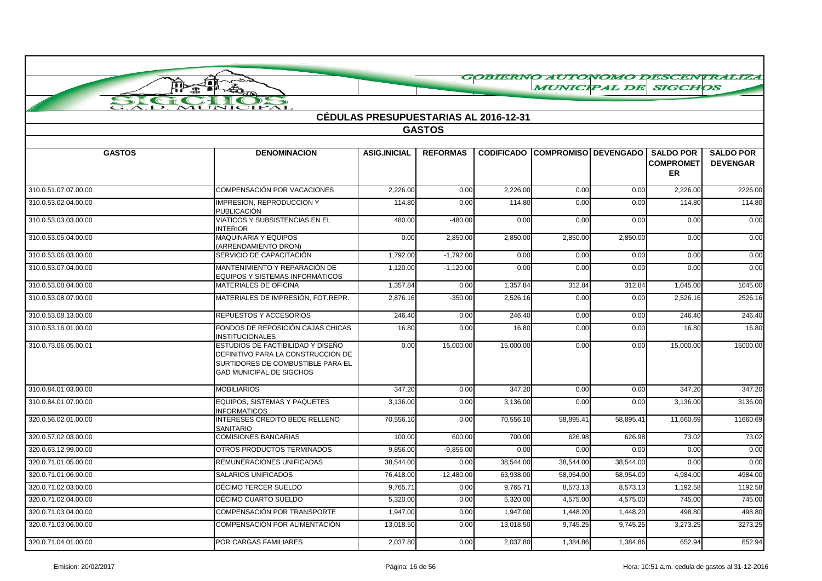| $\overline{\mathcal{A}}$<br>ПЪ<br>P                  | A                                                                                                                                               |                                              |                 |           | MUNICIPAL DE SIGCHOS                   |           |                                                   |                                     |
|------------------------------------------------------|-------------------------------------------------------------------------------------------------------------------------------------------------|----------------------------------------------|-----------------|-----------|----------------------------------------|-----------|---------------------------------------------------|-------------------------------------|
| SI<br>$\epsilon$ and $\epsilon$<br>$\overline{AD}$ . | $\sum$<br>MUNICIPAL                                                                                                                             |                                              |                 |           |                                        |           |                                                   |                                     |
|                                                      |                                                                                                                                                 | <b>CÉDULAS PRESUPUESTARIAS AL 2016-12-31</b> |                 |           |                                        |           |                                                   |                                     |
|                                                      |                                                                                                                                                 |                                              | <b>GASTOS</b>   |           |                                        |           |                                                   |                                     |
|                                                      |                                                                                                                                                 |                                              |                 |           |                                        |           |                                                   |                                     |
| <b>GASTOS</b>                                        | <b>DENOMINACION</b>                                                                                                                             | <b>ASIG.INICIAL</b>                          | <b>REFORMAS</b> |           | <b>CODIFICADO COMPROMISO DEVENGADO</b> |           | <b>SALDO POR</b><br><b>COMPROMET</b><br><b>ER</b> | <b>SALDO POR</b><br><b>DEVENGAR</b> |
| 310.0.51.07.07.00.00                                 | <b>COMPENSACIÓN POR VACACIONES</b>                                                                                                              | 2,226.00                                     | 0.00            | 2,226.00  | 0.00                                   | 0.00      | 2,226.00                                          | 2226.00                             |
| 310.0.53.02.04.00.00                                 | <b>IMPRESION, REPRODUCCION Y</b><br>PUBLICACIÓN                                                                                                 | 114.80                                       | 0.00            | 114.80    | 0.00                                   | 0.00      | 114.80                                            | 114.80                              |
| 310.0.53.03.03.00.00                                 | VIATICOS Y SUBSISTENCIAS EN EL<br><b>INTERIOR</b>                                                                                               | 480.00                                       | $-480.00$       | 0.00      | 0.00                                   | 0.00      | 0.00                                              | 0.00                                |
| 310.0.53.05.04.00.00                                 | MAQUINARIA Y EQUIPOS<br>(ARRENDAMIENTO DRON)                                                                                                    | 0.00                                         | 2.850.00        | 2,850.00  | 2,850.00                               | 2,850.00  | 0.00                                              | 0.00                                |
| 310.0.53.06.03.00.00                                 | SERVICIO DE CAPACITACIÓN                                                                                                                        | 1,792.00                                     | $-1,792.00$     | 0.00      | 0.00                                   | 0.00      | 0.00                                              | 0.00                                |
| 310.0.53.07.04.00.00                                 | MANTENIMIENTO Y REPARACIÓN DE<br>EQUIPOS Y SISTEMAS INFORMÁTICOS                                                                                | 1,120.00                                     | $-1,120.00$     | 0.00      | 0.00                                   | 0.00      | 0.00                                              | 0.00                                |
| 310.0.53.08.04.00.00                                 | <b>MATERIALES DE OFICINA</b>                                                                                                                    | 1,357.84                                     | 0.00            | 1,357.84  | 312.84                                 | 312.84    | 1,045.00                                          | 1045.00                             |
| 310.0.53.08.07.00.00                                 | MATERIALES DE IMPRESIÓN, FOT REPR.                                                                                                              | 2,876.16                                     | $-350.00$       | 2,526.16  | 0.00                                   | 0.00      | 2,526.16                                          | 2526.16                             |
| 310.0.53.08.13.00.00                                 | REPUESTOS Y ACCESORIOS                                                                                                                          | 246.40                                       | 0.00            | 246.40    | 0.00                                   | 0.00      | 246.40                                            | 246.40                              |
| 310.0.53.16.01.00.00                                 | FONDOS DE REPOSICIÓN CAJAS CHICAS<br><b>INSTITUCIONALES</b>                                                                                     | 16.80                                        | 0.00            | 16.80     | 0.00                                   | 0.00      | 16.80                                             | 16.80                               |
| 310.0.73.06.05.00.01                                 | ESTUDIOS DE FACTIBILIDAD Y DISEÑO<br>DEFINITIVO PARA LA CONSTRUCCION DE<br>SURTIDORES DE COMBUSTIBLE PARA EL<br><b>GAD MUNICIPAL DE SIGCHOS</b> | 0.00                                         | 15,000.00       | 15,000.00 | 0.00                                   | 0.00      | 15,000.00                                         | 15000.00                            |
| 310.0.84.01.03.00.00                                 | <b>MOBILIARIOS</b>                                                                                                                              | 347.20                                       | 0.00            | 347.20    | 0.00                                   | 0.00      | 347.20                                            | 347.20                              |
| 310.0.84.01.07.00.00                                 | EQUIPOS, SISTEMAS Y PAQUETES<br><b>INFORMATICOS</b>                                                                                             | 3,136.00                                     | 0.00            | 3,136.00  | 0.00                                   | 0.00      | 3,136.00                                          | 3136.00                             |
| 320.0.56.02.01.00.00                                 | INTERESES CREDITO BEDE RELLENO<br>SANITARIO                                                                                                     | 70,556.10                                    | 0.00            | 70,556.10 | 58,895.41                              | 58,895.41 | 11,660.69                                         | 11660.69                            |
| 320.0.57.02.03.00.00                                 | <b>COMISIONES BANCARIAS</b>                                                                                                                     | 100.00                                       | 600.00          | 700.00    | 626.98                                 | 626.98    | 73.02                                             | 73.02                               |
| 320.0.63.12.99.00.00                                 | OTROS PRODUCTOS TERMINADOS                                                                                                                      | 9,856.00                                     | $-9,856.00$     | 0.00      | 0.00                                   | 0.00      | 0.00                                              | 0.00                                |
| 320.0.71.01.05.00.00                                 | REMUNERACIONES UNIFICADAS                                                                                                                       | 38,544.00                                    | 0.00            | 38,544.00 | 38,544.00                              | 38,544.00 | 0.00                                              | 0.00                                |
| 320.0.71.01.06.00.00                                 | <b>SALARIOS UNIFICADOS</b>                                                                                                                      | 76,418.00                                    | $-12,480.00$    | 63,938.00 | 58,954.00                              | 58,954.00 | 4,984.00                                          | 4984.00                             |
| 320.0.71.02.03.00.00                                 | DÉCIMO TERCER SUELDO                                                                                                                            | 9,765.71                                     | 0.00            | 9,765.71  | 8,573.13                               | 8,573.13  | 1,192.58                                          | 1192.58                             |
| 320.0.71.02.04.00.00                                 | DÉCIMO CUARTO SUELDO                                                                                                                            | 5,320.00                                     | 0.00            | 5,320.00  | 4,575.00                               | 4,575.00  | 745.00                                            | 745.00                              |
| 320.0.71.03.04.00.00                                 | COMPENSACIÓN POR TRANSPORTE                                                                                                                     | 1,947.00                                     | 0.00            | 1,947.00  | 1,448.20                               | 1,448.20  | 498.80                                            | 498.80                              |
| 320.0.71.03.06.00.00                                 | COMPENSACIÓN POR ALIMENTACIÓN                                                                                                                   | 13,018.50                                    | 0.00            | 13,018.50 | 9,745.25                               | 9,745.25  | 3,273.25                                          | 3273.25                             |
| 320.0.71.04.01.00.00                                 | POR CARGAS FAMILIARES                                                                                                                           | 2.037.80                                     | 0.00            | 2,037.80  | 1,384.86                               | 1,384.86  | 652.94                                            | 652.94                              |

GORTERNO ALTONOMO DESCENTRALI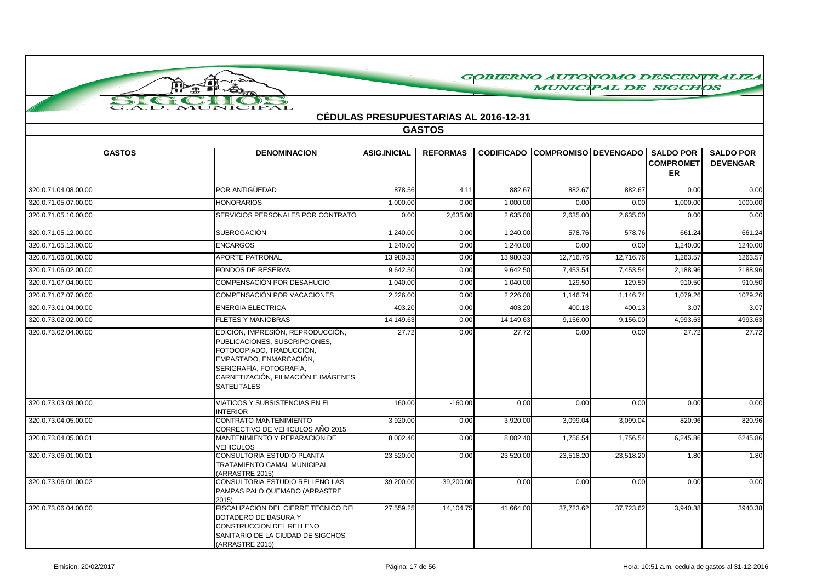|                      |                                                                                                                                                                                                                   |                     |                                       |                   |                        |           |                                                   | GOBIERNO AUTONOMO DESCENTRALIZA     |
|----------------------|-------------------------------------------------------------------------------------------------------------------------------------------------------------------------------------------------------------------|---------------------|---------------------------------------|-------------------|------------------------|-----------|---------------------------------------------------|-------------------------------------|
|                      | $\bigoplus$                                                                                                                                                                                                       |                     |                                       |                   | <b>MUNICIPAL DE</b>    |           | <b>SIGCHOS</b>                                    |                                     |
| $\sum$<br>$\sqrt{1}$ | $\rightarrow$                                                                                                                                                                                                     |                     |                                       |                   |                        |           |                                                   |                                     |
|                      | MUNICIPAL                                                                                                                                                                                                         |                     |                                       |                   |                        |           |                                                   |                                     |
|                      |                                                                                                                                                                                                                   |                     | CÉDULAS PRESUPUESTARIAS AL 2016-12-31 |                   |                        |           |                                                   |                                     |
|                      |                                                                                                                                                                                                                   |                     | <b>GASTOS</b>                         |                   |                        |           |                                                   |                                     |
| <b>GASTOS</b>        |                                                                                                                                                                                                                   |                     |                                       |                   |                        |           |                                                   |                                     |
|                      | <b>DENOMINACION</b>                                                                                                                                                                                               | <b>ASIG.INICIAL</b> | <b>REFORMAS</b>                       | <b>CODIFICADO</b> | COMPROMISO   DEVENGADO |           | <b>SALDO POR</b><br><b>COMPROMET</b><br><b>ER</b> | <b>SALDO POR</b><br><b>DEVENGAR</b> |
| 320.0.71.04.08.00.00 | POR ANTIGÜEDAD                                                                                                                                                                                                    | 878.56              | 4.11                                  | 882.67            | 882.67                 | 882.67    | 0.00                                              | 0.00                                |
| 320.0.71.05.07.00.00 | <b>HONORARIOS</b>                                                                                                                                                                                                 | 1,000.00            | 0.00                                  | 1,000.00          | 0.00                   | 0.00      | 1,000.00                                          | 1000.00                             |
| 320.0.71.05.10.00.00 | SERVICIOS PERSONALES POR CONTRATO                                                                                                                                                                                 | 0.00                | 2,635.00                              | 2,635.00          | 2,635.00               | 2,635.00  | 0.00                                              | 0.00                                |
| 320.0.71.05.12.00.00 | <b>SUBROGACIÓN</b>                                                                                                                                                                                                | 1,240.00            | 0.00                                  | 1,240.00          | 578.76                 | 578.76    | 661.24                                            | 661.24                              |
| 320.0.71.05.13.00.00 | <b>ENCARGOS</b>                                                                                                                                                                                                   | 1,240.00            | 0.00                                  | 1,240.00          | 0.00                   | 0.00      | 1,240.00                                          | 1240.00                             |
| 320.0.71.06.01.00.00 | <b>APORTE PATRONAL</b>                                                                                                                                                                                            | 13.980.33           | 0.00                                  | 13.980.33         | 12,716.76              | 12,716.76 | 1,263.57                                          | 1263.57                             |
| 320.0.71.06.02.00.00 | FONDOS DE RESERVA                                                                                                                                                                                                 | 9.642.50            | 0.00                                  | 9.642.50          | 7,453.54               | 7,453.54  | 2,188.96                                          | 2188.96                             |
| 320.0.71.07.04.00.00 | COMPENSACIÓN POR DESAHUCIO                                                                                                                                                                                        | 1.040.00            | 0.00                                  | 1.040.00          | 129.50                 | 129.50    | 910.50                                            | 910.50                              |
| 320.0.71.07.07.00.00 | <b>COMPENSACIÓN POR VACACIONES</b>                                                                                                                                                                                | 2.226.00            | 0.00                                  | 2,226.00          | 1,146.74               | 1,146.74  | 1,079.26                                          | 1079.26                             |
| 320.0.73.01.04.00.00 | <b>ENERGIA ELECTRICA</b>                                                                                                                                                                                          | 403.20              | 0.00                                  | 403.20            | 400.13                 | 400.13    | 3.07                                              | 3.07                                |
| 320.0.73.02.02.00.00 | <b>FLETES Y MANIOBRAS</b>                                                                                                                                                                                         | 14,149.63           | 0.00                                  | 14.149.63         | 9,156.00               | 9,156.00  | 4,993.63                                          | 4993.63                             |
| 320.0.73.02.04.00.00 | EDICIÓN, IMPRESIÓN, REPRODUCCIÓN,<br>PUBLICACIONES, SUSCRIPCIONES,<br>FOTOCOPIADO, TRADUCCIÓN,<br>EMPASTADO, ENMARCACIÓN,<br>SERIGRAFÍA, FOTOGRAFÍA,<br>CARNETIZACIÓN. FILMACIÓN E IMÁGENES<br><b>SATELITALES</b> | 27.72               | 0.00                                  | 27.72             | 0.00                   | 0.00      | 27.72                                             | 27.72                               |
| 320.0.73.03.03.00.00 | <b>VIATICOS Y SUBSISTENCIAS EN EL</b><br><b>INTERIOR</b>                                                                                                                                                          | 160.00              | $-160.00$                             | 0.00              | 0.00                   | 0.00      | 0.00                                              | 0.00                                |
| 320.0.73.04.05.00.00 | CONTRATO MANTENIMIENTO<br>CORRECTIVO DE VEHICULOS AÑO 2015                                                                                                                                                        | 3,920.00            | 0.00                                  | 3,920.00          | 3,099.04               | 3,099.04  | 820.96                                            | 820.96                              |
| 320.0.73.04.05.00.01 | MANTENIMIENTO Y REPARACION DE<br><b>VEHICULOS</b>                                                                                                                                                                 | 8,002.40            | 0.00                                  | 8,002.40          | 1,756.54               | 1,756.54  | 6,245.86                                          | 6245.86                             |
| 320.0.73.06.01.00.01 | CONSULTORIA ESTUDIO PLANTA<br>TRATAMIENTO CAMAL MUNICIPAL<br>(ARRASTRE 2015)                                                                                                                                      | 23,520.00           | 0.00                                  | 23,520.00         | 23,518.20              | 23,518.20 | 1.80                                              | 1.80                                |
| 320.0.73.06.01.00.02 | CONSULTORIA ESTUDIO RELLENO LAS<br>PAMPAS PALO QUEMADO (ARRASTRE<br>2015)                                                                                                                                         | 39,200.00           | $-39.200.00$                          | 0.00              | 0.00                   | 0.00      | 0.00                                              | 0.00                                |
| 320.0.73.06.04.00.00 | FISCALIZACION DEL CIERRE TECNICO DEL<br>BOTADERO DE BASURA Y<br>CONSTRUCCION DEL RELLENO<br>SANITARIO DE LA CIUDAD DE SIGCHOS<br>(ARRASTRE 2015)                                                                  | 27,559.25           | 14,104.75                             | 41,664.00         | 37,723.62              | 37,723.62 | 3,940.38                                          | 3940.38                             |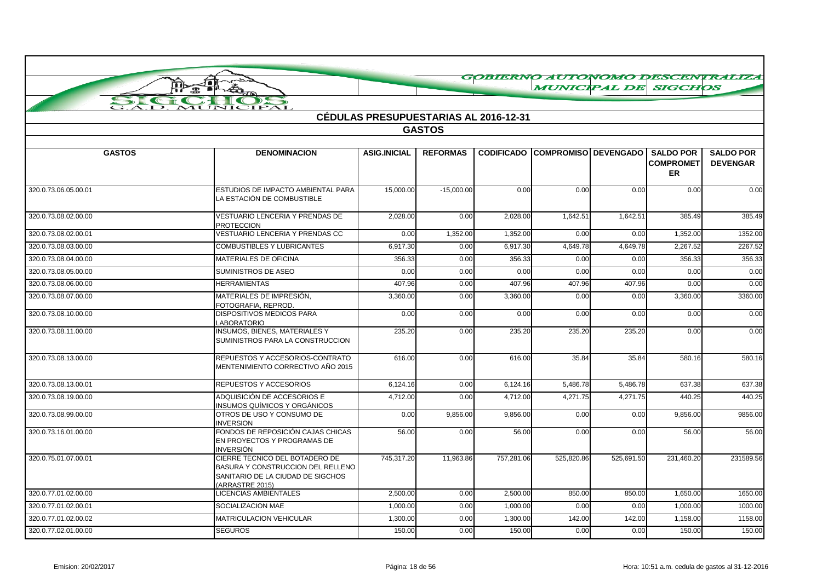|                      | Jor<br>ŢЪ                                                           |                                              |                 |                   | <b>MUNICIPAL DE SIGCHOS</b> |            |                  | GOBIERNO AUTONOMO DESCENTRALIZA |
|----------------------|---------------------------------------------------------------------|----------------------------------------------|-----------------|-------------------|-----------------------------|------------|------------------|---------------------------------|
|                      | Á                                                                   |                                              |                 |                   |                             |            |                  |                                 |
| SIGN                 | MUNICIPAL                                                           |                                              |                 |                   |                             |            |                  |                                 |
|                      |                                                                     | <b>CÉDULAS PRESUPUESTARIAS AL 2016-12-31</b> |                 |                   |                             |            |                  |                                 |
|                      |                                                                     |                                              | <b>GASTOS</b>   |                   |                             |            |                  |                                 |
|                      |                                                                     |                                              |                 |                   |                             |            |                  |                                 |
| <b>GASTOS</b>        | <b>DENOMINACION</b>                                                 | <b>ASIG.INICIAL</b>                          | <b>REFORMAS</b> | <b>CODIFICADO</b> | <b>COMPROMISO DEVENGADO</b> |            | <b>SALDO POR</b> | <b>SALDO POR</b>                |
|                      |                                                                     |                                              |                 |                   |                             |            | <b>COMPROMET</b> | <b>DEVENGAR</b>                 |
|                      |                                                                     |                                              |                 |                   |                             |            | ER               |                                 |
| 320.0.73.06.05.00.01 | ESTUDIOS DE IMPACTO AMBIENTAL PARA                                  | 15,000.00                                    | $-15,000.00$    | 0.00              | 0.00                        | 0.00       | 0.00             | 0.00                            |
|                      | LA ESTACIÓN DE COMBUSTIBLE                                          |                                              |                 |                   |                             |            |                  |                                 |
| 320.0.73.08.02.00.00 | VESTUARIO LENCERIA Y PRENDAS DE                                     | 2,028.00                                     | 0.00            | 2,028.00          | 1,642.51                    | 1,642.51   | 385.49           | 385.49                          |
|                      | <b>PROTECCION</b>                                                   |                                              |                 |                   |                             |            |                  |                                 |
| 320.0.73.08.02.00.01 | VESTUARIO LENCERIA Y PRENDAS CC                                     | 0.00                                         | 1,352.00        | 1,352.00          | 0.00                        | 0.00       | 1,352.00         | 1352.00                         |
| 320.0.73.08.03.00.00 | <b>COMBUSTIBLES Y LUBRICANTES</b>                                   | 6,917.30                                     | 0.00            | 6,917.30          | 4,649.78                    | 4,649.78   | 2,267.52         | 2267.52                         |
| 320.0.73.08.04.00.00 | <b>MATERIALES DE OFICINA</b>                                        | 356.33                                       | 0.00            | 356.33            | 0.00                        | 0.00       | 356.33           | 356.33                          |
| 320.0.73.08.05.00.00 | SUMINISTROS DE ASEO                                                 | 0.00                                         | 0.00            | 0.00              | 0.00                        | 0.00       | 0.00             | 0.00                            |
| 320.0.73.08.06.00.00 | <b>HERRAMIENTAS</b>                                                 | 407.96                                       | 0.00            | 407.96            | 407.96                      | 407.96     | 0.00             | 0.00                            |
| 320.0.73.08.07.00.00 | MATERIALES DE IMPRESIÓN.                                            | 3,360.00                                     | 0.00            | 3,360.00          | 0.00                        | 0.00       | 3,360.00         | 3360.00                         |
| 320.0.73.08.10.00.00 | FOTOGRAFIA, REPROD.<br><b>DISPOSITIVOS MEDICOS PARA</b>             | 0.00                                         |                 |                   |                             |            |                  |                                 |
|                      | LABORATORIO                                                         |                                              | 0.00            | 0.00              | 0.00                        | 0.00       | 0.00             | 0.00                            |
| 320.0.73.08.11.00.00 | <b>INSUMOS. BIENES. MATERIALES Y</b>                                | 235.20                                       | 0.00            | 235.20            | 235.20                      | 235.20     | 0.00             | 0.00                            |
|                      | SUMINISTROS PARA LA CONSTRUCCION                                    |                                              |                 |                   |                             |            |                  |                                 |
| 320.0.73.08.13.00.00 | REPUESTOS Y ACCESORIOS-CONTRATO                                     | 616.00                                       | 0.00            | 616.00            | 35.84                       | 35.84      | 580.16           | 580.16                          |
|                      | MENTENIMIENTO CORRECTIVO AÑO 2015                                   |                                              |                 |                   |                             |            |                  |                                 |
| 320.0.73.08.13.00.01 | REPUESTOS Y ACCESORIOS                                              | 6,124.16                                     | 0.00            | 6,124.16          | 5,486.78                    | 5,486.78   | 637.38           | 637.38                          |
| 320.0.73.08.19.00.00 | ADQUISICIÓN DE ACCESORIOS E                                         | 4,712.00                                     | 0.00            | 4,712.00          | 4,271.75                    | 4,271.75   | 440.25           | 440.25                          |
|                      | INSUMOS QUÍMICOS Y ORGÁNICOS                                        |                                              |                 |                   |                             |            |                  |                                 |
| 320.0.73.08.99.00.00 | OTROS DE USO Y CONSUMO DE                                           | 0.00                                         | 9,856.00        | 9,856.00          | 0.00                        | 0.00       | 9,856.00         | 9856.00                         |
| 320.0.73.16.01.00.00 | <b>INVERSION</b><br>FONDOS DE REPOSICIÓN CAJAS CHICAS               | 56.00                                        | 0.00            | 56.00             | 0.00                        | 0.00       | 56.00            | 56.00                           |
|                      | EN PROYECTOS Y PROGRAMAS DE                                         |                                              |                 |                   |                             |            |                  |                                 |
|                      | <b>INVERSIÓN</b>                                                    |                                              |                 |                   |                             |            |                  |                                 |
| 320.0.75.01.07.00.01 | CIERRE TECNICO DEL BOTADERO DE<br>BASURA Y CONSTRUCCION DEL RELLENO | 745,317.20                                   | 11,963.86       | 757,281.06        | 525,820.86                  | 525,691.50 | 231,460.20       | 231589.56                       |
|                      | SANITARIO DE LA CIUDAD DE SIGCHOS                                   |                                              |                 |                   |                             |            |                  |                                 |
|                      | (ARRASTRE 2015)                                                     |                                              |                 |                   |                             |            |                  |                                 |
| 320.0.77.01.02.00.00 | LICENCIAS AMBIENTALES                                               | 2,500.00                                     | 0.00            | 2,500.00          | 850.00                      | 850.00     | 1,650.00         | 1650.00                         |
| 320.0.77.01.02.00.01 | SOCIALIZACION MAE                                                   | 1.000.00                                     | 0.00            | 1,000.00          | 0.00                        | 0.00       | 1,000.00         | 1000.00                         |
| 320.0.77.01.02.00.02 | <b>MATRICULACION VEHICULAR</b>                                      | 1,300.00                                     | 0.00            | 1,300.00          | 142.00                      | 142.00     | 1,158.00         | 1158.00                         |
| 320.0.77.02.01.00.00 | <b>SEGUROS</b>                                                      | 150.00                                       | 0.00            | 150.00            | 0.00                        | 0.00       | 150.00           | 150.00                          |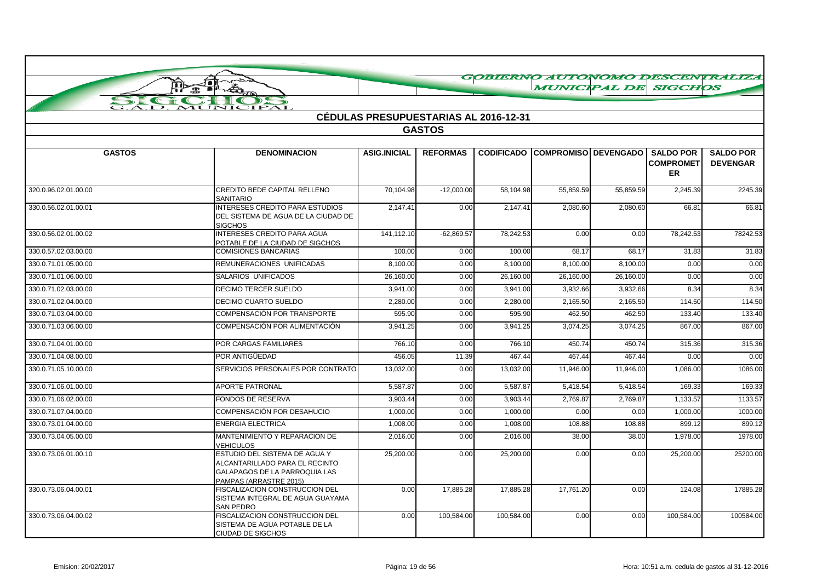|                          |                                                                                                                            |                                              |                 |                   |                             |                            |                                                   | GOBIERNO AUTONOMO DESCENTRALIZA     |
|--------------------------|----------------------------------------------------------------------------------------------------------------------------|----------------------------------------------|-----------------|-------------------|-----------------------------|----------------------------|---------------------------------------------------|-------------------------------------|
| $\overline{\bullet}$     | 扫                                                                                                                          |                                              |                 |                   |                             | <i><b>MUNICIPAL DE</b></i> | <b>SIGCHOS</b>                                    |                                     |
| $\sum$<br>$C_{\text{L}}$ | $\bullet$ 1<br>$\rightarrow$                                                                                               |                                              |                 |                   |                             |                            |                                                   |                                     |
| $\bf{AD}$ .              | MUNICIPAL                                                                                                                  |                                              |                 |                   |                             |                            |                                                   |                                     |
|                          |                                                                                                                            | <b>CÉDULAS PRESUPUESTARIAS AL 2016-12-31</b> |                 |                   |                             |                            |                                                   |                                     |
|                          |                                                                                                                            |                                              | <b>GASTOS</b>   |                   |                             |                            |                                                   |                                     |
|                          |                                                                                                                            |                                              |                 |                   |                             |                            |                                                   |                                     |
| <b>GASTOS</b>            | <b>DENOMINACION</b>                                                                                                        | <b>ASIG.INICIAL</b>                          | <b>REFORMAS</b> | <b>CODIFICADO</b> | <b>COMPROMISO DEVENGADO</b> |                            | <b>SALDO POR</b><br><b>COMPROMET</b><br><b>ER</b> | <b>SALDO POR</b><br><b>DEVENGAR</b> |
| 320.0.96.02.01.00.00     | CREDITO BEDE CAPITAL RELLENO<br><b>SANITARIO</b>                                                                           | 70,104.98                                    | $-12,000.00$    | 58,104.98         | 55,859.59                   | 55,859.59                  | 2,245.39                                          | 2245.39                             |
| 330.0.56.02.01.00.01     | <b>INTERESES CREDITO PARA ESTUDIOS</b><br>DEL SISTEMA DE AGUA DE LA CIUDAD DE<br><b>SIGCHOS</b>                            | 2,147.41                                     | 0.00            | 2,147.41          | 2,080.60                    | 2,080.60                   | 66.81                                             | 66.81                               |
| 330.0.56.02.01.00.02     | INTERESES CREDITO PARA AGUA<br>POTABLE DE LA CIUDAD DE SIGCHOS                                                             | 141,112.10                                   | $-62,869.57$    | 78,242.53         | 0.00                        | 0.00                       | 78,242.53                                         | 78242.53                            |
| 330.0.57.02.03.00.00     | <b>COMISIONES BANCARIAS</b>                                                                                                | 100.00                                       | 0.00            | 100.00            | 68.17                       | 68.17                      | 31.83                                             | 31.83                               |
| 330.0.71.01.05.00.00     | REMUNERACIONES UNIFICADAS                                                                                                  | 8,100.00                                     | 0.00            | 8,100.00          | 8,100.00                    | 8,100.00                   | 0.00                                              | 0.00                                |
| 330.0.71.01.06.00.00     | <b>SALARIOS UNIFICADOS</b>                                                                                                 | 26,160.00                                    | 0.00            | 26,160.00         | 26,160.00                   | 26,160.00                  | 0.00                                              | 0.00                                |
| 330.0.71.02.03.00.00     | <b>DECIMO TERCER SUELDO</b>                                                                                                | 3.941.00                                     | 0.00            | 3.941.00          | 3,932.66                    | 3,932.66                   | 8.34                                              | 8.34                                |
| 330.0.71.02.04.00.00     | <b>DECIMO CUARTO SUELDO</b>                                                                                                | 2,280.00                                     | 0.00            | 2,280.00          | 2,165.50                    | 2,165.50                   | 114.50                                            | 114.50                              |
| 330.0.71.03.04.00.00     | COMPENSACIÓN POR TRANSPORTE                                                                                                | 595.90                                       | 0.00            | 595.90            | 462.50                      | 462.50                     | 133.40                                            | 133.40                              |
| 330.0.71.03.06.00.00     | COMPENSACIÓN POR ALIMENTACIÓN                                                                                              | 3,941.25                                     | 0.00            | 3,941.25          | 3,074.25                    | 3,074.25                   | 867.00                                            | 867.00                              |
| 330.0.71.04.01.00.00     | POR CARGAS FAMILIARES                                                                                                      | 766.10                                       | 0.00            | 766.10            | 450.74                      | 450.74                     | 315.36                                            | 315.36                              |
| 330.0.71.04.08.00.00     | POR ANTIGÜEDAD                                                                                                             | 456.05                                       | 11.39           | 467.44            | 467.44                      | 467.44                     | 0.00                                              | 0.00                                |
| 330.0.71.05.10.00.00     | SERVICIOS PERSONALES POR CONTRATO                                                                                          | 13,032.00                                    | 0.00            | 13,032.00         | 11,946.00                   | 11,946.00                  | 1,086.00                                          | 1086.00                             |
| 330.0.71.06.01.00.00     | <b>APORTE PATRONAL</b>                                                                                                     | 5,587.87                                     | 0.00            | 5,587.87          | 5,418.54                    | 5,418.54                   | 169.33                                            | 169.33                              |
| 330.0.71.06.02.00.00     | <b>FONDOS DE RESERVA</b>                                                                                                   | 3.903.44                                     | 0.00            | 3,903.44          | 2,769.87                    | 2,769.87                   | 1,133.57                                          | 1133.57                             |
| 330.0.71.07.04.00.00     | COMPENSACIÓN POR DESAHUCIO                                                                                                 | 1,000.00                                     | 0.00            | 1,000.00          | 0.00                        | 0.00                       | 1,000.00                                          | 1000.00                             |
| 330.0.73.01.04.00.00     | <b>ENERGIA ELECTRICA</b>                                                                                                   | 1,008.00                                     | 0.00            | 1,008.00          | 108.88                      | 108.88                     | 899.12                                            | 899.12                              |
| 330.0.73.04.05.00.00     | MANTENIMIENTO Y REPARACION DE<br>VEHICULOS                                                                                 | 2,016.00                                     | 0.00            | 2,016.00          | 38.00                       | 38.00                      | 1,978.00                                          | 1978.00                             |
| 330.0.73.06.01.00.10     | ESTUDIO DEL SISTEMA DE AGUA Y<br>ALCANTARILLADO PARA EL RECINTO<br>GALAPAGOS DE LA PARROQUIA LAS<br>PAMPAS (ARRASTRE 2015) | 25,200.00                                    | 0.00            | 25,200.00         | 0.00                        | 0.00                       | 25,200.00                                         | 25200.00                            |
| 330.0.73.06.04.00.01     | FISCALIZACION CONSTRUCCION DEL<br>SISTEMA INTEGRAL DE AGUA GUAYAMA<br>SAN PEDRO                                            | 0.00                                         | 17,885.28       | 17,885.28         | 17,761.20                   | 0.00                       | 124.08                                            | 17885.28                            |
| 330.0.73.06.04.00.02     | FISCALIZACION CONSTRUCCION DEL<br>SISTEMA DE AGUA POTABLE DE LA<br><b>CIUDAD DE SIGCHOS</b>                                | 0.00                                         | 100,584.00      | 100,584.00        | 0.00                        | 0.00                       | 100,584.00                                        | 100584.00                           |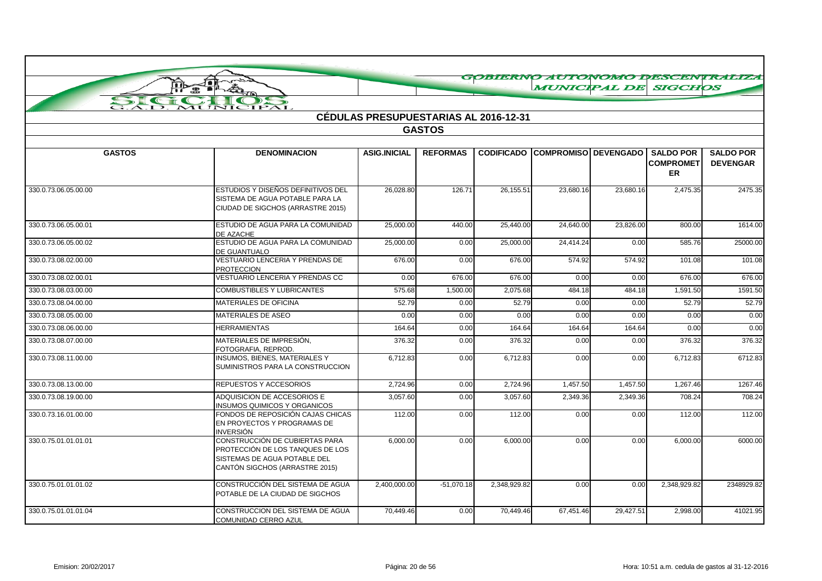| GOBIERNO AUTONOMO DESCENTRATIZA |                                                                                                                                      |                                              |                 |                   |                             |           |                               |                  |  |
|---------------------------------|--------------------------------------------------------------------------------------------------------------------------------------|----------------------------------------------|-----------------|-------------------|-----------------------------|-----------|-------------------------------|------------------|--|
|                                 | fid <sub>e</sub>                                                                                                                     |                                              |                 |                   | <b>MUNICIPAL DE SIGCHOS</b> |           |                               |                  |  |
| $\mathbf{r}$                    |                                                                                                                                      |                                              |                 |                   |                             |           |                               |                  |  |
|                                 | MUNICIPAL                                                                                                                            | <b>CÉDULAS PRESUPUESTARIAS AL 2016-12-31</b> |                 |                   |                             |           |                               |                  |  |
|                                 |                                                                                                                                      |                                              | <b>GASTOS</b>   |                   |                             |           |                               |                  |  |
|                                 |                                                                                                                                      |                                              |                 |                   |                             |           |                               |                  |  |
| <b>GASTOS</b>                   | <b>DENOMINACION</b>                                                                                                                  | <b>ASIG.INICIAL</b>                          | <b>REFORMAS</b> | <b>CODIFICADO</b> | <b>COMPROMISO DEVENGADO</b> |           | <b>SALDO POR</b>              | <b>SALDO POR</b> |  |
|                                 |                                                                                                                                      |                                              |                 |                   |                             |           | <b>COMPROMET</b><br><b>ER</b> | <b>DEVENGAR</b>  |  |
|                                 |                                                                                                                                      |                                              |                 |                   |                             |           |                               |                  |  |
| 330.0.73.06.05.00.00            | ESTUDIOS Y DISEÑOS DEFINITIVOS DEL<br>SISTEMA DE AGUA POTABLE PARA LA                                                                | 26,028.80                                    | 126.71          | 26.155.51         | 23.680.16                   | 23,680.16 | 2,475.35                      | 2475.35          |  |
|                                 | CIUDAD DE SIGCHOS (ARRASTRE 2015)                                                                                                    |                                              |                 |                   |                             |           |                               |                  |  |
| 330.0.73.06.05.00.01            | ESTUDIO DE AGUA PARA LA COMUNIDAD                                                                                                    | 25,000.00                                    | 440.00          | 25,440.00         | 24,640.00                   | 23,826.00 | 800.00                        | 1614.00          |  |
| 330.0.73.06.05.00.02            | <b>DE AZACHE</b><br>ESTUDIO DE AGUA PARA LA COMUNIDAD                                                                                | 25,000.00                                    | 0.00            | 25,000.00         | 24,414.24                   | 0.00      | 585.76                        | 25000.00         |  |
|                                 | <b>DE GUANTUALO</b><br>VESTUARIO LENCERIA Y PRENDAS DE                                                                               | 676.00                                       |                 |                   | 574.92                      | 574.92    | 101.08                        |                  |  |
| 330.0.73.08.02.00.00            | <b>PROTECCION</b>                                                                                                                    |                                              | 0.00            | 676.00            |                             |           |                               | 101.08           |  |
| 330.0.73.08.02.00.01            | VESTUARIO LENCERIA Y PRENDAS CC                                                                                                      | 0.00                                         | 676.00          | 676.00            | 0.00                        | 0.00      | 676.00                        | 676.00           |  |
| 330.0.73.08.03.00.00            | <b>COMBUSTIBLES Y LUBRICANTES</b>                                                                                                    | 575.68                                       | 1,500.00        | 2,075.68          | 484.18                      | 484.18    | 1,591.50                      | 1591.50          |  |
| 330.0.73.08.04.00.00            | <b>MATERIALES DE OFICINA</b>                                                                                                         | 52.79                                        | 0.00            | 52.79             | 0.00                        | 0.00      | 52.79                         | 52.79            |  |
| 330.0.73.08.05.00.00            | <b>MATERIALES DE ASEO</b>                                                                                                            | 0.00                                         | 0.00            | 0.00              | 0.00                        | 0.00      | 0.00                          | 0.00             |  |
| 330.0.73.08.06.00.00            | <b>HERRAMIENTAS</b>                                                                                                                  | 164.64                                       | 0.00            | 164.64            | 164.64                      | 164.64    | 0.00                          | 0.00             |  |
| 330.0.73.08.07.00.00            | MATERIALES DE IMPRESIÓN,<br>FOTOGRAFIA, REPROD.                                                                                      | 376.32                                       | 0.00            | 376.32            | 0.00                        | 0.00      | 376.32                        | 376.32           |  |
| 330.0.73.08.11.00.00            | INSUMOS, BIENES, MATERIALES Y<br>SUMINISTROS PARA LA CONSTRUCCION                                                                    | 6.712.83                                     | 0.00            | 6.712.83          | 0.00                        | 0.00      | 6,712.83                      | 6712.83          |  |
| 330.0.73.08.13.00.00            | REPUESTOS Y ACCESORIOS                                                                                                               | 2,724.96                                     | 0.00            | 2,724.96          | 1,457.50                    | 1,457.50  | 1,267.46                      | 1267.46          |  |
| 330.0.73.08.19.00.00            | ADQUISICION DE ACCESORIOS E<br><b>INSUMOS QUIMICOS Y ORGANICOS</b>                                                                   | 3,057.60                                     | 0.00            | 3,057.60          | 2,349.36                    | 2,349.36  | 708.24                        | 708.24           |  |
| 330.0.73.16.01.00.00            | FONDOS DE REPOSICIÓN CAJAS CHICAS<br>EN PROYECTOS Y PROGRAMAS DE<br><b>INVERSIÓN</b>                                                 | 112.00                                       | 0.00            | 112.00            | 0.00                        | 0.00      | 112.00                        | 112.00           |  |
| 330.0.75.01.01.01.01            | CONSTRUCCIÓN DE CUBIERTAS PARA<br>PROTECCIÓN DE LOS TANQUES DE LOS<br>SISTEMAS DE AGUA POTABLE DEL<br>CANTÓN SIGCHOS (ARRASTRE 2015) | 6,000.00                                     | 0.00            | 6,000.00          | 0.00                        | 0.00      | 6,000.00                      | 6000.00          |  |
| 330.0.75.01.01.01.02            | CONSTRUCCIÓN DEL SISTEMA DE AGUA<br>POTABLE DE LA CIUDAD DE SIGCHOS                                                                  | 2,400,000.00                                 | $-51,070.18$    | 2,348,929.82      | 0.00                        | 0.00      | 2.348.929.82                  | 2348929.82       |  |
| 330.0.75.01.01.01.04            | CONSTRUCCION DEL SISTEMA DE AGUA<br>COMUNIDAD CERRO AZUL                                                                             | 70,449.46                                    | 0.00            | 70,449.46         | 67,451.46                   | 29,427.51 | 2,998.00                      | 41021.95         |  |

<u> a shi ne shekara ta 1991 ya kusha a shekara ta 1991 ya kusha a shekara ta 1991 ya kusha a shekara ta 1991 ya kusha a shekara ta 1991 ya kusha a shekara ta 1991 ya kusha a shekara ta 1991 ya kusha a shekara ta 1991 ya kus</u>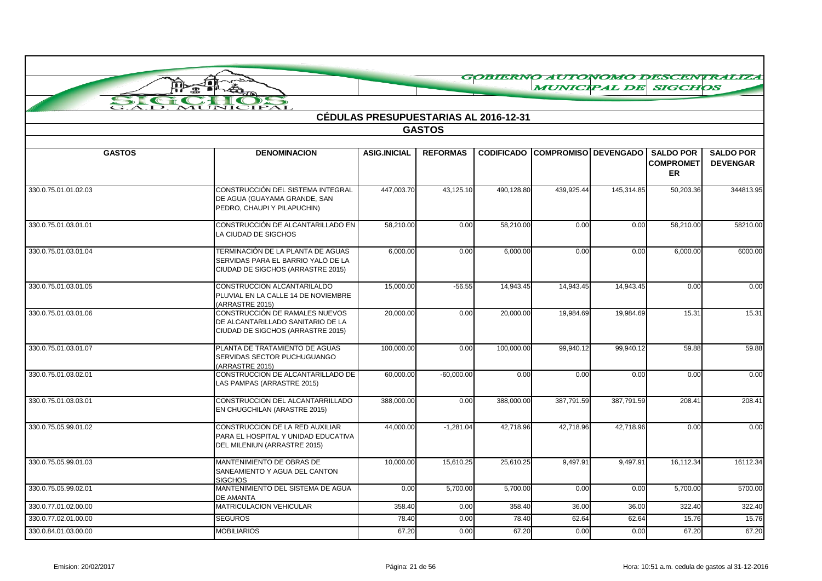|                           |                                                                                                              |                     |                                              |                   | <b>MUNICIPAL DE SIGCHOS</b> |            |                        | GOBIERNO AUTONOMO DESCENTRALIZA |
|---------------------------|--------------------------------------------------------------------------------------------------------------|---------------------|----------------------------------------------|-------------------|-----------------------------|------------|------------------------|---------------------------------|
| $\epsilon$ and $\epsilon$ | 疉<br>$\rightarrow$                                                                                           |                     |                                              |                   |                             |            |                        |                                 |
| SI<br>Ā.D.                | IPAL<br>MUNIC                                                                                                |                     |                                              |                   |                             |            |                        |                                 |
|                           |                                                                                                              |                     | <b>CÉDULAS PRESUPUESTARIAS AL 2016-12-31</b> |                   |                             |            |                        |                                 |
|                           |                                                                                                              |                     | <b>GASTOS</b>                                |                   |                             |            |                        |                                 |
| <b>GASTOS</b>             | <b>DENOMINACION</b>                                                                                          | <b>ASIG.INICIAL</b> | <b>REFORMAS</b>                              | <b>CODIFICADO</b> | <b>COMPROMISO DEVENGADO</b> |            | <b>SALDO POR</b>       | <b>SALDO POR</b>                |
|                           |                                                                                                              |                     |                                              |                   |                             |            | <b>COMPROMET</b><br>ER | <b>DEVENGAR</b>                 |
| 330.0.75.01.01.02.03      | CONSTRUCCIÓN DEL SISTEMA INTEGRAL<br>DE AGUA (GUAYAMA GRANDE, SAN<br>PEDRO, CHAUPI Y PILAPUCHIN)             | 447,003.70          | 43,125.10                                    | 490,128.80        | 439.925.44                  | 145,314.85 | 50,203.36              | 344813.95                       |
| 330.0.75.01.03.01.01      | CONSTRUCCIÓN DE ALCANTARILLADO EN<br>LA CIUDAD DE SIGCHOS                                                    | 58,210.00           | 0.00                                         | 58,210.00         | 0.00                        | 0.00       | 58,210.00              | 58210.00                        |
| 330.0.75.01.03.01.04      | TERMINACIÓN DE LA PLANTA DE AGUAS<br>SERVIDAS PARA EL BARRIO YALÓ DE LA<br>CIUDAD DE SIGCHOS (ARRASTRE 2015) | 6,000.00            | 0.00                                         | 6.000.00          | 0.00                        | 0.00       | 6,000.00               | 6000.00                         |
| 330.0.75.01.03.01.05      | CONSTRUCCION ALCANTARILALDO<br>PLUVIAL EN LA CALLE 14 DE NOVIEMBRE<br>(ARRASTRE 2015)                        | 15,000.00           | $-56.55$                                     | 14,943.45         | 14,943.45                   | 14,943.45  | 0.00                   | 0.00                            |
| 330.0.75.01.03.01.06      | CONSTRUCCIÓN DE RAMALES NUEVOS<br>DE ALCANTARILLADO SANITARIO DE LA<br>CIUDAD DE SIGCHOS (ARRASTRE 2015)     | 20,000.00           | 0.00                                         | 20,000.00         | 19,984.69                   | 19,984.69  | 15.31                  | 15.31                           |
| 330.0.75.01.03.01.07      | PLANTA DE TRATAMIENTO DE AGUAS<br>SERVIDAS SECTOR PUCHUGUANGO<br>(ARRASTRE 2015)                             | 100,000.00          | 0.00                                         | 100,000.00        | 99,940.12                   | 99,940.12  | 59.88                  | 59.88                           |
| 330.0.75.01.03.02.01      | CONSTRUCCION DE ALCANTARILLADO DE<br>LAS PAMPAS (ARRASTRE 2015)                                              | 60,000.00           | $-60,000.00$                                 | 0.00              | 0.00                        | 0.00       | 0.00                   | 0.00                            |
| 330.0.75.01.03.03.01      | CONSTRUCCION DEL ALCANTARRILLADO<br>EN CHUGCHILAN (ARASTRE 2015)                                             | 388,000.00          | 0.00                                         | 388,000.00        | 387,791.59                  | 387,791.59 | 208.41                 | 208.41                          |
| 330.0.75.05.99.01.02      | CONSTRUCCION DE LA RED AUXILIAR<br>PARA EL HOSPITAL Y UNIDAD EDUCATIVA<br>DEL MILENIUN (ARRASTRE 2015)       | 44,000.00           | $-1,281.04$                                  | 42,718.96         | 42,718.96                   | 42,718.96  | 0.00                   | 0.00                            |
| 330.0.75.05.99.01.03      | MANTENIMIENTO DE OBRAS DE<br>SANEAMIENTO Y AGUA DEL CANTON<br><b>SIGCHOS</b>                                 | 10,000.00           | 15,610.25                                    | 25,610.25         | 9,497.91                    | 9,497.91   | 16,112.34              | 16112.34                        |
| 330.0.75.05.99.02.01      | MANTENIMIENTO DEL SISTEMA DE AGUA<br><b>DE AMANTA</b>                                                        | 0.00                | 5,700.00                                     | 5,700.00          | 0.00                        | 0.00       | 5,700.00               | 5700.00                         |
| 330.0.77.01.02.00.00      | MATRICULACION VEHICULAR                                                                                      | 358.40              | 0.00                                         | 358.40            | 36.00                       | 36.00      | 322.40                 | 322.40                          |
| 330.0.77.02.01.00.00      | <b>SEGUROS</b>                                                                                               | 78.40               | 0.00                                         | 78.40             | 62.64                       | 62.64      | 15.76                  | 15.76                           |
| 330.0.84.01.03.00.00      | <b>MOBILIARIOS</b>                                                                                           | 67.20               | 0.00                                         | 67.20             | 0.00                        | 0.00       | 67.20                  | 67.20                           |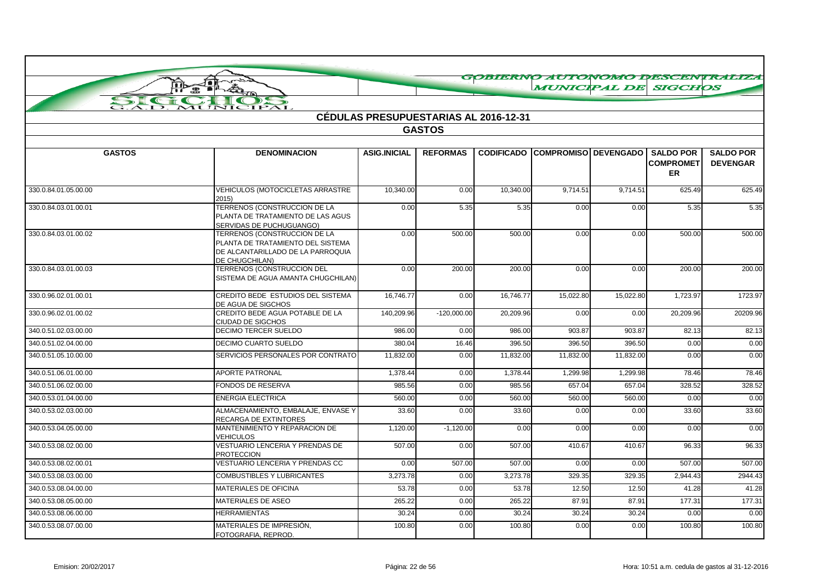|                                 |                                                                                                                          |                     |                                              |           | GOBIERNO AUTONOMO DESCENTRALIZA        |           |                                            |                                     |
|---------------------------------|--------------------------------------------------------------------------------------------------------------------------|---------------------|----------------------------------------------|-----------|----------------------------------------|-----------|--------------------------------------------|-------------------------------------|
|                                 | Joi<br><b>Te 21</b><br>A                                                                                                 |                     |                                              |           | <b>MUNICIPAL DE SIGCHOS</b>            |           |                                            |                                     |
| SI<br>$\epsilon$ and $\epsilon$ | $\rightarrow$                                                                                                            |                     |                                              |           |                                        |           |                                            |                                     |
| $\bf{A.D.}$                     | MUNICIPAL                                                                                                                |                     | <b>CÉDULAS PRESUPUESTARIAS AL 2016-12-31</b> |           |                                        |           |                                            |                                     |
|                                 |                                                                                                                          |                     | <b>GASTOS</b>                                |           |                                        |           |                                            |                                     |
|                                 |                                                                                                                          |                     |                                              |           |                                        |           |                                            |                                     |
| <b>GASTOS</b>                   | <b>DENOMINACION</b>                                                                                                      | <b>ASIG.INICIAL</b> | <b>REFORMAS</b>                              |           | <b>CODIFICADO COMPROMISO DEVENGADO</b> |           | <b>SALDO POR</b><br><b>COMPROMET</b><br>ER | <b>SALDO POR</b><br><b>DEVENGAR</b> |
| 330.0.84.01.05.00.00            | VEHICULOS (MOTOCICLETAS ARRASTRE<br>2015)                                                                                | 10,340.00           | 0.00                                         | 10,340.00 | 9,714.51                               | 9,714.51  | 625.49                                     | 625.49                              |
| 330.0.84.03.01.00.01            | TERRENOS (CONSTRUCCION DE LA<br>PLANTA DE TRATAMIENTO DE LAS AGUS<br>SERVIDAS DE PUCHUGUANGO)                            | 0.00                | 5.35                                         | 5.35      | 0.00                                   | 0.00      | 5.35                                       | 5.35                                |
| 330.0.84.03.01.00.02            | TERRENOS (CONSTRUCCION DE LA<br>PLANTA DE TRATAMIENTO DEL SISTEMA<br>DE ALCANTARILLADO DE LA PARROQUIA<br>DE CHUGCHILAN) | 0.00                | 500.00                                       | 500.00    | 0.00                                   | 0.00      | 500.00                                     | 500.00                              |
| 330.0.84.03.01.00.03            | TERRENOS (CONSTRUCCION DEL<br>SISTEMA DE AGUA AMANTA CHUGCHILAN)                                                         | 0.00                | 200.00                                       | 200.00    | 0.00                                   | 0.00      | 200.00                                     | 200.00                              |
| 330.0.96.02.01.00.01            | CREDITO BEDE ESTUDIOS DEL SISTEMA<br>DE AGUA DE SIGCHOS                                                                  | 16,746.77           | 0.00                                         | 16,746.77 | 15,022.80                              | 15,022.80 | 1,723.97                                   | 1723.97                             |
| 330.0.96.02.01.00.02            | CREDITO BEDE AGUA POTABLE DE LA<br>CIUDAD DE SIGCHOS                                                                     | 140,209.96          | $-120,000.00$                                | 20.209.96 | 0.00                                   | 0.00      | 20,209.96                                  | 20209.96                            |
| 340.0.51.02.03.00.00            | <b>DECIMO TERCER SUELDO</b>                                                                                              | 986.00              | 0.00                                         | 986.00    | 903.87                                 | 903.87    | 82.13                                      | 82.13                               |
| 340.0.51.02.04.00.00            | <b>DECIMO CUARTO SUELDO</b>                                                                                              | 380.04              | 16.46                                        | 396.50    | 396.50                                 | 396.50    | 0.00                                       | 0.00                                |
| 340.0.51.05.10.00.00            | SERVICIOS PERSONALES POR CONTRATO                                                                                        | 11,832.00           | 0.00                                         | 11,832.00 | 11,832.00                              | 11,832.00 | 0.00                                       | 0.00                                |
| 340.0.51.06.01.00.00            | <b>APORTE PATRONAL</b>                                                                                                   | 1,378.44            | 0.00                                         | 1.378.44  | 1.299.98                               | 1,299.98  | 78.46                                      | 78.46                               |
| 340.0.51.06.02.00.00            | <b>FONDOS DE RESERVA</b>                                                                                                 | 985.56              | 0.00                                         | 985.56    | 657.04                                 | 657.04    | 328.52                                     | 328.52                              |
| 340.0.53.01.04.00.00            | <b>ENERGIA ELECTRICA</b>                                                                                                 | 560.00              | 0.00                                         | 560.00    | 560.00                                 | 560.00    | 0.00                                       | 0.00                                |
| 340.0.53.02.03.00.00            | ALMACENAMIENTO, EMBALAJE, ENVASE Y<br>RECARGA DE EXTINTORES                                                              | 33.60               | 0.00                                         | 33.60     | 0.00                                   | 0.00      | 33.60                                      | 33.60                               |
| 340.0.53.04.05.00.00            | MANTENIMIENTO Y REPARACION DE<br><b>VEHICULOS</b>                                                                        | 1,120.00            | $-1,120.00$                                  | 0.00      | 0.00                                   | 0.00      | 0.00                                       | 0.00                                |
| 340.0.53.08.02.00.00            | VESTUARIO LENCERIA Y PRENDAS DE<br><b>PROTECCION</b>                                                                     | 507.00              | 0.00                                         | 507.00    | 410.67                                 | 410.67    | 96.33                                      | 96.33                               |
| 340.0.53.08.02.00.01            | VESTUARIO LENCERIA Y PRENDAS CC                                                                                          | 0.00                | 507.00                                       | 507.00    | 0.00                                   | 0.00      | 507.00                                     | 507.00                              |
| 340.0.53.08.03.00.00            | <b>COMBUSTIBLES Y LUBRICANTES</b>                                                                                        | 3,273.78            | 0.00                                         | 3,273.78  | 329.35                                 | 329.35    | 2,944.43                                   | 2944.43                             |
| 340.0.53.08.04.00.00            | <b>MATERIALES DE OFICINA</b>                                                                                             | 53.78               | 0.00                                         | 53.78     | 12.50                                  | 12.50     | 41.28                                      | 41.28                               |
| 340.0.53.08.05.00.00            | <b>MATERIALES DE ASEO</b>                                                                                                | 265.22              | 0.00                                         | 265.22    | 87.91                                  | 87.91     | 177.31                                     | 177.31                              |
| 340.0.53.08.06.00.00            | <b>HERRAMIENTAS</b>                                                                                                      | 30.24               | 0.00                                         | 30.24     | 30.24                                  | 30.24     | 0.00                                       | 0.00                                |
| 340.0.53.08.07.00.00            | MATERIALES DE IMPRESIÓN.<br>FOTOGRAFIA, REPROD.                                                                          | 100.80              | 0.00                                         | 100.80    | 0.00                                   | 0.00      | 100.80                                     | 100.80                              |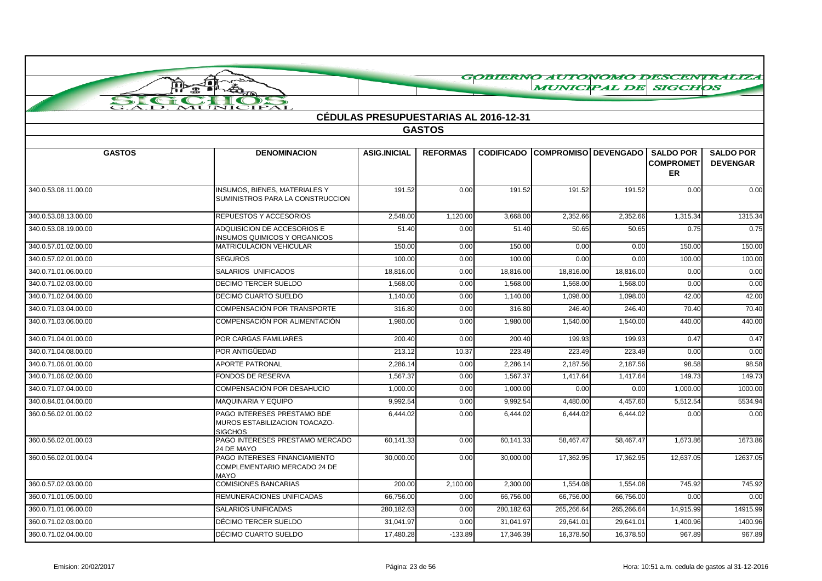|                      | ومتبس<br>無<br>ŗþ                                                               |                                              |                 |                   |                        |            | <b>MUNICIPAL DE SIGCHOS</b>                       | GOBIERNO AUTONOMO DESCENTRALIZA     |
|----------------------|--------------------------------------------------------------------------------|----------------------------------------------|-----------------|-------------------|------------------------|------------|---------------------------------------------------|-------------------------------------|
|                      | A                                                                              |                                              |                 |                   |                        |            |                                                   |                                     |
| SIG                  | INICIPAL                                                                       |                                              |                 |                   |                        |            |                                                   |                                     |
|                      |                                                                                | <b>CÉDULAS PRESUPUESTARIAS AL 2016-12-31</b> |                 |                   |                        |            |                                                   |                                     |
|                      |                                                                                |                                              | <b>GASTOS</b>   |                   |                        |            |                                                   |                                     |
|                      |                                                                                |                                              |                 |                   |                        |            |                                                   |                                     |
| <b>GASTOS</b>        | <b>DENOMINACION</b>                                                            | <b>ASIG.INICIAL</b>                          | <b>REFORMAS</b> | <b>CODIFICADO</b> | COMPROMISO DEVENGADO I |            | <b>SALDO POR</b><br><b>COMPROMET</b><br><b>ER</b> | <b>SALDO POR</b><br><b>DEVENGAR</b> |
| 340.0.53.08.11.00.00 | INSUMOS, BIENES, MATERIALES Y<br>SUMINISTROS PARA LA CONSTRUCCION              | 191.52                                       | 0.00            | 191.52            | 191.52                 | 191.52     | 0.00                                              | 0.00                                |
| 340.0.53.08.13.00.00 | REPUESTOS Y ACCESORIOS                                                         | 2.548.00                                     | 1,120.00        | 3.668.00          | 2,352.66               | 2,352.66   | 1,315.34                                          | 1315.34                             |
| 340.0.53.08.19.00.00 | ADQUISICION DE ACCESORIOS E<br><b>INSUMOS QUIMICOS Y ORGANICOS</b>             | 51.40                                        | 0.00            | 51.40             | 50.65                  | 50.65      | 0.75                                              | 0.75                                |
| 340.0.57.01.02.00.00 | MATRICULACION VEHICULAR                                                        | 150.00                                       | 0.00            | 150.00            | 0.00                   | 0.00       | 150.00                                            | 150.00                              |
| 340.0.57.02.01.00.00 | <b>SEGUROS</b>                                                                 | 100.00                                       | 0.00            | 100.00            | 0.00                   | 0.00       | 100.00                                            | 100.00                              |
| 340.0.71.01.06.00.00 | SALARIOS UNIFICADOS                                                            | 18,816.00                                    | 0.00            | 18,816.00         | 18,816.00              | 18,816.00  | 0.00                                              | 0.00                                |
| 340.0.71.02.03.00.00 | <b>DECIMO TERCER SUELDO</b>                                                    | 1.568.00                                     | 0.00            | 1.568.00          | 1,568.00               | 1,568.00   | 0.00                                              | 0.00                                |
| 340.0.71.02.04.00.00 | <b>DECIMO CUARTO SUELDO</b>                                                    | 1.140.00                                     | 0.00            | 1,140.00          | 1,098.00               | 1,098.00   | 42.00                                             | 42.00                               |
| 340.0.71.03.04.00.00 | COMPENSACIÓN POR TRANSPORTE                                                    | 316.80                                       | 0.00            | 316.80            | 246.40                 | 246.40     | 70.40                                             | 70.40                               |
| 340.0.71.03.06.00.00 | COMPENSACIÓN POR ALIMENTACIÓN                                                  | 1,980.00                                     | 0.00            | 1,980.00          | 1,540.00               | 1,540.00   | 440.00                                            | 440.00                              |
| 340.0.71.04.01.00.00 | POR CARGAS FAMILIARES                                                          | 200.40                                       | 0.00            | 200.40            | 199.93                 | 199.93     | 0.47                                              | 0.47                                |
| 340.0.71.04.08.00.00 | POR ANTIGÜEDAD                                                                 | 213.12                                       | 10.37           | 223.49            | 223.49                 | 223.49     | 0.00                                              | 0.00                                |
| 340.0.71.06.01.00.00 | <b>APORTE PATRONAL</b>                                                         | 2,286.14                                     | 0.00            | 2,286.14          | 2,187.56               | 2,187.56   | 98.58                                             | 98.58                               |
| 340.0.71.06.02.00.00 | FONDOS DE RESERVA                                                              | 1,567.37                                     | 0.00            | 1,567.37          | 1,417.64               | 1,417.64   | 149.73                                            | 149.73                              |
| 340.0.71.07.04.00.00 | COMPENSACIÓN POR DESAHUCIO                                                     | 1,000.00                                     | 0.00            | 1,000.00          | 0.00                   | 0.00       | 1,000.00                                          | 1000.00                             |
| 340.0.84.01.04.00.00 | <b>MAQUINARIA Y EQUIPO</b>                                                     | 9,992.54                                     | 0.00            | 9,992.54          | 4,480.00               | 4,457.60   | 5,512.54                                          | 5534.94                             |
| 360.0.56.02.01.00.02 | PAGO INTERESES PRESTAMO BDE<br>MUROS ESTABILIZACION TOACAZO-<br><b>SIGCHOS</b> | 6,444.02                                     | 0.00            | 6,444.02          | 6,444.02               | 6,444.02   | 0.00                                              | 0.00                                |
| 360.0.56.02.01.00.03 | PAGO INTERESES PRESTAMO MERCADO<br>24 DE MAYO                                  | 60,141.33                                    | 0.00            | 60,141.33         | 58,467.47              | 58,467.47  | 1,673.86                                          | 1673.86                             |
| 360.0.56.02.01.00.04 | PAGO INTERESES FINANCIAMIENTO<br>COMPLEMENTARIO MERCADO 24 DE<br><b>MAYO</b>   | 30,000.00                                    | 0.00            | 30,000.00         | 17,362.95              | 17,362.95  | 12,637.05                                         | 12637.05                            |
| 360.0.57.02.03.00.00 | <b>COMISIONES BANCARIAS</b>                                                    | 200.00                                       | 2,100.00        | 2,300.00          | 1,554.08               | 1,554.08   | 745.92                                            | 745.92                              |
| 360.0.71.01.05.00.00 | REMUNERACIONES UNIFICADAS                                                      | 66,756.00                                    | 0.00            | 66,756.00         | 66,756.00              | 66,756.00  | 0.00                                              | 0.00                                |
| 360.0.71.01.06.00.00 | <b>SALARIOS UNIFICADAS</b>                                                     | 280,182.63                                   | 0.00            | 280,182.63        | 265,266.64             | 265,266.64 | 14,915.99                                         | 14915.99                            |
| 360.0.71.02.03.00.00 | DÉCIMO TERCER SUELDO                                                           | 31,041.97                                    | 0.00            | 31,041.97         | 29,641.01              | 29,641.01  | 1,400.96                                          | 1400.96                             |
| 360.0.71.02.04.00.00 | DÉCIMO CUARTO SUELDO                                                           | 17,480.28                                    | $-133.89$       | 17,346.39         | 16.378.50              | 16.378.50  | 967.89                                            | 967.89                              |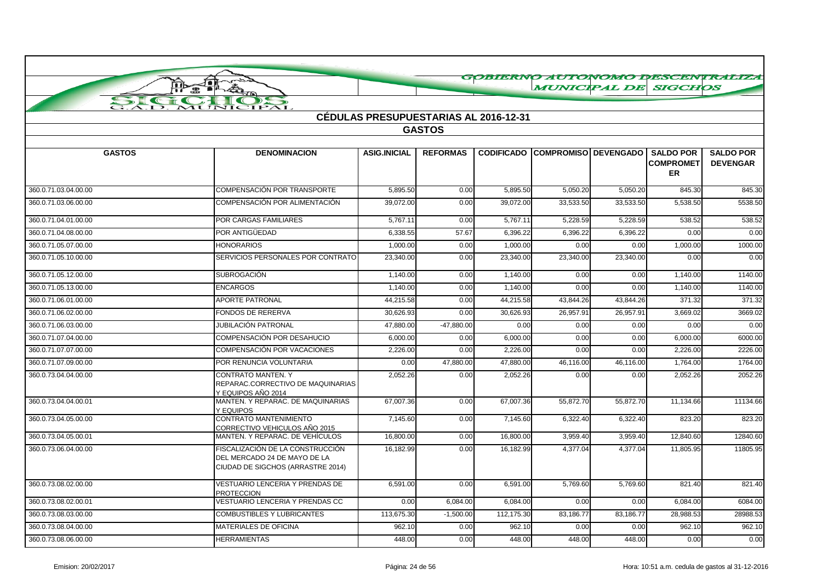|                                |                                                                                                       |                                              |                 |                       | GOBIERNO AUTONOMO DESCENTRALIZA        |           |                                             |                                     |
|--------------------------------|-------------------------------------------------------------------------------------------------------|----------------------------------------------|-----------------|-----------------------|----------------------------------------|-----------|---------------------------------------------|-------------------------------------|
|                                | J∎i<br>ŢÞ<br>霊                                                                                        |                                              |                 |                       |                                        |           | <b>MUNICIPAL DE SIGCHOS</b>                 |                                     |
| SI<br>$\epsilon$ if $\epsilon$ | $\rightarrow$                                                                                         |                                              |                 |                       |                                        |           |                                             |                                     |
| $\bf{A.D.}$                    | MUNICIPAL                                                                                             | <b>CÉDULAS PRESUPUESTARIAS AL 2016-12-31</b> |                 |                       |                                        |           |                                             |                                     |
|                                |                                                                                                       |                                              | <b>GASTOS</b>   |                       |                                        |           |                                             |                                     |
|                                |                                                                                                       |                                              |                 |                       |                                        |           |                                             |                                     |
| <b>GASTOS</b>                  | <b>DENOMINACION</b>                                                                                   | <b>ASIG.INICIAL</b>                          | <b>REFORMAS</b> |                       | <b>CODIFICADO COMPROMISO DEVENGADO</b> |           | <b>SALDO POR</b><br><b>COMPROMET</b><br>ER. | <b>SALDO POR</b><br><b>DEVENGAR</b> |
| 360.0.71.03.04.00.00           | COMPENSACIÓN POR TRANSPORTE                                                                           | 5,895.50                                     | 0.00            | $\overline{5,895.50}$ | 5,050.20                               | 5,050.20  | 845.30                                      | 845.30                              |
| 360.0.71.03.06.00.00           | COMPENSACIÓN POR ALIMENTACIÓN                                                                         | 39,072.00                                    | 0.00            | 39,072.00             | 33,533.50                              | 33,533.50 | 5,538.50                                    | 5538.50                             |
| 360.0.71.04.01.00.00           | <b>POR CARGAS FAMILIARES</b>                                                                          | 5.767.11                                     | 0.00            | 5.767.11              | 5.228.59                               | 5,228.59  | 538.52                                      | 538.52                              |
| 360.0.71.04.08.00.00           | POR ANTIGÜEDAD                                                                                        | 6.338.55                                     | 57.67           | 6,396.22              | 6,396.22                               | 6,396.22  | 0.00                                        | 0.00                                |
| 360.0.71.05.07.00.00           | <b>HONORARIOS</b>                                                                                     | 1,000.00                                     | 0.00            | 1,000.00              | 0.00                                   | 0.00      | 1,000.00                                    | 1000.00                             |
| 360.0.71.05.10.00.00           | SERVICIOS PERSONALES POR CONTRATO                                                                     | 23,340.00                                    | 0.00            | 23,340.00             | 23,340.00                              | 23,340.00 | 0.00                                        | 0.00                                |
| 360.0.71.05.12.00.00           | <b>SUBROGACIÓN</b>                                                                                    | 1.140.00                                     | 0.00            | 1.140.00              | 0.00                                   | 0.00      | 1,140.00                                    | 1140.00                             |
| 360.0.71.05.13.00.00           | <b>ENCARGOS</b>                                                                                       | 1,140.00                                     | 0.00            | 1,140.00              | 0.00                                   | 0.00      | 1,140.00                                    | 1140.00                             |
| 360.0.71.06.01.00.00           | <b>APORTE PATRONAL</b>                                                                                | 44,215.58                                    | 0.00            | 44,215.58             | 43,844.26                              | 43,844.26 | 371.32                                      | 371.32                              |
| 360.0.71.06.02.00.00           | <b>FONDOS DE RERERVA</b>                                                                              | 30.626.93                                    | 0.00            | 30,626.93             | 26,957.91                              | 26,957.91 | 3,669.02                                    | 3669.02                             |
| 360.0.71.06.03.00.00           | JUBILACIÓN PATRONAL                                                                                   | 47,880.00                                    | $-47,880.00$    | 0.00                  | 0.00                                   | 0.00      | 0.00                                        | 0.00                                |
| 360.0.71.07.04.00.00           | COMPENSACIÓN POR DESAHUCIO                                                                            | 6,000.00                                     | 0.00            | 6,000.00              | 0.00                                   | 0.00      | 6,000.00                                    | 6000.00                             |
| 360.0.71.07.07.00.00           | COMPENSACIÓN POR VACACIONES                                                                           | 2.226.00                                     | 0.00            | 2.226.00              | 0.00                                   | 0.00      | 2,226.00                                    | 2226.00                             |
| 360.0.71.07.09.00.00           | POR RENUNCIA VOLUNTARIA                                                                               | 0.00                                         | 47,880.00       | 47,880.00             | 46,116.00                              | 46,116.00 | 1,764.00                                    | 1764.00                             |
| 360.0.73.04.04.00.00           | <b>CONTRATO MANTEN. Y</b><br>REPARAC.CORRECTIVO DE MAQUINARIAS<br>Y EQUIPOS AÑO 2014                  | 2,052.26                                     | 0.00            | 2,052.26              | 0.00                                   | 0.00      | 2,052.26                                    | 2052.26                             |
| 360.0.73.04.04.00.01           | MANTEN. Y REPARAC. DE MAQUINARIAS<br>Y EQUIPOS                                                        | 67,007.36                                    | 0.00            | 67,007.36             | 55,872.70                              | 55,872.70 | 11,134.66                                   | 11134.66                            |
| 360.0.73.04.05.00.00           | <b>CONTRATO MANTENIMIENTO</b><br>CORRECTIVO VEHICULOS AÑO 2015                                        | 7,145.60                                     | 0.00            | 7,145.60              | 6,322.40                               | 6.322.40  | 823.20                                      | 823.20                              |
| 360.0.73.04.05.00.01           | MANTEN. Y REPARAC. DE VEHÍCULOS                                                                       | 16.800.00                                    | 0.00            | 16,800.00             | 3,959.40                               | 3,959.40  | 12,840.60                                   | 12840.60                            |
| 360.0.73.06.04.00.00           | FISCALIZACIÓN DE LA CONSTRUCCIÓN<br>DEL MERCADO 24 DE MAYO DE LA<br>CIUDAD DE SIGCHOS (ARRASTRE 2014) | 16,182.99                                    | 0.00            | 16,182.99             | 4,377.04                               | 4,377.04  | 11,805.95                                   | 11805.95                            |
| 360.0.73.08.02.00.00           | VESTUARIO LENCERIA Y PRENDAS DE<br><b>PROTECCION</b>                                                  | 6,591.00                                     | 0.00            | 6,591.00              | 5,769.60                               | 5,769.60  | 821.40                                      | 821.40                              |
| 360.0.73.08.02.00.01           | VESTUARIO LENCERIA Y PRENDAS CC                                                                       | 0.00                                         | 6,084.00        | 6,084.00              | 0.00                                   | 0.00      | 6,084.00                                    | 6084.00                             |
| 360.0.73.08.03.00.00           | <b>COMBUSTIBLES Y LUBRICANTES</b>                                                                     | 113,675.30                                   | $-1,500.00$     | 112,175.30            | 83,186.77                              | 83,186.77 | 28.988.53                                   | 28988.53                            |
| 360.0.73.08.04.00.00           | <b>MATERIALES DE OFICINA</b>                                                                          | 962.10                                       | 0.00            | 962.10                | 0.00                                   | 0.00      | 962.10                                      | 962.10                              |

360.0.73.08.06.00.00 HERRAMIENTAS 448.00 0.00 448.00 448.00 448.00 0.00 0.00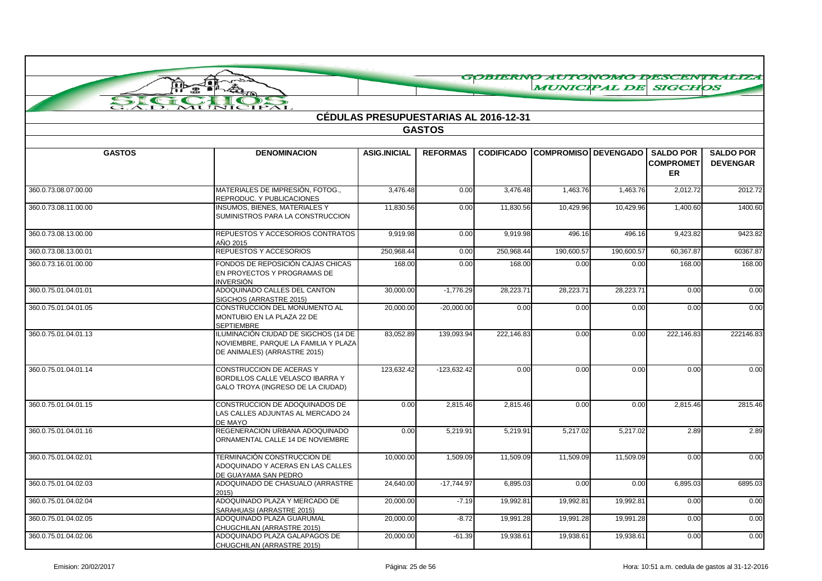|                      | Johnson<br><b>A</b>                                                                                          |                     |                                              |                   |                             |            |                                            | GOBIERNO AUTONOMO DESCENTRALIZA     |
|----------------------|--------------------------------------------------------------------------------------------------------------|---------------------|----------------------------------------------|-------------------|-----------------------------|------------|--------------------------------------------|-------------------------------------|
|                      |                                                                                                              |                     |                                              |                   | <b>MUNICIPAL DE SIGCHOS</b> |            |                                            |                                     |
| SIC                  | MUNICIPAL                                                                                                    |                     |                                              |                   |                             |            |                                            |                                     |
|                      |                                                                                                              |                     | <b>CÉDULAS PRESUPUESTARIAS AL 2016-12-31</b> |                   |                             |            |                                            |                                     |
|                      |                                                                                                              |                     | <b>GASTOS</b>                                |                   |                             |            |                                            |                                     |
|                      |                                                                                                              |                     |                                              |                   |                             |            |                                            |                                     |
| <b>GASTOS</b>        | <b>DENOMINACION</b>                                                                                          | <b>ASIG.INICIAL</b> | <b>REFORMAS</b>                              | <b>CODIFICADO</b> | COMPROMISO   DEVENGADO      |            | <b>SALDO POR</b><br><b>COMPROMET</b><br>ER | <b>SALDO POR</b><br><b>DEVENGAR</b> |
| 360.0.73.08.07.00.00 | MATERIALES DE IMPRESIÓN, FOTOG.,<br>REPRODUC. Y PUBLICACIONES                                                | 3,476.48            | 0.00                                         | 3,476.48          | 1,463.76                    | 1,463.76   | 2,012.72                                   | 2012.72                             |
| 360.0.73.08.11.00.00 | <b>INSUMOS, BIENES, MATERIALES Y</b><br>SUMINISTROS PARA LA CONSTRUCCION                                     | 11,830.56           | 0.00                                         | 11,830.56         | 10,429.96                   | 10,429.96  | 1,400.60                                   | 1400.60                             |
| 360.0.73.08.13.00.00 | REPUESTOS Y ACCESORIOS CONTRATOS<br>AÑO 2015                                                                 | 9,919.98            | 0.00                                         | 9,919.98          | 496.16                      | 496.16     | 9,423.82                                   | 9423.82                             |
| 360.0.73.08.13.00.01 | REPUESTOS Y ACCESORIOS                                                                                       | 250,968.44          | 0.00                                         | 250,968.44        | 190,600.57                  | 190,600.57 | 60,367.87                                  | 60367.87                            |
| 360.0.73.16.01.00.00 | FONDOS DE REPOSICIÓN CAJAS CHICAS<br>EN PROYECTOS Y PROGRAMAS DE<br><b>INVERSIÓN</b>                         | 168.00              | 0.00                                         | 168.00            | 0.00                        | 0.00       | 168.00                                     | 168.00                              |
| 360.0.75.01.04.01.01 | ADOQUINADO CALLES DEL CANTON<br>SIGCHOS (ARRASTRE 2015)                                                      | 30,000.00           | $-1,776.29$                                  | 28,223.71         | 28,223.71                   | 28,223.71  | 0.00                                       | 0.00                                |
| 360.0.75.01.04.01.05 | CONSTRUCCION DEL MONUMENTO AL<br>MONTUBIO EN LA PLAZA 22 DE<br><b>SEPTIEMBRE</b>                             | 20,000.00           | $-20,000.00$                                 | 0.00              | 0.00                        | 0.00       | 0.00                                       | 0.00                                |
| 360.0.75.01.04.01.13 | ILUMINACIÓN CIUDAD DE SIGCHOS (14 DE<br>NOVIEMBRE, PARQUE LA FAMILIA Y PLAZA<br>DE ANIMALES) (ARRASTRE 2015) | 83,052.89           | 139,093.94                                   | 222,146.83        | 0.00                        | 0.00       | 222,146.83                                 | 222146.83                           |
| 360.0.75.01.04.01.14 | CONSTRUCCION DE ACERAS Y<br>BORDILLOS CALLE VELASCO IBARRA Y<br>GALO TROYA (INGRESO DE LA CIUDAD)            | 123.632.42          | $-123.632.42$                                | 0.00              | 0.00                        | 0.00       | 0.00                                       | 0.00                                |
| 360.0.75.01.04.01.15 | CONSTRUCCION DE ADOQUINADOS DE<br>LAS CALLES ADJUNTAS AL MERCADO 24<br>DE MAYO                               | 0.00                | 2.815.46                                     | 2.815.46          | 0.00                        | 0.00       | 2.815.46                                   | 2815.46                             |
| 360.0.75.01.04.01.16 | REGENERACION URBANA ADOQUINADO<br>ORNAMENTAL CALLE 14 DE NOVIEMBRE                                           | 0.00                | 5,219.91                                     | 5,219.91          | 5,217.02                    | 5,217.02   | 2.89                                       | 2.89                                |
| 360.0.75.01.04.02.01 | TERMINACIÓN CONSTRUCCION DE<br>ADOQUINADO Y ACERAS EN LAS CALLES<br>DE GUAYAMA SAN PEDRO                     | 10,000.00           | 1,509.09                                     | 11,509.09         | 11,509.09                   | 11,509.09  | 0.00                                       | 0.00                                |
| 360.0.75.01.04.02.03 | ADOQUINADO DE CHASUALO (ARRASTRE<br>2015                                                                     | 24.640.00           | $-17,744.97$                                 | 6,895.03          | 0.00                        | 0.00       | 6,895.03                                   | 6895.03                             |
| 360.0.75.01.04.02.04 | ADOQUINADO PLAZA Y MERCADO DE<br>SARAHUASI (ARRASTRE 2015)                                                   | 20,000.00           | $-7.19$                                      | 19,992.81         | 19,992.81                   | 19,992.81  | 0.00                                       | 0.00                                |
| 360.0.75.01.04.02.05 | ADOQUINADO PLAZA GUARUMAL<br>CHUGCHILAN (ARRASTRE 2015)                                                      | 20,000.00           | $-8.72$                                      | 19,991.28         | 19,991.28                   | 19,991.28  | 0.00                                       | 0.00                                |
| 360.0.75.01.04.02.06 | ADOQUINADO PLAZA GALAPAGOS DE<br>CHUGCHILAN (ARRASTRE 2015)                                                  | 20,000.00           | $-61.39$                                     | 19,938.61         | 19,938.61                   | 19,938.61  | 0.00                                       | 0.00                                |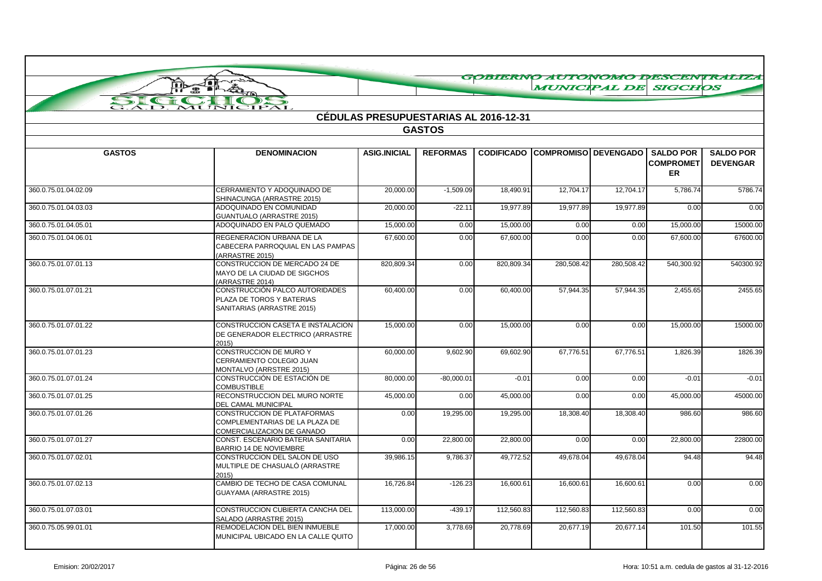|                                                     |                                                                                             |                                              |                 |                   | <b>MUNICIPAL DE SIGCHOS</b> |            |                                            | GOBIERNO AUTONOMO DESCENTRALIZA     |
|-----------------------------------------------------|---------------------------------------------------------------------------------------------|----------------------------------------------|-----------------|-------------------|-----------------------------|------------|--------------------------------------------|-------------------------------------|
|                                                     |                                                                                             |                                              |                 |                   |                             |            |                                            |                                     |
| SI<br>$\epsilon$ of $\epsilon$<br>$\overline{AD}$ . | $\rightarrow$<br>MUNICIPAL                                                                  |                                              |                 |                   |                             |            |                                            |                                     |
|                                                     |                                                                                             | <b>CÉDULAS PRESUPUESTARIAS AL 2016-12-31</b> |                 |                   |                             |            |                                            |                                     |
|                                                     |                                                                                             |                                              | <b>GASTOS</b>   |                   |                             |            |                                            |                                     |
|                                                     |                                                                                             |                                              |                 |                   |                             |            |                                            |                                     |
| <b>GASTOS</b>                                       | <b>DENOMINACION</b>                                                                         | <b>ASIG.INICIAL</b>                          | <b>REFORMAS</b> | <b>CODIFICADO</b> | COMPROMISO DEVENGADO I      |            | <b>SALDO POR</b><br><b>COMPROMET</b><br>ER | <b>SALDO POR</b><br><b>DEVENGAR</b> |
| 360.0.75.01.04.02.09                                | CERRAMIENTO Y ADOQUINADO DE<br>SHINACUNGA (ARRASTRE 2015)                                   | 20,000.00                                    | $-1,509.09$     | 18,490.91         | 12,704.17                   | 12,704.17  | 5,786.74                                   | 5786.74                             |
| 360.0.75.01.04.03.03                                | ADOQUINADO EN COMUNIDAD<br><b>GUANTUALO (ARRASTRE 2015)</b>                                 | 20.000.00                                    | $-22.11$        | 19.977.89         | 19.977.89                   | 19.977.89  | 0.00                                       | 0.00                                |
| 360.0.75.01.04.05.01                                | ADOQUINADO EN PALO QUEMADO                                                                  | 15,000.00                                    | 0.00            | 15,000.00         | 0.00                        | 0.00       | 15,000.00                                  | 15000.00                            |
| 360.0.75.01.04.06.01                                | REGENERACION URBANA DE LA<br>CABECERA PARROQUIAL EN LAS PAMPAS<br>(ARRASTRE 2015)           | 67.600.00                                    | 0.00            | 67.600.00         | 0.00                        | 0.00       | 67.600.00                                  | 67600.00                            |
| 360.0.75.01.07.01.13                                | CONSTRUCCION DE MERCADO 24 DE<br>MAYO DE LA CIUDAD DE SIGCHOS<br>(ARRASTRE 2014)            | 820,809.34                                   | 0.00            | 820,809.34        | 280,508.42                  | 280,508.42 | 540,300.92                                 | 540300.92                           |
| 360.0.75.01.07.01.21                                | CONSTRUCCIÓN PALCO AUTORIDADES<br>PLAZA DE TOROS Y BATERIAS<br>SANITARIAS (ARRASTRE 2015)   | 60,400.00                                    | 0.00            | 60,400.00         | 57,944.35                   | 57,944.35  | 2,455.65                                   | 2455.65                             |
| 360.0.75.01.07.01.22                                | CONSTRUCCION CASETA E INSTALACION<br>DE GENERADOR ELECTRICO (ARRASTRE<br>2015               | 15,000.00                                    | 0.00            | 15,000.00         | 0.00                        | 0.00       | 15,000.00                                  | 15000.00                            |
| 360.0.75.01.07.01.23                                | CONSTRUCCION DE MURO Y<br>CERRAMIENTO COLEGIO JUAN<br>MONTALVO (ARRSTRE 2015)               | 60,000.00                                    | 9,602.90        | 69,602.90         | 67,776.51                   | 67,776.51  | 1,826.39                                   | 1826.39                             |
| 360.0.75.01.07.01.24                                | CONSTRUCCIÓN DE ESTACIÓN DE<br><b>COMBUSTIBLE</b>                                           | 80.000.00                                    | $-80,000.01$    | $-0.01$           | 0.00                        | 0.00       | $-0.01$                                    | $-0.01$                             |
| 360.0.75.01.07.01.25                                | RECONSTRUCCION DEL MURO NORTE<br>DEL CAMAL MUNICIPAL                                        | 45,000.00                                    | 0.00            | 45,000.00         | 0.00                        | 0.00       | 45,000.00                                  | 45000.00                            |
| 360.0.75.01.07.01.26                                | CONSTRUCCION DE PLATAFORMAS<br>COMPLEMENTARIAS DE LA PLAZA DE<br>COMERCIALIZACION DE GANADO | 0.00                                         | 19,295.00       | 19,295.00         | 18,308.40                   | 18,308.40  | 986.60                                     | 986.60                              |
| 360.0.75.01.07.01.27                                | CONST. ESCENARIO BATERIA SANITARIA<br><b>BARRIO 14 DE NOVIEMBRE</b>                         | 0.00                                         | 22,800.00       | 22,800.00         | 0.00                        | 0.00       | 22,800.00                                  | 22800.00                            |
| 360.0.75.01.07.02.01                                | CONSTRUCCION DEL SALON DE USO<br>MULTIPLE DE CHASUALÓ (ARRASTRE<br>2015)                    | 39,986.15                                    | 9,786.37        | 49,772.52         | 49,678.04                   | 49,678.04  | 94.48                                      | 94.48                               |
| 360.0.75.01.07.02.13                                | CAMBIO DE TECHO DE CASA COMUNAL<br>GUAYAMA (ARRASTRE 2015)                                  | 16,726.84                                    | $-126.23$       | 16,600.61         | 16,600.61                   | 16,600.61  | 0.00                                       | 0.00                                |
| 360.0.75.01.07.03.01                                | CONSTRUCCION CUBIERTA CANCHA DEL<br>SALADO (ARRASTRE 2015)                                  | 113,000.00                                   | $-439.17$       | 112,560.83        | 112,560.83                  | 112,560.83 | 0.00                                       | 0.00                                |
| 360.0.75.05.99.01.01                                | REMODELACION DEL BIEN INMUEBLE<br>MUNICIPAL UBICADO EN LA CALLE QUITO                       | 17.000.00                                    | 3.778.69        | 20.778.69         | 20.677.19                   | 20.677.14  | 101.50                                     | 101.55                              |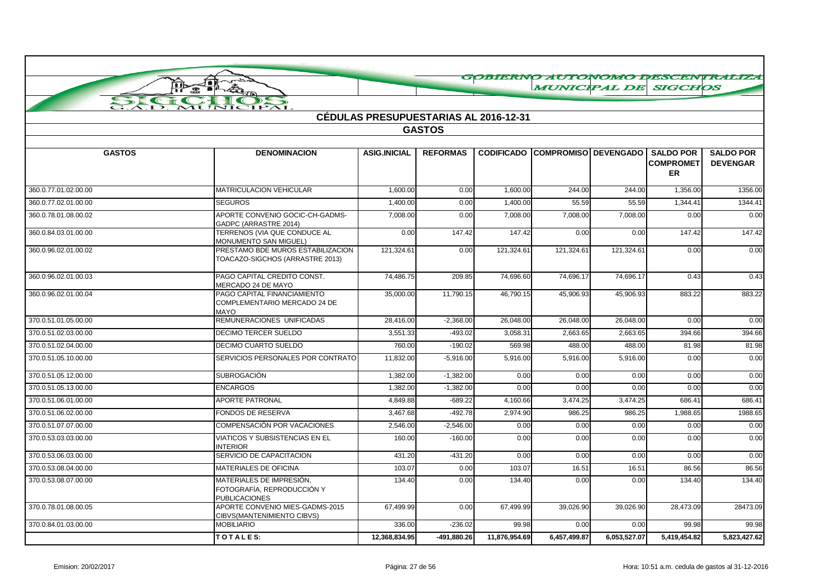|                                 |                                                                                |                                              |                 |                   | GOBIERNO AUTONOMO DESCENTRALIZA |                       |                                                   |                                     |
|---------------------------------|--------------------------------------------------------------------------------|----------------------------------------------|-----------------|-------------------|---------------------------------|-----------------------|---------------------------------------------------|-------------------------------------|
|                                 | Joi<br>ã.<br>$\mathbf{B}$                                                      |                                              |                 |                   | <b>MUNICIPAL DE</b>             |                       | <b>SIGCHOS</b>                                    |                                     |
| SI<br>$\epsilon$ and $\epsilon$ | $\rightarrow$                                                                  |                                              |                 |                   |                                 |                       |                                                   |                                     |
| $\overline{AD}$ .               | MUNICIPAL                                                                      | <b>CÉDULAS PRESUPUESTARIAS AL 2016-12-31</b> |                 |                   |                                 |                       |                                                   |                                     |
|                                 |                                                                                |                                              | <b>GASTOS</b>   |                   |                                 |                       |                                                   |                                     |
|                                 |                                                                                |                                              |                 |                   |                                 |                       |                                                   |                                     |
| <b>GASTOS</b>                   | <b>DENOMINACION</b>                                                            | <b>ASIG.INICIAL</b>                          | <b>REFORMAS</b> | <b>CODIFICADO</b> | COMPROMISO   DEVENGADO          |                       | <b>SALDO POR</b><br><b>COMPROMET</b><br><b>ER</b> | <b>SALDO POR</b><br><b>DEVENGAR</b> |
| 360.0.77.01.02.00.00            | <b>MATRICULACION VEHICULAR</b>                                                 | 1,600.00                                     | 0.00            | 1,600.00          | 244.00                          | 244.00                | 1,356.00                                          | 1356.00                             |
| 360.0.77.02.01.00.00            | <b>SEGUROS</b>                                                                 | 1,400.00                                     | 0.00            | 1,400.00          | 55.59                           | 55.59                 | 1,344.4'                                          | 1344.41                             |
| 360.0.78.01.08.00.02            | APORTE CONVENIO GOCIC-CH-GADMS-<br>GADPC (ARRASTRE 2014)                       | 7,008.00                                     | 0.00            | 7,008.00          | 7,008.00                        | 7,008.00              | 0.00                                              | 0.00                                |
| 360.0.84.03.01.00.00            | TERRENOS (VIA QUE CONDUCE AL<br>MONUMENTO SAN MIGUEL)                          | 0.00                                         | 147.42          | 147.42            | 0.00                            | 0.00                  | 147.42                                            | 147.42                              |
| 360.0.96.02.01.00.02            | PRESTAMO BDE MUROS ESTABILIZACION<br>TOACAZO-SIGCHOS (ARRASTRE 2013)           | 121,324.61                                   | 0.00            | 121,324.6         | 121,324.6                       | 121,324.61            | 0.00                                              | 0.00                                |
| 360.0.96.02.01.00.03            | PAGO CAPITAL CREDITO CONST.<br>MERCADO 24 DE MAYO                              | 74,486.75                                    | 209.85          | 74,696.60         | 74,696.17                       | 74,696.17             | 0.43                                              | 0.43                                |
| 360.0.96.02.01.00.04            | PAGO CAPITAL FINANCIAMIENTO<br>COMPLEMENTARIO MERCADO 24 DE<br><b>MAYO</b>     | 35,000.00                                    | 11,790.15       | 46,790.15         | 45,906.93                       | 45,906.93             | 883.22                                            | 883.22                              |
| 370.0.51.01.05.00.00            | REMUNERACIONES UNIFICADAS                                                      | 28,416.00                                    | $-2,368.00$     | 26,048.00         | 26,048.00                       | 26,048.00             | 0.00                                              | 0.00                                |
| 370.0.51.02.03.00.00            | <b>DECIMO TERCER SUELDO</b>                                                    | 3,551.33                                     | $-493.02$       | 3,058.3           | 2,663.65                        | 2,663.65              | 394.66                                            | 394.66                              |
| 370.0.51.02.04.00.00            | DECIMO CUARTO SUELDO                                                           | 760.00                                       | $-190.02$       | 569.98            | 488.00                          | 488.00                | 81.98                                             | 81.98                               |
| 370.0.51.05.10.00.00            | SERVICIOS PERSONALES POR CONTRATO                                              | 11,832.00                                    | $-5,916.00$     | 5,916.00          | 5,916.00                        | $\overline{5,916.00}$ | 0.00                                              | 0.00                                |
| 370.0.51.05.12.00.00            | <b>SUBROGACIÓN</b>                                                             | 1,382.00                                     | $-1,382.00$     | 0.00              | 0.00                            | 0.00                  | 0.00                                              | 0.00                                |
| 370.0.51.05.13.00.00            | <b>ENCARGOS</b>                                                                | 1.382.00                                     | $-1.382.00$     | 0.00              | 0.00                            | 0.00                  | 0.00                                              | 0.00                                |
| 370.0.51.06.01.00.00            | <b>APORTE PATRONAL</b>                                                         | 4,849.88                                     | $-689.22$       | 4,160.66          | 3,474.25                        | 3,474.25              | 686.41                                            | 686.41                              |
| 370.0.51.06.02.00.00            | FONDOS DE RESERVA                                                              | 3,467.68                                     | $-492.78$       | 2,974.90          | 986.25                          | 986.25                | 1,988.65                                          | 1988.65                             |
| 370.0.51.07.07.00.00            | COMPENSACIÓN POR VACACIONES                                                    | 2,546.00                                     | $-2,546.00$     | 0.00              | 0.00                            | 0.00                  | 0.00                                              | 0.00                                |
| 370.0.53.03.03.00.00            | <b>VIATICOS Y SUBSISTENCIAS EN EL</b><br><b>INTERIOR</b>                       | 160.00                                       | $-160.00$       | 0.00              | 0.00                            | 0.00                  | 0.00                                              | 0.00                                |
| 370.0.53.06.03.00.00            | SERVICIO DE CAPACITACION                                                       | 431.20                                       | $-431.20$       | 0.00              | 0.00                            | 0.00                  | 0.00                                              | 0.00                                |
| 370.0.53.08.04.00.00            | <b>MATERIALES DE OFICINA</b>                                                   | 103.07                                       | 0.00            | 103.07            | 16.51                           | 16.51                 | 86.56                                             | 86.56                               |
| 370.0.53.08.07.00.00            | MATERIALES DE IMPRESIÓN.<br>FOTOGRAFÍA, REPRODUCCIÓN Y<br><b>PUBLICACIONES</b> | 134.40                                       | 0.00            | 134.40            | 0.00                            | 0.00                  | 134.40                                            | 134.40                              |
| 370.0.78.01.08.00.05            | APORTE CONVENIO MIES-GADMS-2015<br>CIBVS(MANTENIMIENTO CIBVS)                  | 67,499.99                                    | 0.00            | 67,499.99         | 39,026.90                       | 39,026.90             | 28,473.09                                         | 28473.09                            |
| 370.0.84.01.03.00.00            | <b>MOBILIARIO</b>                                                              | 336.00                                       | $-236.02$       | 99.98             | 0.00                            | 0.00                  | 99.98                                             | 99.98                               |
|                                 | TOTALES:                                                                       | 12,368,834.95                                | $-491,880.26$   | 11,876,954.69     | 6,457,499.87                    | 6,053,527.07          | 5,419,454.82                                      | 5,823,427.62                        |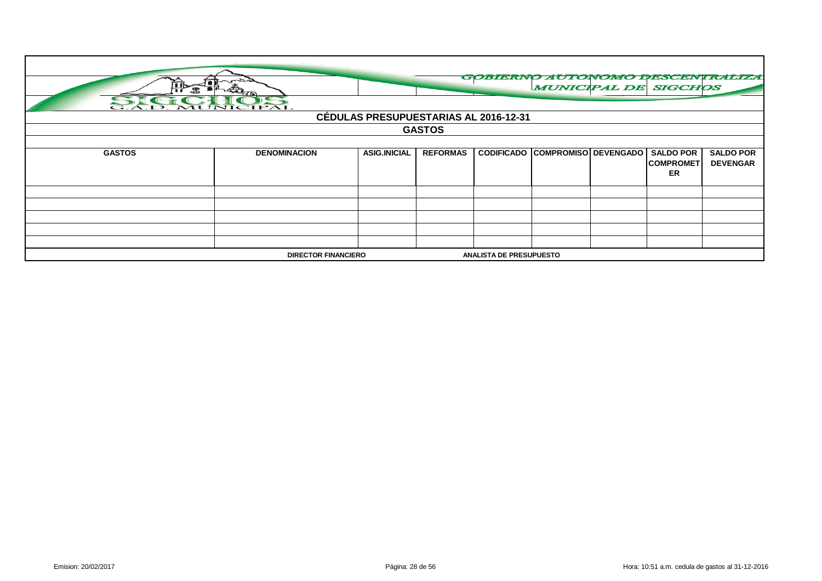| SIC CHOS                                                     |                     | <b>CÉDULAS PRESUPUESTARIAS AL 2016-12-31</b> | <b>GASTOS</b>   |  | <b>MUNICIPAL DE SIGCHOS</b>            |                                      | GOBIERNO AUTONOMO DESCENTRALIZA     |
|--------------------------------------------------------------|---------------------|----------------------------------------------|-----------------|--|----------------------------------------|--------------------------------------|-------------------------------------|
| <b>GASTOS</b>                                                | <b>DENOMINACION</b> | <b>ASIG.INICIAL</b>                          | <b>REFORMAS</b> |  | <b>CODIFICADO COMPROMISO DEVENGADO</b> | <b>SALDO POR</b><br><b>COMPROMET</b> | <b>SALDO POR</b><br><b>DEVENGAR</b> |
|                                                              |                     |                                              |                 |  |                                        | ER                                   |                                     |
|                                                              |                     |                                              |                 |  |                                        |                                      |                                     |
|                                                              |                     |                                              |                 |  |                                        |                                      |                                     |
|                                                              |                     |                                              |                 |  |                                        |                                      |                                     |
|                                                              |                     |                                              |                 |  |                                        |                                      |                                     |
|                                                              |                     |                                              |                 |  |                                        |                                      |                                     |
| <b>DIRECTOR FINANCIERO</b><br><b>ANALISTA DE PRESUPUESTO</b> |                     |                                              |                 |  |                                        |                                      |                                     |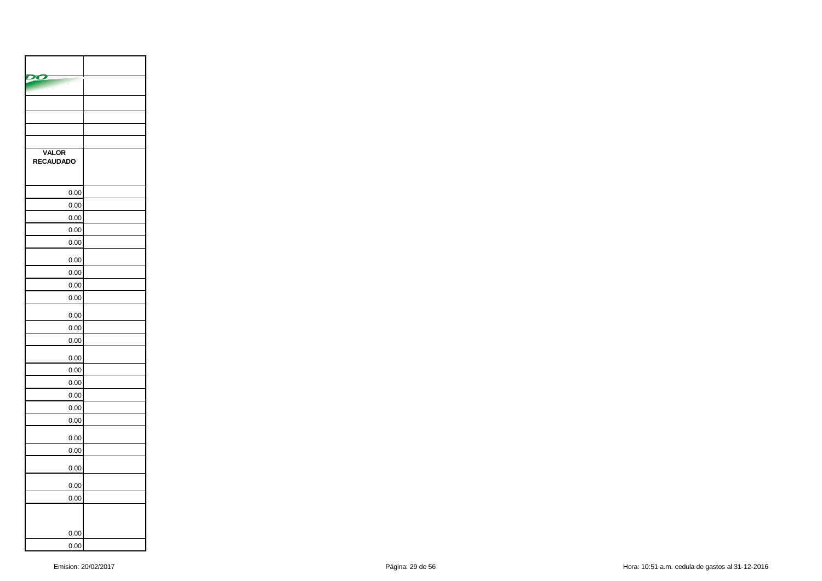| <b>VALOR</b><br>RECAUDADO |  |
|---------------------------|--|
| 0.00                      |  |
| 0.00                      |  |
| 0.00                      |  |
| 0.00                      |  |
| 0.00                      |  |
| 0.00                      |  |
| 0.00                      |  |
| 0.00                      |  |
| 0.00                      |  |
| 0.00                      |  |
| 0.00                      |  |
| 0.00                      |  |
| 0.00                      |  |
| 0.00                      |  |
| 0.00                      |  |
| 0.00                      |  |
| 0.00                      |  |
| 0.00                      |  |
| 0.00                      |  |
| 0.00                      |  |
| 0.00                      |  |
| 0.00                      |  |
| 0.00                      |  |
|                           |  |
| 0.00                      |  |
| 0.00                      |  |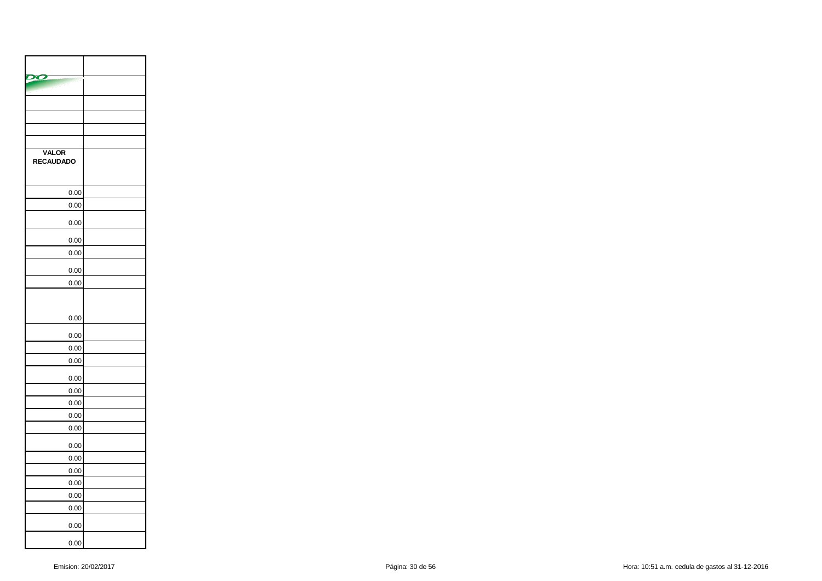| <b>VALOR</b><br>RECAUDADO |  |
|---------------------------|--|
| 0.00                      |  |
| 0.00                      |  |
| 0.00                      |  |
| 0.00                      |  |
| 0.00                      |  |
| 0.00                      |  |
| 0.00                      |  |
| 0.00                      |  |
| 0.00                      |  |
| 0.00                      |  |
| 0.00                      |  |
| 0.00                      |  |
| 0.00                      |  |
| 0.00                      |  |
| 0.00                      |  |
| 0.00                      |  |
| 0.00                      |  |
| 0.00                      |  |
| 0.00                      |  |
| 0.00                      |  |
| 0.00                      |  |
| 0.00                      |  |
| 0.00                      |  |
| 0.00                      |  |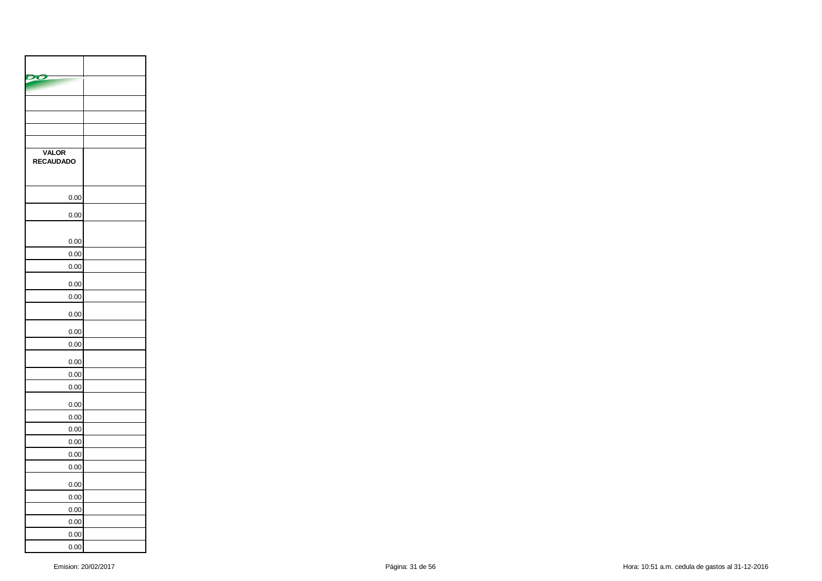| <b>VALOR</b><br>RECAUDADO |  |
|---------------------------|--|
| 0.00                      |  |
| 0.00                      |  |
| 0.00                      |  |
| 0.00                      |  |
| 0.00                      |  |
| 0.00                      |  |
| 0.00                      |  |
| 0.00                      |  |
| 0.00                      |  |
| 0.00                      |  |
| 0.00                      |  |
| 0.00                      |  |
| 0.00                      |  |
| 0.00                      |  |
| 0.00                      |  |
| 0.00                      |  |
| 0.00                      |  |
| 0.00                      |  |
| 0.00                      |  |
| 0.00                      |  |
| 0.00                      |  |
| 0.00                      |  |
| 0.00                      |  |
| 0.00                      |  |
| 0.00                      |  |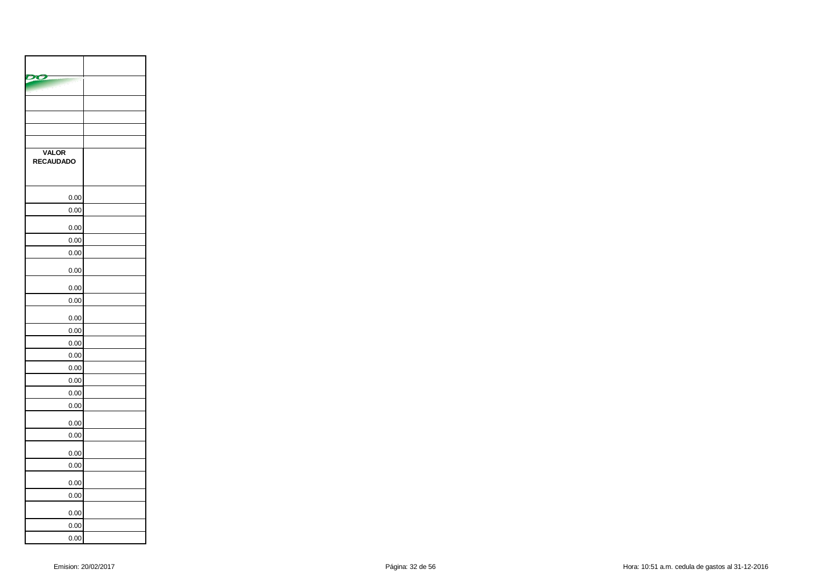| <b>VALOR</b><br><b>RECAUDADO</b> |  |
|----------------------------------|--|
| 0.00                             |  |
| 0.00                             |  |
| 0.00                             |  |
| 0.00                             |  |
| 0.00                             |  |
| 0.00                             |  |
| 0.00                             |  |
| 0.00                             |  |
| 0.00                             |  |
| 0.00                             |  |
| 0.00                             |  |
| 0.00                             |  |
| 0.00                             |  |
| 0.00                             |  |
| 0.00                             |  |
| 0.00                             |  |
| 0.00                             |  |
| 0.00                             |  |
| 0.00                             |  |
| 0.00                             |  |
| 0.00                             |  |
| 0.00                             |  |
| 0.00                             |  |
| 0.00                             |  |
| 0.00                             |  |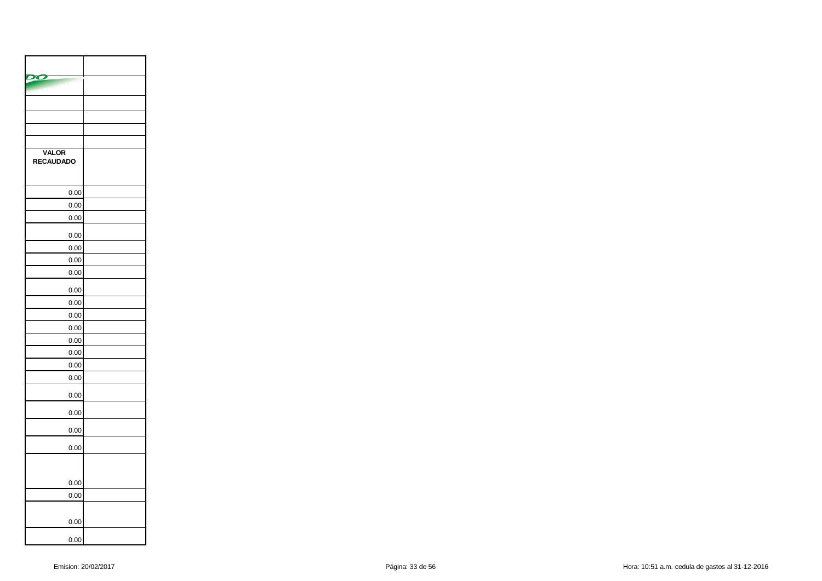| <b>VALOR</b><br><b>RECAUDADO</b> |  |
|----------------------------------|--|
| 0.00                             |  |
| 0.00                             |  |
| 0.00                             |  |
| 0.00                             |  |
| 0.00                             |  |
| 0.00                             |  |
| 0.00                             |  |
| 0.00                             |  |
| 0.00                             |  |
| 0.00                             |  |
| 0.00                             |  |
| 0.00                             |  |
| 0.00                             |  |
| 0.00                             |  |
| 0.00                             |  |
| 0.00                             |  |
| 0.00                             |  |
| 0.00                             |  |
| 0.00                             |  |
| 0.00                             |  |
| 0.00                             |  |
|                                  |  |
| 0.00                             |  |
| 0.00                             |  |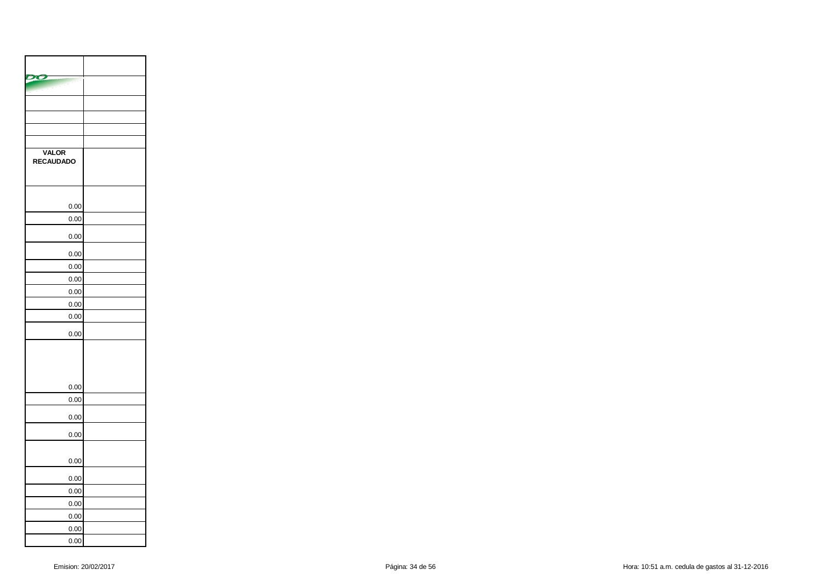| <b>VALOR</b><br><b>RECAUDADO</b> |  |
|----------------------------------|--|
| 0.00                             |  |
| 0.00                             |  |
| 0.00                             |  |
| 0.00                             |  |
| 0.00                             |  |
| 0.00                             |  |
| 0.00                             |  |
| 0.00                             |  |
| 0.00                             |  |
| 0.00                             |  |
|                                  |  |
| 0.00                             |  |
| 0.00                             |  |
| 0.00                             |  |
| 0.00                             |  |
| 0.00                             |  |
| 0.00                             |  |
| 0.00                             |  |
| 0.00                             |  |
| 0.00                             |  |
| 0.00                             |  |
| 0.00                             |  |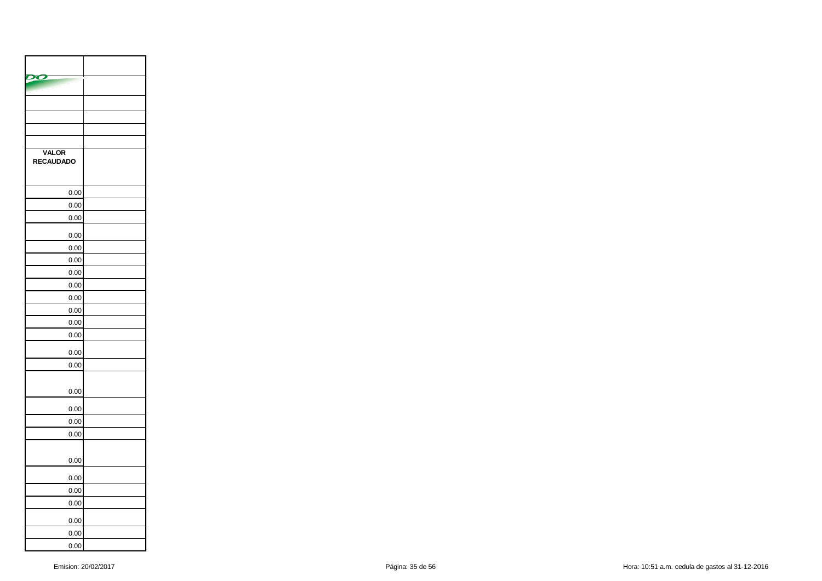| <b>VALOR</b><br><b>RECAUDADO</b> |  |
|----------------------------------|--|
| 0.00                             |  |
| 0.00                             |  |
| 0.00                             |  |
| 0.00                             |  |
| 0.00                             |  |
| 0.00                             |  |
| 0.00                             |  |
| 0.00                             |  |
| 0.00                             |  |
| 0.00                             |  |
| 0.00                             |  |
| 0.00                             |  |
| 0.00                             |  |
| 0.00                             |  |
| 0.00                             |  |
| 0.00                             |  |
| 0.00                             |  |
| 0.00                             |  |
| 0.00                             |  |
| 0.00                             |  |
| 0.00                             |  |
| 0.00                             |  |
| 0.00                             |  |
| 0.00                             |  |
| 0.00                             |  |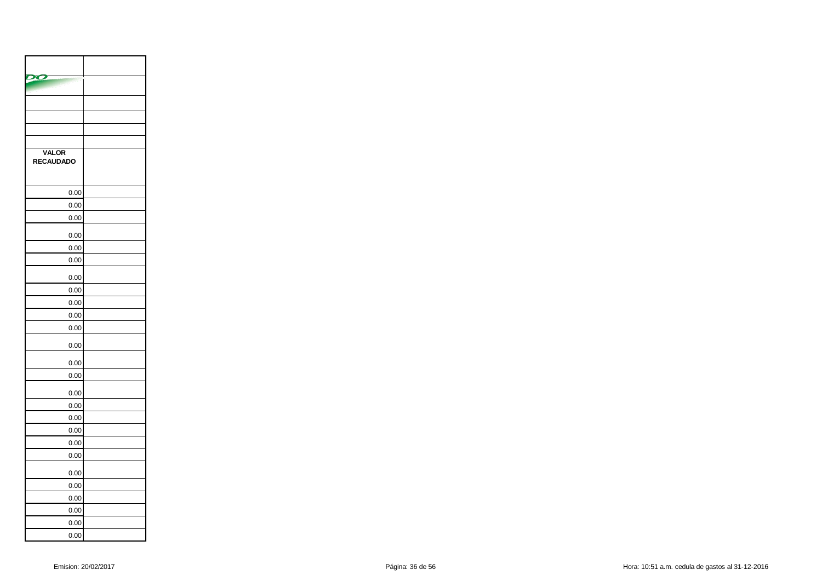| <b>VALOR</b><br>RECAUDADO |  |
|---------------------------|--|
| 0.00                      |  |
| 0.00                      |  |
| 0.00                      |  |
| 0.00                      |  |
| 0.00                      |  |
| 0.00                      |  |
| 0.00                      |  |
| 0.00                      |  |
| 0.00                      |  |
| 0.00                      |  |
| 0.00                      |  |
| 0.00                      |  |
| 0.00                      |  |
| 0.00                      |  |
| 0.00                      |  |
| 0.00                      |  |
| 0.00                      |  |
| 0.00                      |  |
| 0.00                      |  |
| 0.00                      |  |
| 0.00                      |  |
| 0.00                      |  |
| 0.00                      |  |
| 0.00                      |  |
| 0.00                      |  |
| 0.00                      |  |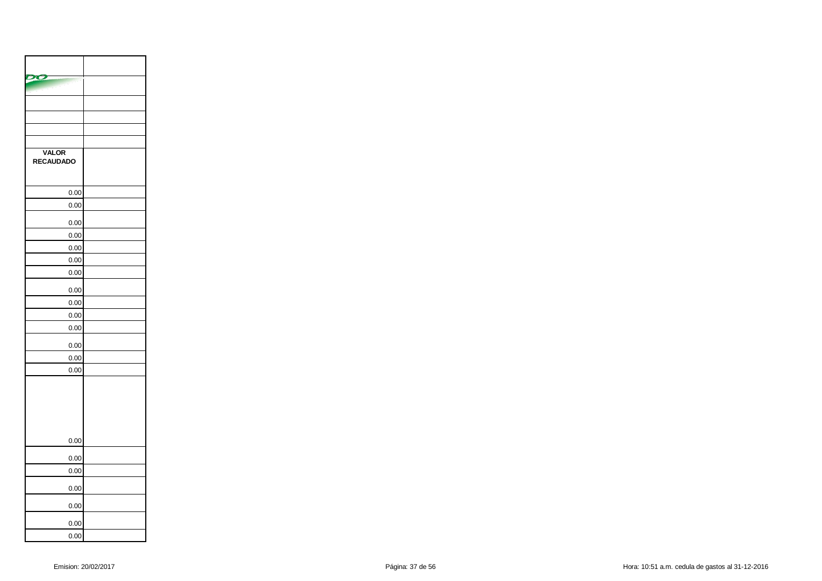| <b>VALOR</b><br><b>RECAUDADO</b> |  |
|----------------------------------|--|
| 0.00                             |  |
| 0.00                             |  |
| 0.00                             |  |
| 0.00                             |  |
| 0.00                             |  |
| 0.00                             |  |
| 0.00                             |  |
| 0.00                             |  |
| 0.00                             |  |
| 0.00                             |  |
| 0.00                             |  |
| 0.00                             |  |
| 0.00                             |  |
| 0.00                             |  |
|                                  |  |
| 0.00                             |  |
| 0.00                             |  |
| 0.00                             |  |
| 0.00                             |  |
| 0.00                             |  |
| 0.00                             |  |
| 0.00                             |  |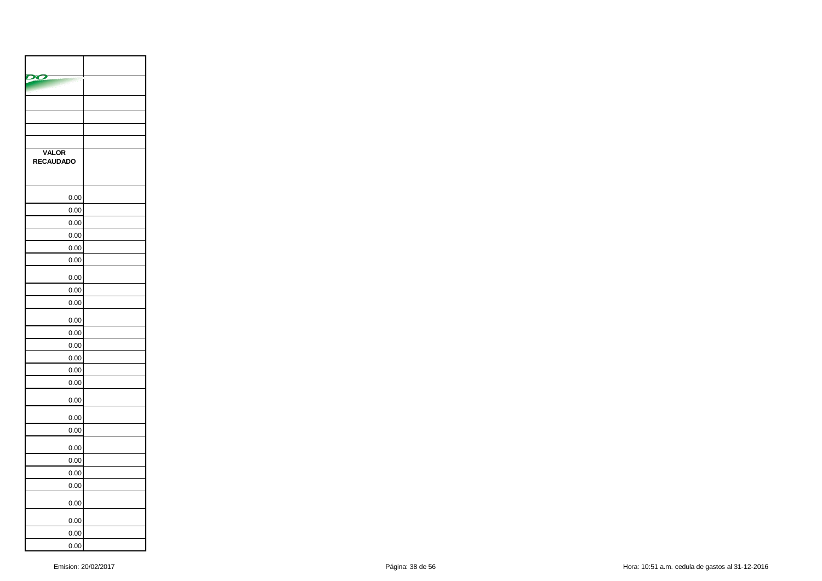| <b>VALOR</b><br><b>RECAUDADO</b> |  |
|----------------------------------|--|
| 0.00                             |  |
| 0.00                             |  |
| 0.00                             |  |
| 0.00                             |  |
| 0.00                             |  |
| 0.00                             |  |
| 0.00                             |  |
| 0.00                             |  |
| 0.00                             |  |
| 0.00                             |  |
| 0.00                             |  |
| 0.00                             |  |
| 0.00                             |  |
| 0.00                             |  |
| 0.00                             |  |
| 0.00                             |  |
| 0.00                             |  |
| 0.00                             |  |
| 0.00                             |  |
| 0.00                             |  |
| 0.00                             |  |
| 0.00                             |  |
| 0.00                             |  |
| 0.00                             |  |
| 0.00                             |  |
| 0.00                             |  |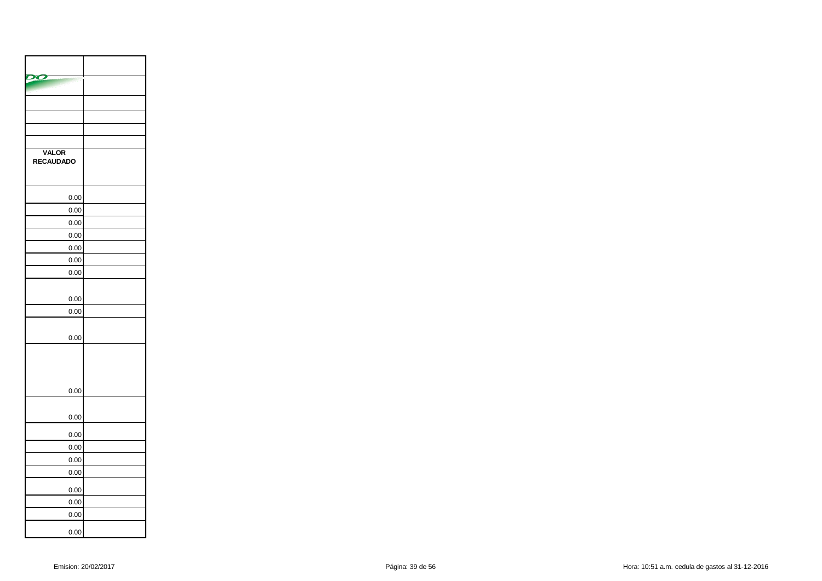| <b>VALOR</b><br><b>RECAUDADO</b> |  |
|----------------------------------|--|
| 0.00                             |  |
| 0.00                             |  |
| 0.00                             |  |
| 0.00                             |  |
| 0.00                             |  |
| 0.00                             |  |
| 0.00                             |  |
| 0.00                             |  |
| 0.00                             |  |
| 0.00                             |  |
| 0.00                             |  |
| 0.00                             |  |
| 0.00                             |  |
| 0.00                             |  |
| 0.00                             |  |
| 0.00                             |  |
| 0.00                             |  |
| 0.00                             |  |
| 0.00                             |  |
| 0.00                             |  |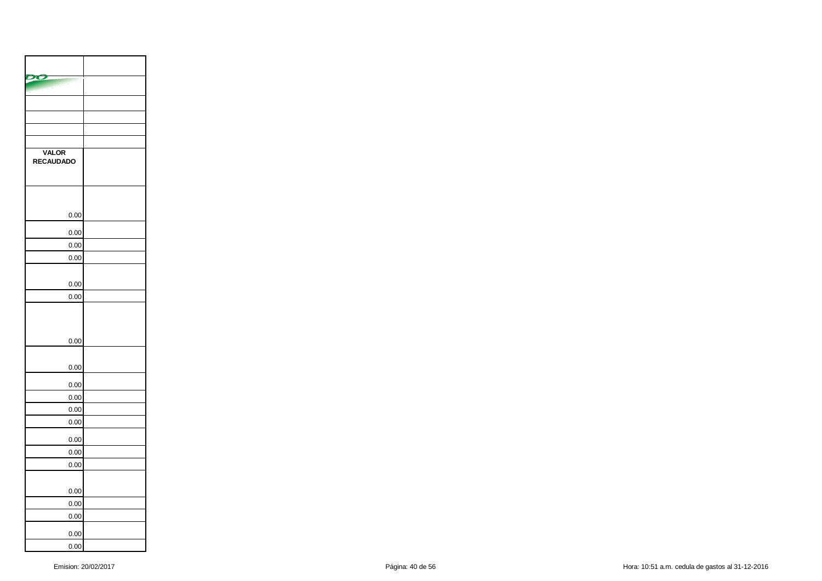| <b>VALOR</b><br>RECAUDADO |  |
|---------------------------|--|
|                           |  |
| 0.00                      |  |
| 0.00                      |  |
| 0.00                      |  |
| 0.00                      |  |
|                           |  |
| 0.00                      |  |
| 0.00                      |  |
| 0.00                      |  |
| 0.00                      |  |
| 0.00                      |  |
| 0.00                      |  |
| 0.00                      |  |
| 0.00                      |  |
| 0.00                      |  |
| 0.00                      |  |
| 0.00                      |  |
| 0.00                      |  |
| 0.00                      |  |
| 0.00                      |  |
|                           |  |
| 0.00<br>0.00              |  |
|                           |  |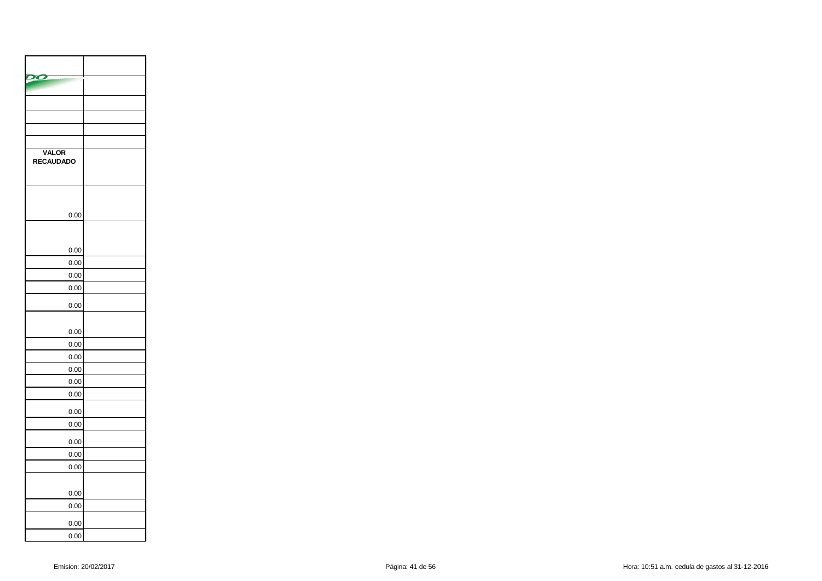| <b>VALOR</b><br><b>RECAUDADO</b> |  |
|----------------------------------|--|
| 0.00                             |  |
| 0.00                             |  |
| 0.00                             |  |
| 0.00                             |  |
| 0.00                             |  |
| 0.00                             |  |
| 0.00                             |  |
| 0.00                             |  |
| 0.00                             |  |
| 0.00                             |  |
| 0.00                             |  |
| 0.00                             |  |
| 0.00                             |  |
| 0.00                             |  |
| 0.00                             |  |
| 0.00                             |  |
| 0.00                             |  |
|                                  |  |
| 0.00                             |  |
| 0.00                             |  |
| 0.00                             |  |
| 0.00                             |  |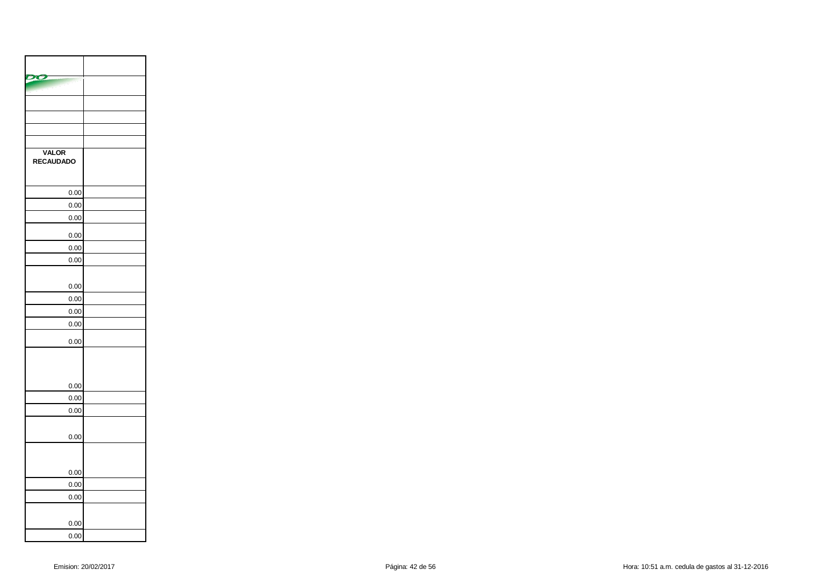| <b>VALOR</b><br><b>RECAUDADO</b> |  |
|----------------------------------|--|
| 0.00                             |  |
| 0.00                             |  |
| 0.00                             |  |
| 0.00                             |  |
| 0.00                             |  |
| 0.00                             |  |
| 0.00                             |  |
| 0.00                             |  |
| 0.00                             |  |
| 0.00                             |  |
| 0.00                             |  |
|                                  |  |
| 0.00                             |  |
| 0.00                             |  |
| 0.00                             |  |
| 0.00                             |  |
|                                  |  |
| 0.00                             |  |
| 0.00<br>0.00                     |  |
|                                  |  |
| 0.00                             |  |
| 0.00                             |  |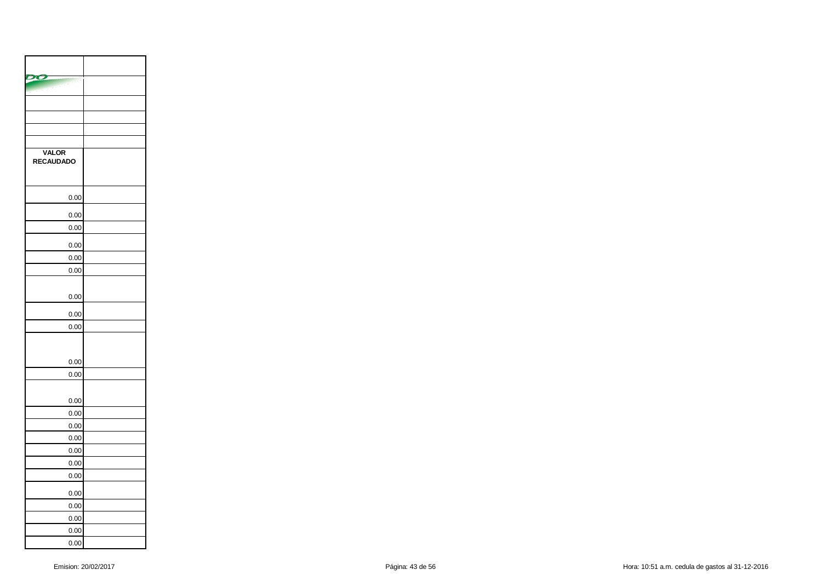| <b>VALOR</b><br><b>RECAUDADO</b> |  |
|----------------------------------|--|
| 0.00                             |  |
| 0.00                             |  |
| 0.00                             |  |
| 0.00                             |  |
| 0.00                             |  |
| 0.00                             |  |
|                                  |  |
| 0.00                             |  |
| 0.00                             |  |
| 0.00                             |  |
| 0.00                             |  |
| 0.00                             |  |
| 0.00                             |  |
| 0.00                             |  |
| 0.00                             |  |
| 0.00                             |  |
| 0.00                             |  |
| 0.00                             |  |
| 0.00                             |  |
| 0.00                             |  |
| 0.00                             |  |
| 0.00                             |  |
| 0.00                             |  |
| 0.00                             |  |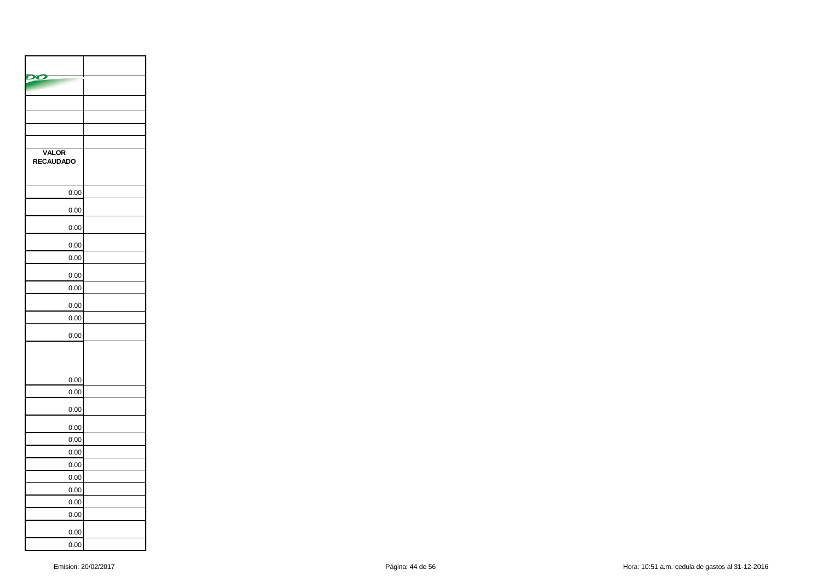| VALOR<br>RECAUDADO |  |
|--------------------|--|
| 0.00               |  |
| 0.00               |  |
| 0.00               |  |
| 0.00               |  |
| 0.00               |  |
| 0.00               |  |
| 0.00               |  |
| 0.00               |  |
| 0.00               |  |
| 0.00               |  |
|                    |  |
| 0.00               |  |
| 0.00               |  |
| 0.00               |  |
| 0.00               |  |
| 0.00               |  |
| 0.00               |  |
| 0.00               |  |
| 0.00               |  |
| 0.00               |  |
| 0.00               |  |
| 0.00               |  |
| 0.00               |  |
| 0.00               |  |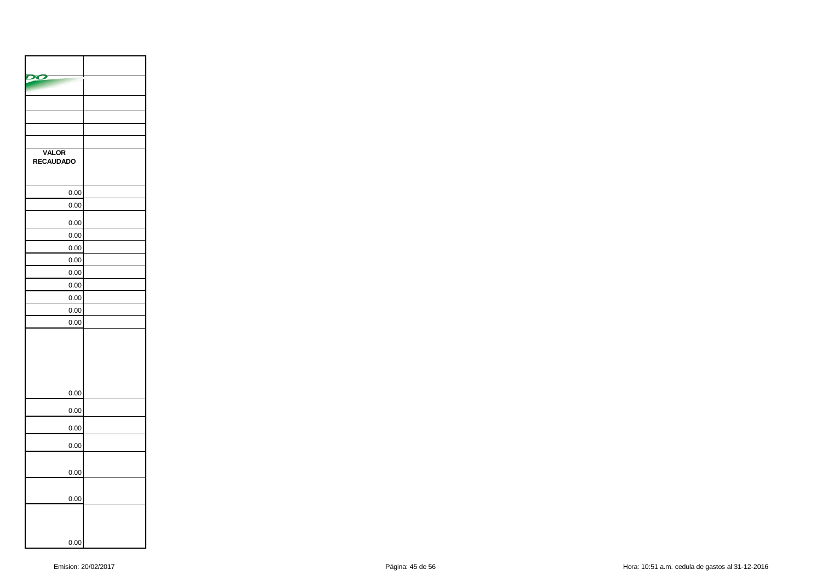| <b>VALOR</b><br>RECAUDADO |  |
|---------------------------|--|
| 0.00                      |  |
| 0.00                      |  |
| 0.00                      |  |
| 0.00                      |  |
| 0.00                      |  |
| 0.00                      |  |
| 0.00                      |  |
| 0.00                      |  |
| 0.00                      |  |
| 0.00                      |  |
| 0.00                      |  |
|                           |  |
| 0.00                      |  |
| 0.00                      |  |
| 0.00                      |  |
| 0.00                      |  |
| 0.00                      |  |
| 0.00                      |  |
| 0.00                      |  |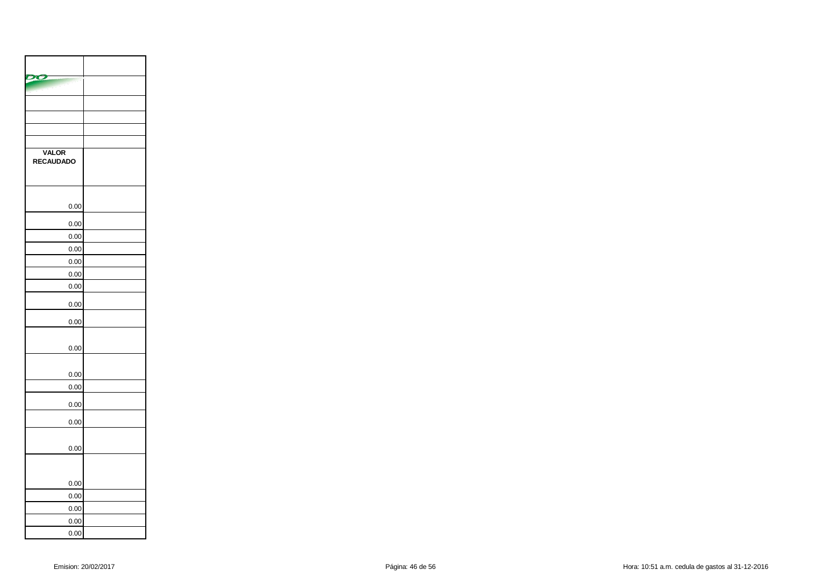| <b>VALOR</b><br><b>RECAUDADO</b> |  |
|----------------------------------|--|
|                                  |  |
| 0.00                             |  |
| 0.00                             |  |
| 0.00                             |  |
| 0.00                             |  |
| 0.00                             |  |
| 0.00                             |  |
| 0.00                             |  |
| 0.00                             |  |
| 0.00                             |  |
| 0.00                             |  |
| 0.00                             |  |
| 0.00                             |  |
| 0.00                             |  |
| 0.00                             |  |
| 0.00                             |  |
|                                  |  |
| 0.00                             |  |
| 0.00                             |  |
| 0.00                             |  |
| 0.00                             |  |
| 0.00                             |  |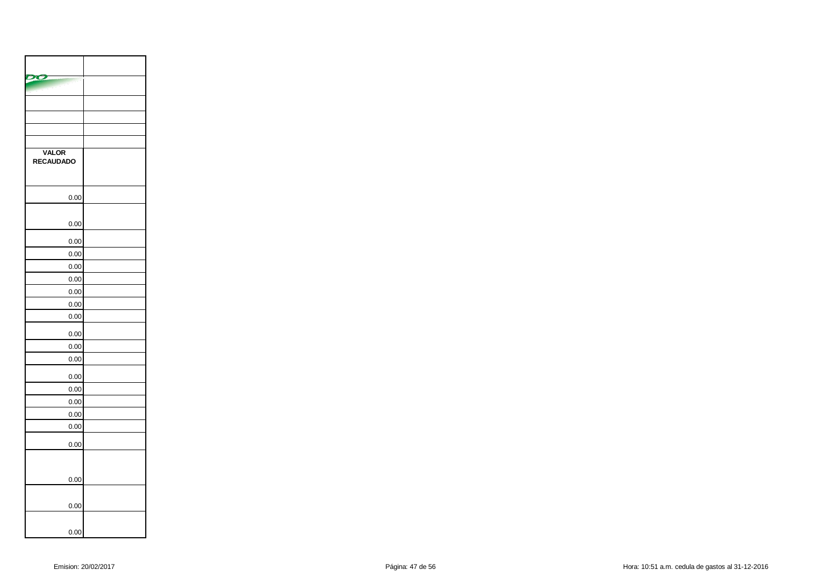| <b>VALOR</b><br>RECAUDADO |  |
|---------------------------|--|
| 0.00                      |  |
|                           |  |
| 0.00                      |  |
| 0.00                      |  |
| 0.00                      |  |
| 0.00                      |  |
| 0.00                      |  |
| 0.00                      |  |
| 0.00                      |  |
| 0.00                      |  |
| 0.00                      |  |
| 0.00                      |  |
| 0.00                      |  |
| 0.00                      |  |
| 0.00                      |  |
| 0.00                      |  |
| 0.00                      |  |
| 0.00                      |  |
| 0.00                      |  |
|                           |  |
| 0.00                      |  |
|                           |  |
| 0.00                      |  |
| 0.00                      |  |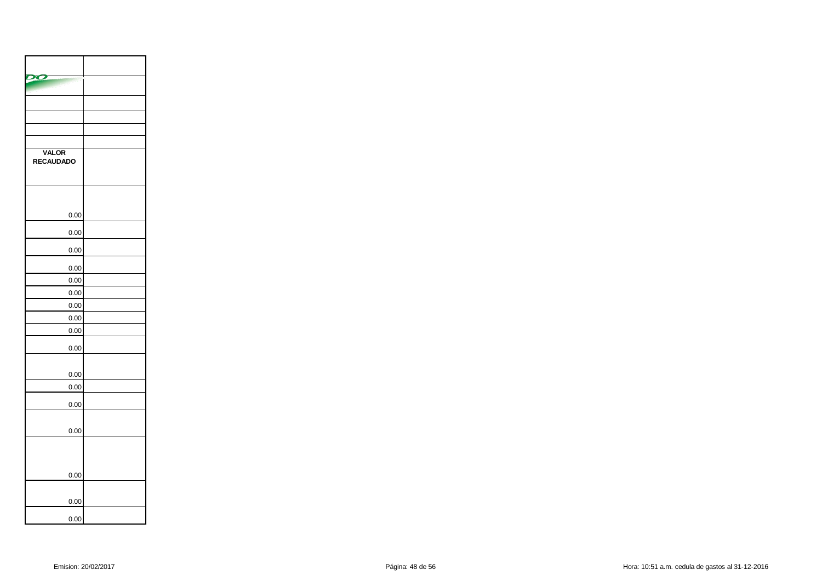| <b>VALOR</b><br><b>RECAUDADO</b> |  |
|----------------------------------|--|
|                                  |  |
| 0.00                             |  |
| 0.00                             |  |
| 0.00                             |  |
| 0.00                             |  |
| 0.00                             |  |
| 0.00                             |  |
| 0.00                             |  |
| 0.00                             |  |
| 0.00                             |  |
| 0.00                             |  |
| 0.00                             |  |
| 0.00                             |  |
| 0.00                             |  |
| 0.00                             |  |
|                                  |  |
| 0.00                             |  |
| 0.00                             |  |
| 0.00                             |  |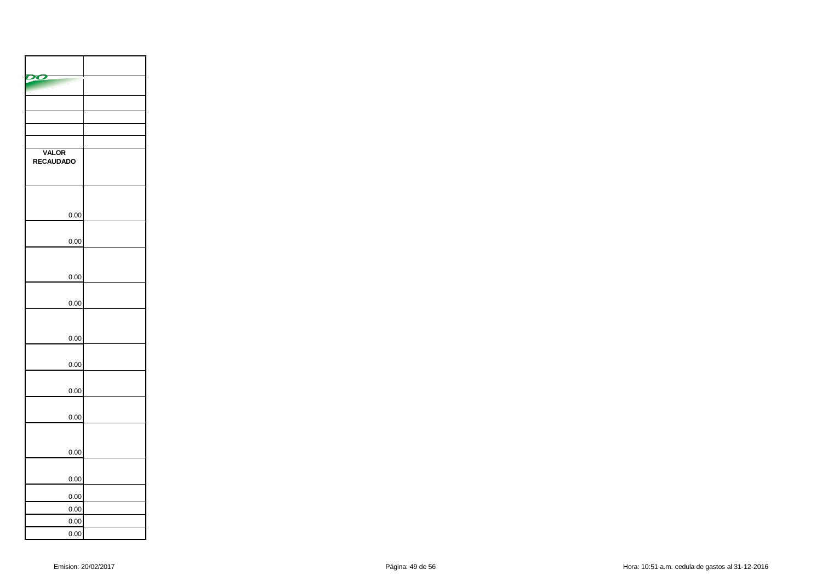| <b>VALOR</b><br><b>RECAUDADO</b> |  |
|----------------------------------|--|
| 0.00                             |  |
|                                  |  |
| 0.00                             |  |
|                                  |  |
| 0.00                             |  |
| 0.00                             |  |
|                                  |  |
| 0.00                             |  |
| 0.00                             |  |
| 0.00                             |  |
| 0.00                             |  |
|                                  |  |
| 0.00                             |  |
| 0.00                             |  |
| 0.00                             |  |
| 0.00                             |  |
| 0.00                             |  |
| 0.00                             |  |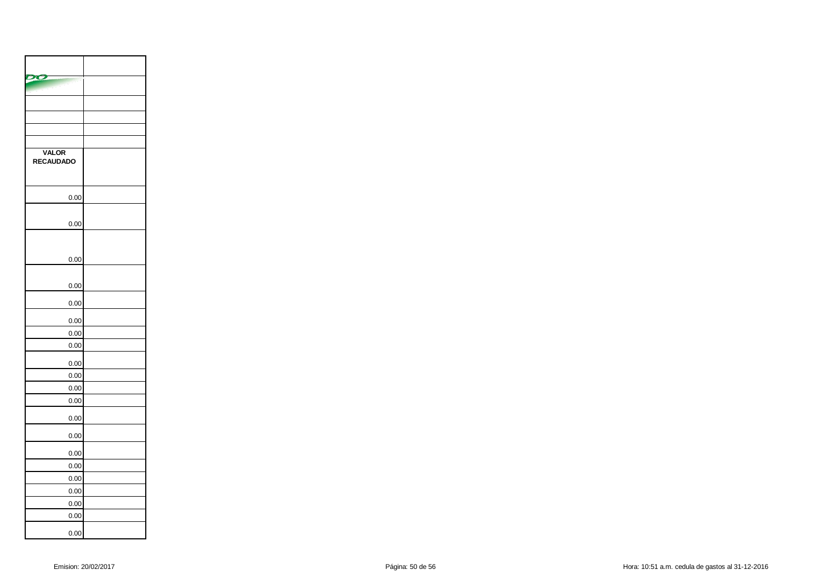| <b>VALOR</b><br><b>RECAUDADO</b> |  |
|----------------------------------|--|
|                                  |  |
| 0.00                             |  |
| 0.00                             |  |
|                                  |  |
| 0.00                             |  |
|                                  |  |
| 0.00                             |  |
| 0.00                             |  |
| 0.00                             |  |
| 0.00                             |  |
| 0.00                             |  |
| 0.00                             |  |
| 0.00                             |  |
| 0.00                             |  |
| 0.00                             |  |
| 0.00                             |  |
| 0.00                             |  |
| 0.00                             |  |
| 0.00                             |  |
| 0.00                             |  |
| 0.00                             |  |
| 0.00                             |  |
| 0.00                             |  |
| 0.00                             |  |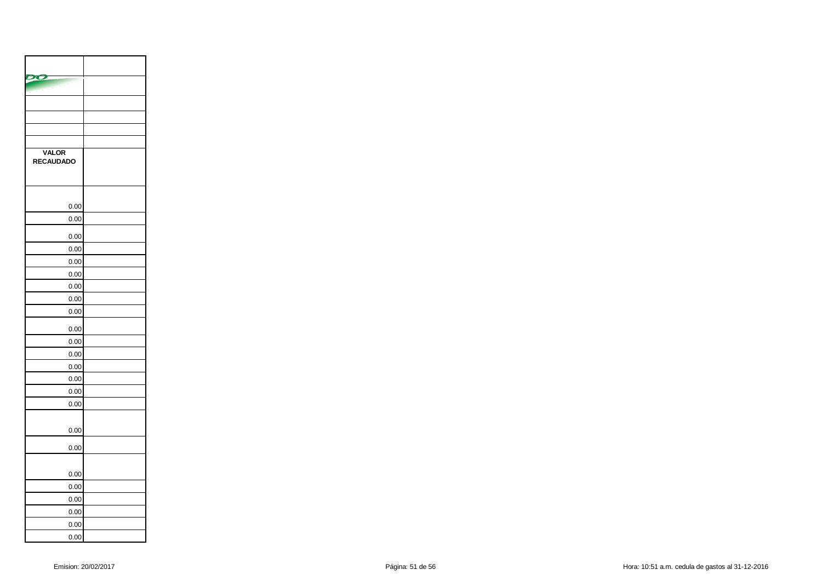| <b>VALOR</b><br><b>RECAUDADO</b> |  |
|----------------------------------|--|
|                                  |  |
| 0.00<br>0.00                     |  |
|                                  |  |
| 0.00                             |  |
| 0.00                             |  |
| 0.00                             |  |
| 0.00                             |  |
| 0.00                             |  |
| 0.00                             |  |
| 0.00                             |  |
| 0.00                             |  |
| 0.00                             |  |
| 0.00                             |  |
| 0.00                             |  |
| 0.00                             |  |
| 0.00                             |  |
| 0.00                             |  |
| 0.00                             |  |
| 0.00                             |  |
| 0.00                             |  |
| 0.00                             |  |
| 0.00                             |  |
| 0.00                             |  |
| 0.00                             |  |
| 0.00                             |  |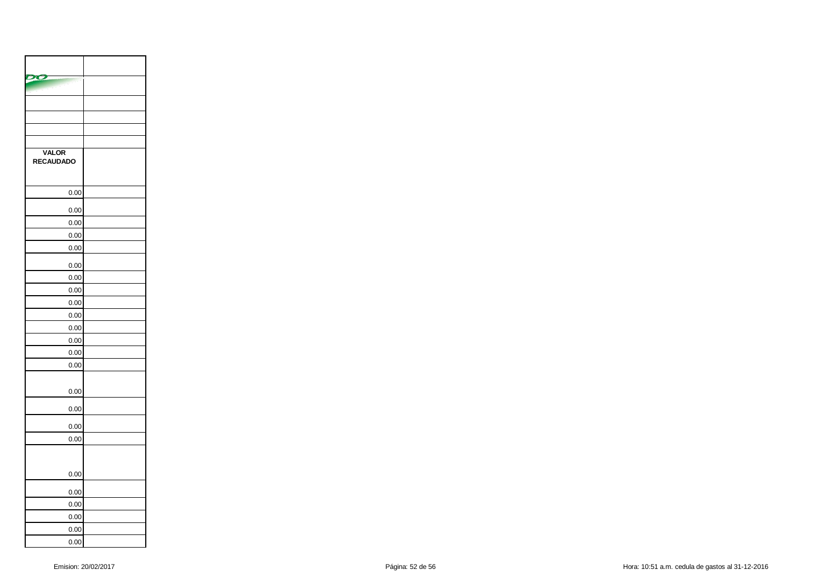| <b>VALOR</b><br><b>RECAUDADO</b> |  |
|----------------------------------|--|
| 0.00                             |  |
| 0.00                             |  |
| 0.00                             |  |
| 0.00                             |  |
| 0.00                             |  |
| 0.00                             |  |
| 0.00                             |  |
| 0.00                             |  |
| 0.00                             |  |
| 0.00                             |  |
| 0.00                             |  |
| 0.00                             |  |
| 0.00                             |  |
| 0.00                             |  |
| 0.00                             |  |
| 0.00                             |  |
| 0.00                             |  |
| 0.00                             |  |
|                                  |  |
| 0.00                             |  |
| 0.00                             |  |
| 0.00                             |  |
| 0.00                             |  |
| 0.00                             |  |
| 0.00                             |  |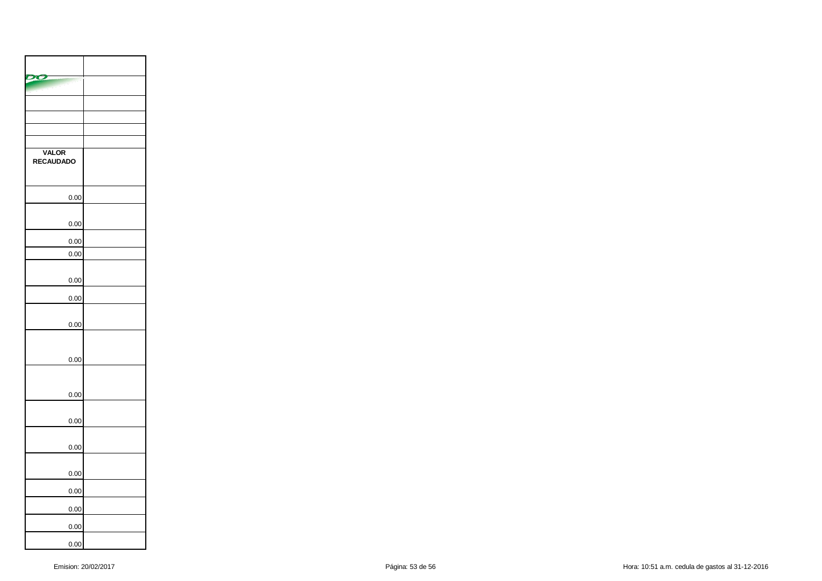| <b>VALOR</b><br>RECAUDADO |  |
|---------------------------|--|
| 0.00                      |  |
| 0.00                      |  |
| 0.00                      |  |
| 0.00                      |  |
| 0.00                      |  |
| 0.00                      |  |
| 0.00                      |  |
| 0.00                      |  |
| 0.00                      |  |
| 0.00                      |  |
| 0.00                      |  |
| 0.00                      |  |
| 0.00                      |  |
| 0.00                      |  |
| 0.00                      |  |
| 0.00                      |  |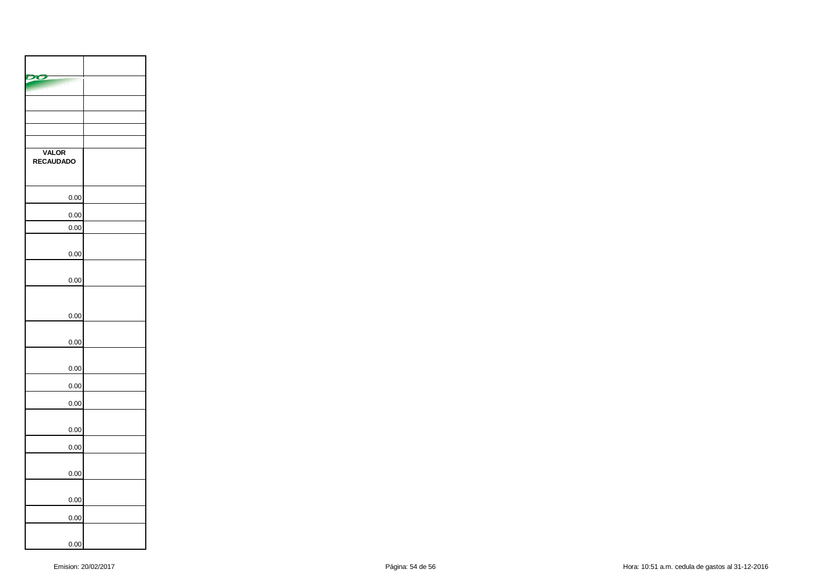| <b>VALOR</b><br><b>RECAUDADO</b> |  |
|----------------------------------|--|
| 0.00                             |  |
| 0.00                             |  |
| 0.00                             |  |
| 0.00                             |  |
| 0.00                             |  |
| 0.00                             |  |
| 0.00                             |  |
| 0.00                             |  |
| 0.00                             |  |
| 0.00                             |  |
| 0.00                             |  |
| 0.00                             |  |
| 0.00                             |  |
| 0.00                             |  |
| 0.00                             |  |
| 0.00                             |  |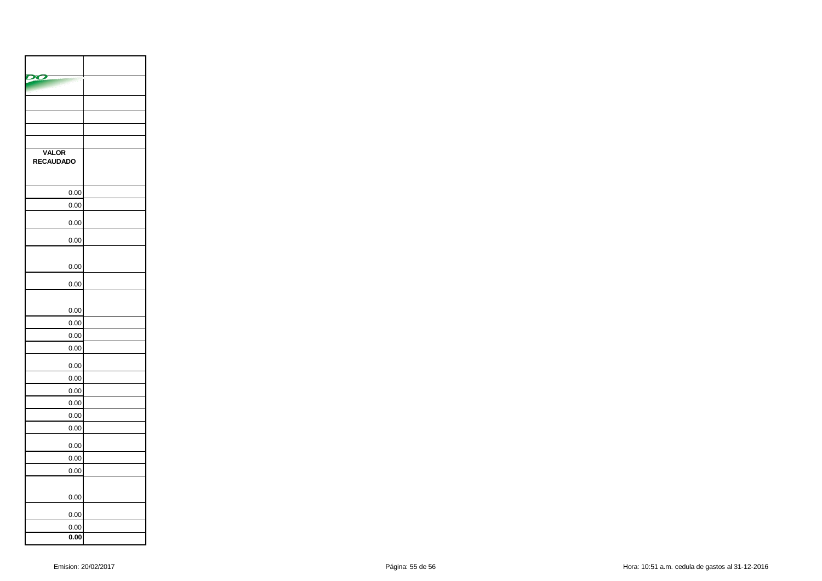| <b>VALOR</b><br><b>RECAUDADO</b> |  |
|----------------------------------|--|
| 0.00                             |  |
| 0.00                             |  |
| 0.00                             |  |
| 0.00                             |  |
| 0.00                             |  |
| 0.00                             |  |
| 0.00                             |  |
| 0.00                             |  |
| 0.00                             |  |
| 0.00                             |  |
| 0.00                             |  |
| 0.00                             |  |
| 0.00                             |  |
| 0.00                             |  |
| 0.00                             |  |
| 0.00                             |  |
| 0.00                             |  |
| 0.00                             |  |
| 0.00                             |  |
| 0.00                             |  |
| 0.00                             |  |
| 0.00                             |  |
| 0.00                             |  |